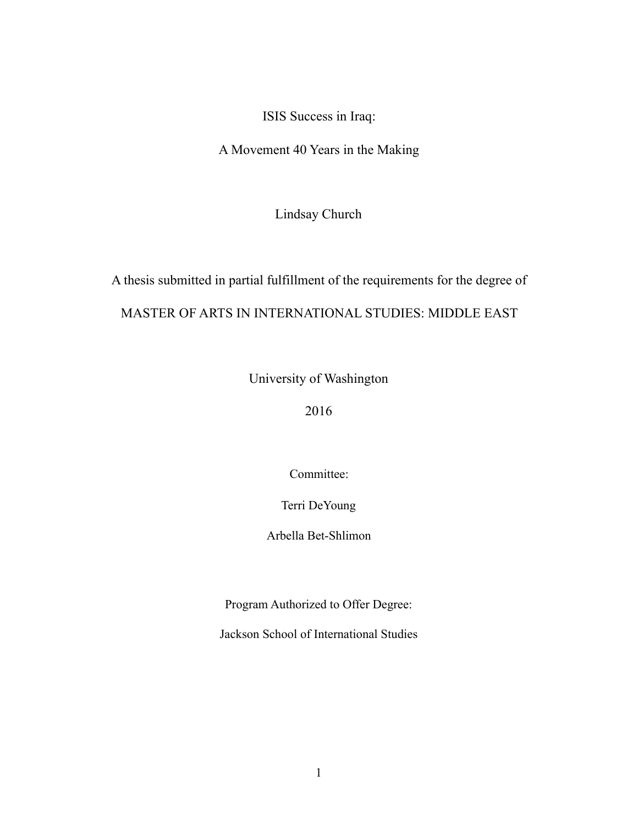ISIS Success in Iraq:

A Movement 40 Years in the Making

Lindsay Church

# A thesis submitted in partial fulfillment of the requirements for the degree of MASTER OF ARTS IN INTERNATIONAL STUDIES: MIDDLE EAST

University of Washington

2016

Committee:

Terri DeYoung

Arbella Bet-Shlimon

Program Authorized to Offer Degree:

Jackson School of International Studies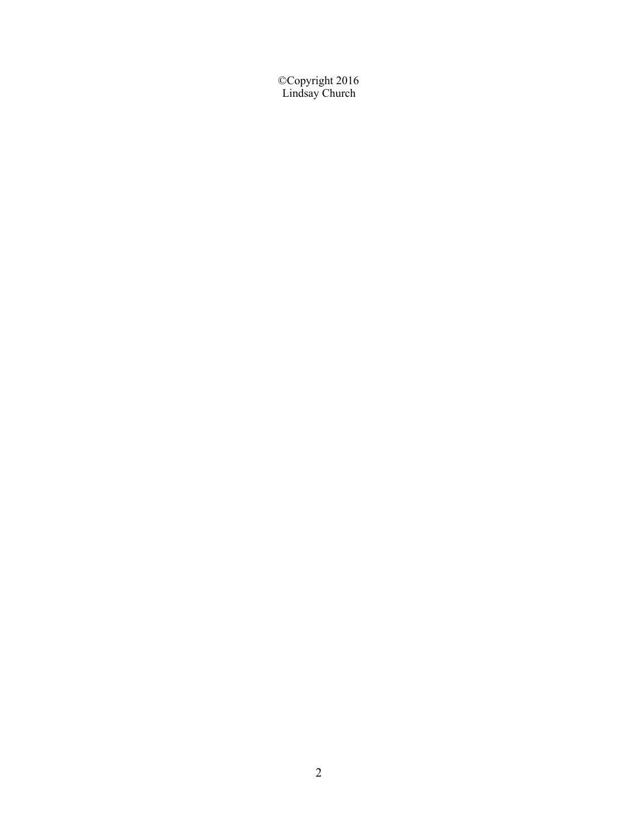©Copyright 2016 Lindsay Church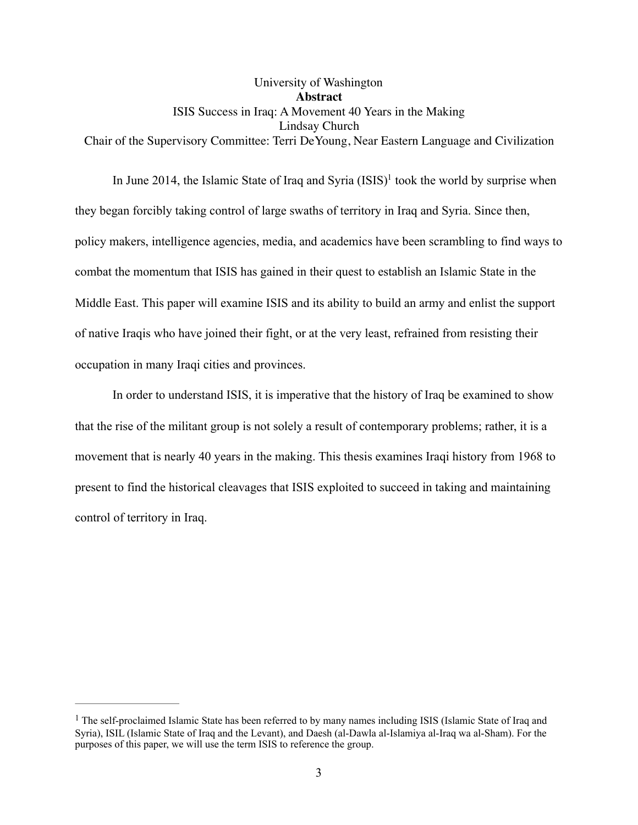#### University of Washington **Abstract** ISIS Success in Iraq: A Movement 40 Years in the Making Lindsay Church Chair of the Supervisory Committee: Terri DeYoung, Near Eastern Language and Civilization

<span id="page-2-1"></span>In June 20[1](#page-2-0)4, the Islamic State of Iraq and Syria  $(ISIS)^1$  $(ISIS)^1$  $(ISIS)^1$  took the world by surprise when they began forcibly taking control of large swaths of territory in Iraq and Syria. Since then, policy makers, intelligence agencies, media, and academics have been scrambling to find ways to combat the momentum that ISIS has gained in their quest to establish an Islamic State in the Middle East. This paper will examine ISIS and its ability to build an army and enlist the support of native Iraqis who have joined their fight, or at the very least, refrained from resisting their occupation in many Iraqi cities and provinces.

 In order to understand ISIS, it is imperative that the history of Iraq be examined to show that the rise of the militant group is not solely a result of contemporary problems; rather, it is a movement that is nearly 40 years in the making. This thesis examines Iraqi history from 1968 to present to find the historical cleavages that ISIS exploited to succeed in taking and maintaining control of territory in Iraq.

<span id="page-2-0"></span><sup>&</sup>lt;sup>[1](#page-2-1)</sup> The self-proclaimed Islamic State has been referred to by many names including ISIS (Islamic State of Iraq and Syria), ISIL (Islamic State of Iraq and the Levant), and Daesh (al-Dawla al-Islamiya al-Iraq wa al-Sham). For the purposes of this paper, we will use the term ISIS to reference the group.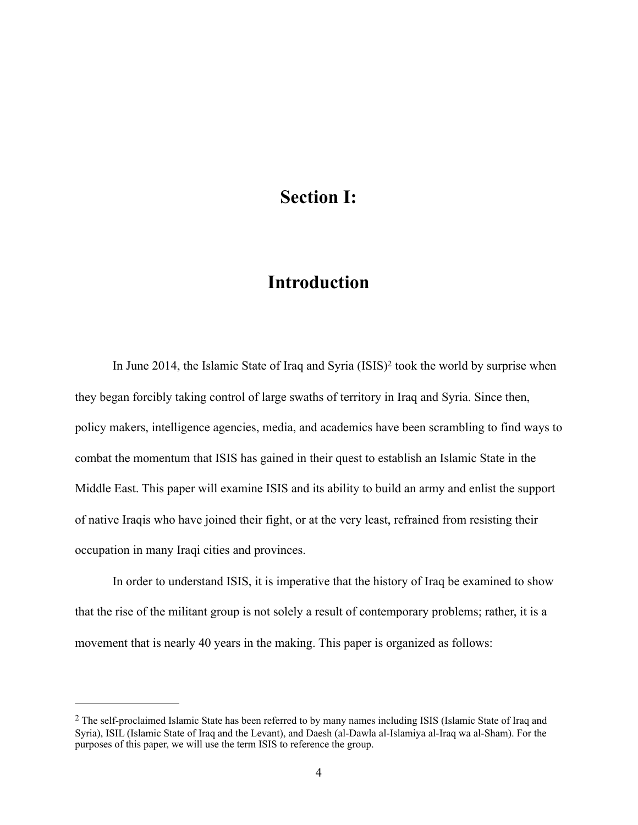### **Section I:**

### <span id="page-3-1"></span>**Introduction**

In June 2014, the Islamic State of Iraq and Syria (ISIS[\)](#page-3-0)<sup>[2](#page-3-0)</sup> took the world by surprise when they began forcibly taking control of large swaths of territory in Iraq and Syria. Since then, policy makers, intelligence agencies, media, and academics have been scrambling to find ways to combat the momentum that ISIS has gained in their quest to establish an Islamic State in the Middle East. This paper will examine ISIS and its ability to build an army and enlist the support of native Iraqis who have joined their fight, or at the very least, refrained from resisting their occupation in many Iraqi cities and provinces.

 In order to understand ISIS, it is imperative that the history of Iraq be examined to show that the rise of the militant group is not solely a result of contemporary problems; rather, it is a movement that is nearly 40 years in the making. This paper is organized as follows:

<span id="page-3-0"></span><sup>&</sup>lt;sup>[2](#page-3-1)</sup> The self-proclaimed Islamic State has been referred to by many names including ISIS (Islamic State of Iraq and Syria), ISIL (Islamic State of Iraq and the Levant), and Daesh (al-Dawla al-Islamiya al-Iraq wa al-Sham). For the purposes of this paper, we will use the term ISIS to reference the group.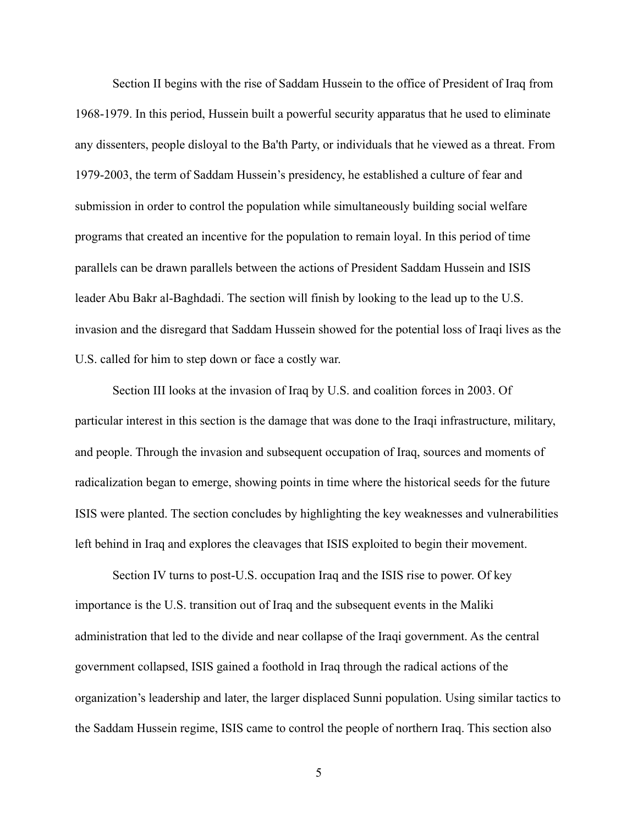Section II begins with the rise of Saddam Hussein to the office of President of Iraq from 1968-1979. In this period, Hussein built a powerful security apparatus that he used to eliminate any dissenters, people disloyal to the Ba'th Party, or individuals that he viewed as a threat. From 1979-2003, the term of Saddam Hussein's presidency, he established a culture of fear and submission in order to control the population while simultaneously building social welfare programs that created an incentive for the population to remain loyal. In this period of time parallels can be drawn parallels between the actions of President Saddam Hussein and ISIS leader Abu Bakr al-Baghdadi. The section will finish by looking to the lead up to the U.S. invasion and the disregard that Saddam Hussein showed for the potential loss of Iraqi lives as the U.S. called for him to step down or face a costly war.

Section III looks at the invasion of Iraq by U.S. and coalition forces in 2003. Of particular interest in this section is the damage that was done to the Iraqi infrastructure, military, and people. Through the invasion and subsequent occupation of Iraq, sources and moments of radicalization began to emerge, showing points in time where the historical seeds for the future ISIS were planted. The section concludes by highlighting the key weaknesses and vulnerabilities left behind in Iraq and explores the cleavages that ISIS exploited to begin their movement.

Section IV turns to post-U.S. occupation Iraq and the ISIS rise to power. Of key importance is the U.S. transition out of Iraq and the subsequent events in the Maliki administration that led to the divide and near collapse of the Iraqi government. As the central government collapsed, ISIS gained a foothold in Iraq through the radical actions of the organization's leadership and later, the larger displaced Sunni population. Using similar tactics to the Saddam Hussein regime, ISIS came to control the people of northern Iraq. This section also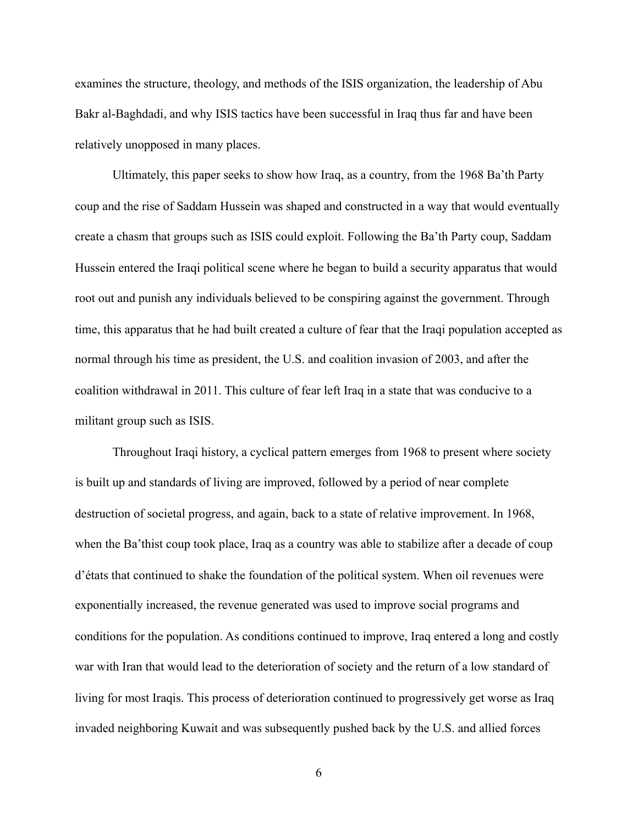examines the structure, theology, and methods of the ISIS organization, the leadership of Abu Bakr al-Baghdadi, and why ISIS tactics have been successful in Iraq thus far and have been relatively unopposed in many places.

Ultimately, this paper seeks to show how Iraq, as a country, from the 1968 Ba'th Party coup and the rise of Saddam Hussein was shaped and constructed in a way that would eventually create a chasm that groups such as ISIS could exploit. Following the Ba'th Party coup, Saddam Hussein entered the Iraqi political scene where he began to build a security apparatus that would root out and punish any individuals believed to be conspiring against the government. Through time, this apparatus that he had built created a culture of fear that the Iraqi population accepted as normal through his time as president, the U.S. and coalition invasion of 2003, and after the coalition withdrawal in 2011. This culture of fear left Iraq in a state that was conducive to a militant group such as ISIS.

 Throughout Iraqi history, a cyclical pattern emerges from 1968 to present where society is built up and standards of living are improved, followed by a period of near complete destruction of societal progress, and again, back to a state of relative improvement. In 1968, when the Ba'thist coup took place, Iraq as a country was able to stabilize after a decade of coup d'états that continued to shake the foundation of the political system. When oil revenues were exponentially increased, the revenue generated was used to improve social programs and conditions for the population. As conditions continued to improve, Iraq entered a long and costly war with Iran that would lead to the deterioration of society and the return of a low standard of living for most Iraqis. This process of deterioration continued to progressively get worse as Iraq invaded neighboring Kuwait and was subsequently pushed back by the U.S. and allied forces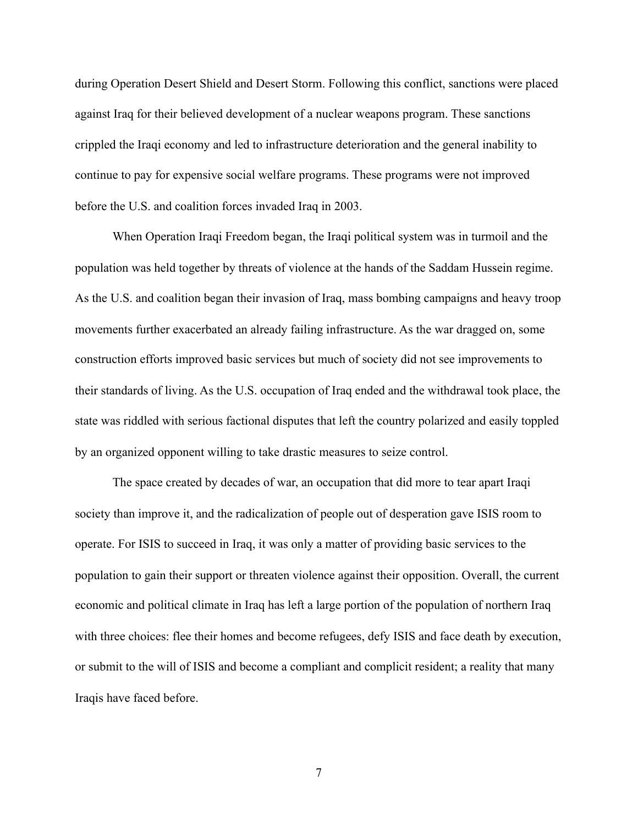during Operation Desert Shield and Desert Storm. Following this conflict, sanctions were placed against Iraq for their believed development of a nuclear weapons program. These sanctions crippled the Iraqi economy and led to infrastructure deterioration and the general inability to continue to pay for expensive social welfare programs. These programs were not improved before the U.S. and coalition forces invaded Iraq in 2003.

 When Operation Iraqi Freedom began, the Iraqi political system was in turmoil and the population was held together by threats of violence at the hands of the Saddam Hussein regime. As the U.S. and coalition began their invasion of Iraq, mass bombing campaigns and heavy troop movements further exacerbated an already failing infrastructure. As the war dragged on, some construction efforts improved basic services but much of society did not see improvements to their standards of living. As the U.S. occupation of Iraq ended and the withdrawal took place, the state was riddled with serious factional disputes that left the country polarized and easily toppled by an organized opponent willing to take drastic measures to seize control.

 The space created by decades of war, an occupation that did more to tear apart Iraqi society than improve it, and the radicalization of people out of desperation gave ISIS room to operate. For ISIS to succeed in Iraq, it was only a matter of providing basic services to the population to gain their support or threaten violence against their opposition. Overall, the current economic and political climate in Iraq has left a large portion of the population of northern Iraq with three choices: flee their homes and become refugees, defy ISIS and face death by execution, or submit to the will of ISIS and become a compliant and complicit resident; a reality that many Iraqis have faced before.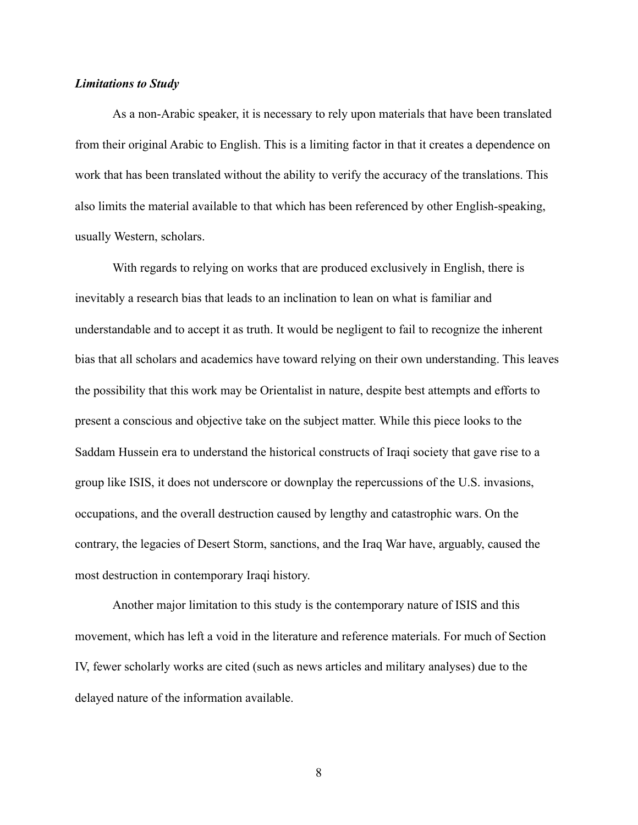#### *Limitations to Study*

 As a non-Arabic speaker, it is necessary to rely upon materials that have been translated from their original Arabic to English. This is a limiting factor in that it creates a dependence on work that has been translated without the ability to verify the accuracy of the translations. This also limits the material available to that which has been referenced by other English-speaking, usually Western, scholars.

 With regards to relying on works that are produced exclusively in English, there is inevitably a research bias that leads to an inclination to lean on what is familiar and understandable and to accept it as truth. It would be negligent to fail to recognize the inherent bias that all scholars and academics have toward relying on their own understanding. This leaves the possibility that this work may be Orientalist in nature, despite best attempts and efforts to present a conscious and objective take on the subject matter. While this piece looks to the Saddam Hussein era to understand the historical constructs of Iraqi society that gave rise to a group like ISIS, it does not underscore or downplay the repercussions of the U.S. invasions, occupations, and the overall destruction caused by lengthy and catastrophic wars. On the contrary, the legacies of Desert Storm, sanctions, and the Iraq War have, arguably, caused the most destruction in contemporary Iraqi history.

 Another major limitation to this study is the contemporary nature of ISIS and this movement, which has left a void in the literature and reference materials. For much of Section IV, fewer scholarly works are cited (such as news articles and military analyses) due to the delayed nature of the information available.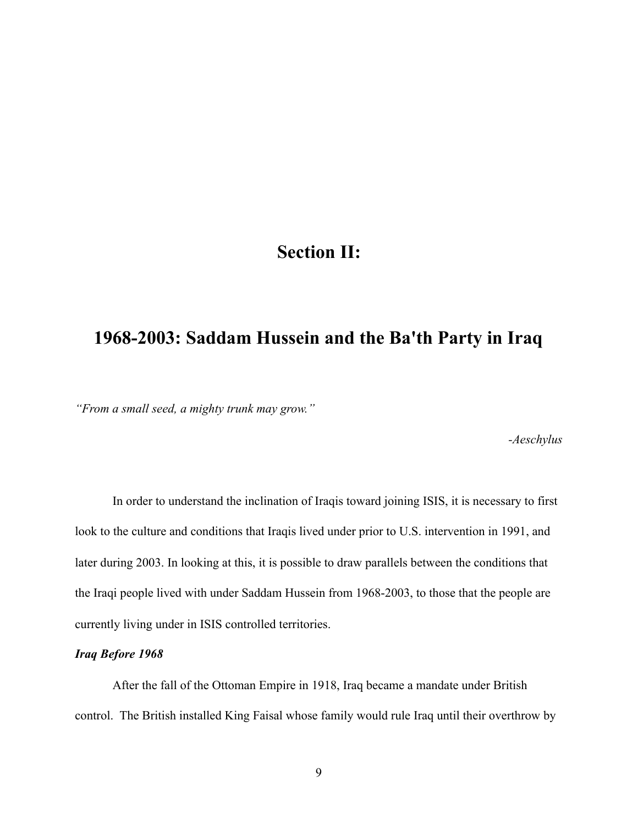# **Section II:**

### **1968-2003: Saddam Hussein and the Ba'th Party in Iraq**

*"From a small seed, a mighty trunk may grow."* 

*-Aeschylus* 

 In order to understand the inclination of Iraqis toward joining ISIS, it is necessary to first look to the culture and conditions that Iraqis lived under prior to U.S. intervention in 1991, and later during 2003. In looking at this, it is possible to draw parallels between the conditions that the Iraqi people lived with under Saddam Hussein from 1968-2003, to those that the people are currently living under in ISIS controlled territories.

#### *Iraq Before 1968*

 After the fall of the Ottoman Empire in 1918, Iraq became a mandate under British control. The British installed King Faisal whose family would rule Iraq until their overthrow by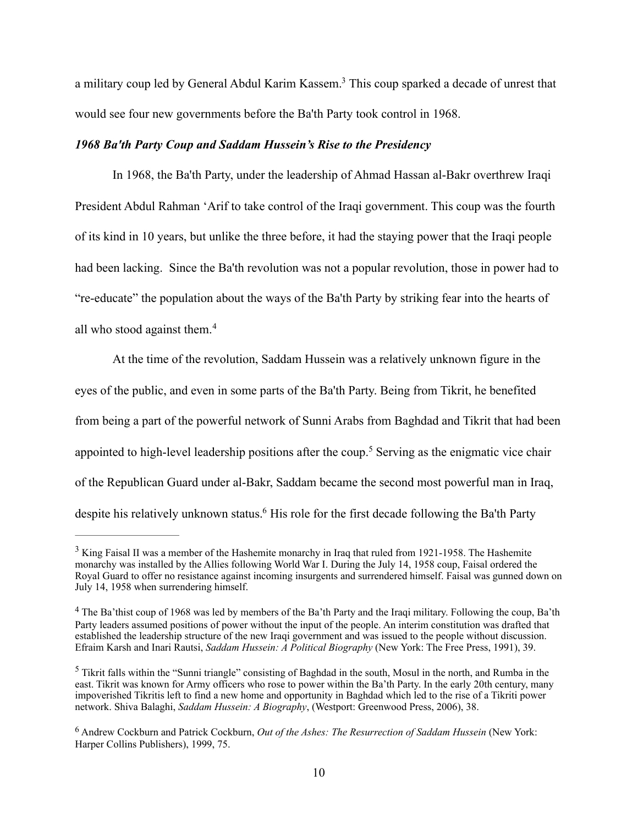<span id="page-9-4"></span>a military coup led by General Abdul Karim Kassem[.](#page-9-0)<sup>[3](#page-9-0)</sup> This coup sparked a decade of unrest that would see four new governments before the Ba'th Party took control in 1968.

#### *1968 Ba'th Party Coup and Saddam Hussein's Rise to the Presidency*

 In 1968, the Ba'th Party, under the leadership of Ahmad Hassan al-Bakr overthrew Iraqi President Abdul Rahman 'Arif to take control of the Iraqi government. This coup was the fourth of its kind in 10 years, but unlike the three before, it had the staying power that the Iraqi people had been lacking. Since the Ba'th revolution was not a popular revolution, those in power had to "re-educate" the population about the ways of the Ba'th Party by striking fear into the hearts of all who stood against them.[4](#page-9-1)

<span id="page-9-5"></span> At the time of the revolution, Saddam Hussein was a relatively unknown figure in the eyes of the public, and even in some parts of the Ba'th Party. Being from Tikrit, he benefited from being a part of the powerful network of Sunni Arabs from Baghdad and Tikrit that had been appointedto high-level leadership positions after the coup.<sup>[5](#page-9-2)</sup> Serving as the enigmatic vice chair of the Republican Guard under al-Bakr, Saddam became the second most powerful man in Iraq, despite his relatively unknown status[.](#page-9-3)<sup>[6](#page-9-3)</sup> His role for the first decade following the Ba'th Party

<span id="page-9-7"></span><span id="page-9-6"></span><span id="page-9-0"></span> $3$  King Faisal II was a member of the Hashemite monarchy in Iraq that ruled from 1921-1958. The Hashemite monarchy was installed by the Allies following World War I. During the July 14, 1958 coup, Faisal ordered the Royal Guard to offer no resistance against incoming insurgents and surrendered himself. Faisal was gunned down on July 14, 1958 when surrendering himself.

<span id="page-9-1"></span><sup>&</sup>lt;sup>[4](#page-9-5)</sup> The Ba'thist coup of 1968 was led by members of the Ba'th Party and the Iraqi military. Following the coup, Ba'th Party leaders assumed positions of power without the input of the people. An interim constitution was drafted that established the leadership structure of the new Iraqi government and was issued to the people without discussion. Efraim Karsh and Inari Rautsi, *Saddam Hussein: A Political Biography* (New York: The Free Press, 1991), 39.

<span id="page-9-2"></span> $<sup>5</sup>$  $<sup>5</sup>$  $<sup>5</sup>$  Tikrit falls within the "Sunni triangle" consisting of Baghdad in the south, Mosul in the north, and Rumba in the</sup> east. Tikrit was known for Army officers who rose to power within the Ba'th Party. In the early 20th century, many impoverished Tikritis left to find a new home and opportunity in Baghdad which led to the rise of a Tikriti power network. Shiva Balaghi, *Saddam Hussein: A Biography*, (Westport: Greenwood Press, 2006), 38.

<span id="page-9-3"></span>Andrew Cockburn and Patrick Cockburn, *Out of the Ashes: The Resurrection of Saddam Hussein* (New York: [6](#page-9-7) Harper Collins Publishers), 1999, 75.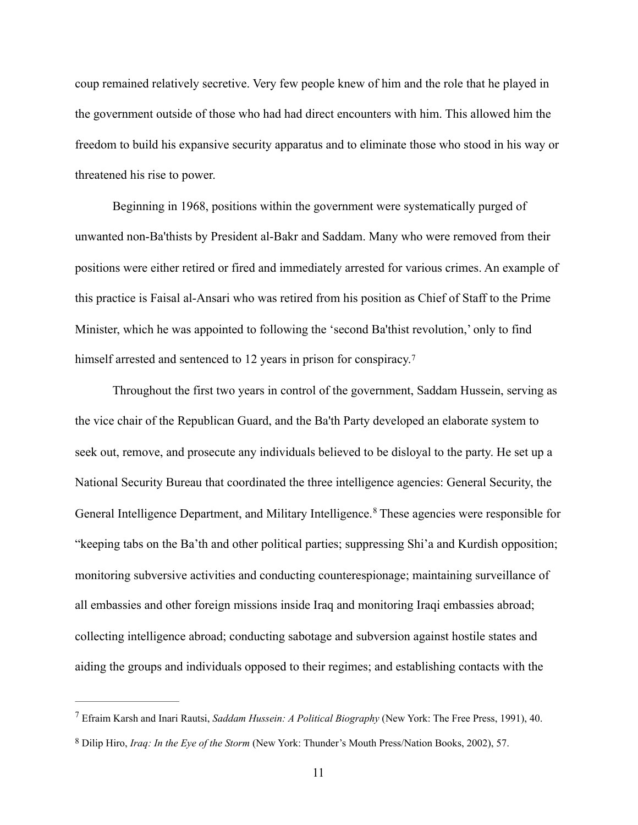coup remained relatively secretive. Very few people knew of him and the role that he played in the government outside of those who had had direct encounters with him. This allowed him the freedom to build his expansive security apparatus and to eliminate those who stood in his way or threatened his rise to power.

 Beginning in 1968, positions within the government were systematically purged of unwanted non-Ba'thists by President al-Bakr and Saddam. Many who were removed from their positions were either retired or fired and immediately arrested for various crimes. An example of this practice is Faisal al-Ansari who was retired from his position as Chief of Staff to the Prime Minister, which he was appointed to following the 'second Ba'thist revolution,' only to find himself arrested and sentenced to 12 years in prison for conspiracy.<sup>7</sup>

<span id="page-10-3"></span><span id="page-10-2"></span> Throughout the first two years in control of the government, Saddam Hussein, serving as the vice chair of the Republican Guard, and the Ba'th Party developed an elaborate system to seek out, remove, and prosecute any individuals believed to be disloyal to the party. He set up a National Security Bureau that coordinated the three intelligence agencies: General Security, the GeneralIntelligence Department, and Military Intelligence.<sup>[8](#page-10-1)</sup> These agencies were responsible for "keeping tabs on the Ba'th and other political parties; suppressing Shi'a and Kurdish opposition; monitoring subversive activities and conducting counterespionage; maintaining surveillance of all embassies and other foreign missions inside Iraq and monitoring Iraqi embassies abroad; collecting intelligence abroad; conducting sabotage and subversion against hostile states and aiding the groups and individuals opposed to their regimes; and establishing contacts with the

<span id="page-10-0"></span>Efraim Karsh and Inari Rautsi, *Saddam Hussein: A Political Biography* (New York: The Free Press, 1991), 40. [7](#page-10-2)

<span id="page-10-1"></span>Dilip Hiro, *Iraq: In the Eye of the Storm* (New York: Thunder's Mouth Press/Nation Books, 2002), 57. [8](#page-10-3)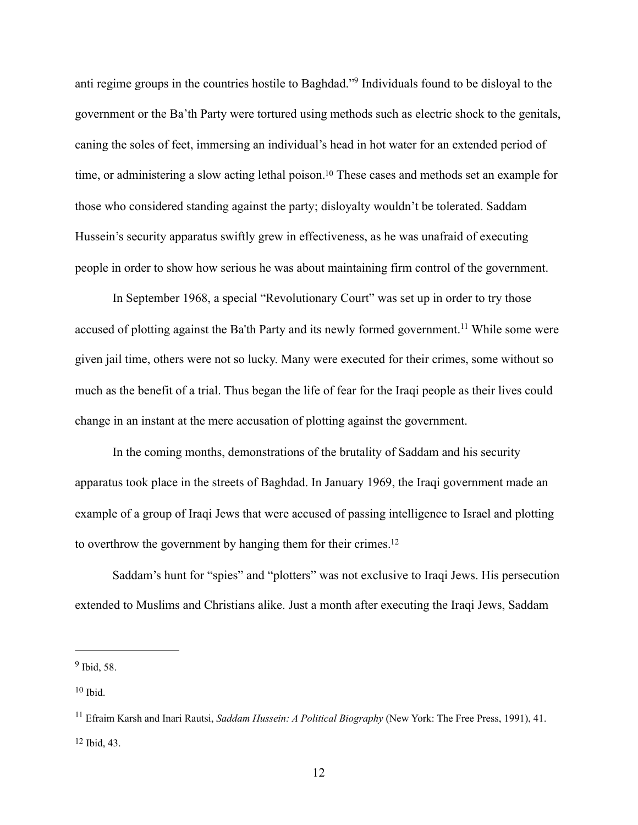<span id="page-11-5"></span><span id="page-11-4"></span>anti regime groups in the countries hostile to Baghdad.["](#page-11-0)<sup>[9](#page-11-0)</sup> Individuals found to be disloyal to the government or the Ba'th Party were tortured using methods such as electric shock to the genitals, caning the soles of feet, immersing an individual's head in hot water for an extended period of time, or administering a slow acting lethal poison[.](#page-11-1)<sup>[10](#page-11-1)</sup> These cases and methods set an example for those who considered standing against the party; disloyalty wouldn't be tolerated. Saddam Hussein's security apparatus swiftly grew in effectiveness, as he was unafraid of executing people in order to show how serious he was about maintaining firm control of the government.

<span id="page-11-6"></span> In September 1968, a special "Revolutionary Court" was set up in order to try those accused of plotting against the Ba'th Party and its newly formed government.<sup>[11](#page-11-2)</sup> While some were given jail time, others were not so lucky. Many were executed for their crimes, some without so much as the benefit of a trial. Thus began the life of fear for the Iraqi people as their lives could change in an instant at the mere accusation of plotting against the government.

 In the coming months, demonstrations of the brutality of Saddam and his security apparatus took place in the streets of Baghdad. In January 1969, the Iraqi government made an example of a group of Iraqi Jews that were accused of passing intelligence to Israel and plotting to overthrow the government by hanging them for their crimes[.](#page-11-3) [12](#page-11-3)

<span id="page-11-7"></span> Saddam's hunt for "spies" and "plotters" was not exclusive to Iraqi Jews. His persecution extended to Muslims and Christians alike. Just a month after executing the Iraqi Jews, Saddam

<span id="page-11-0"></span> $9$  Ibid, 58.

<span id="page-11-1"></span> $10$  Ibid.

<span id="page-11-3"></span><span id="page-11-2"></span><sup>&</sup>lt;sup>[11](#page-11-6)</sup> Efraim Karsh and Inari Rautsi, *Saddam Hussein: A Political Biography* (New York: The Free Press, 1991), 41.  $12$  Ibid, 43.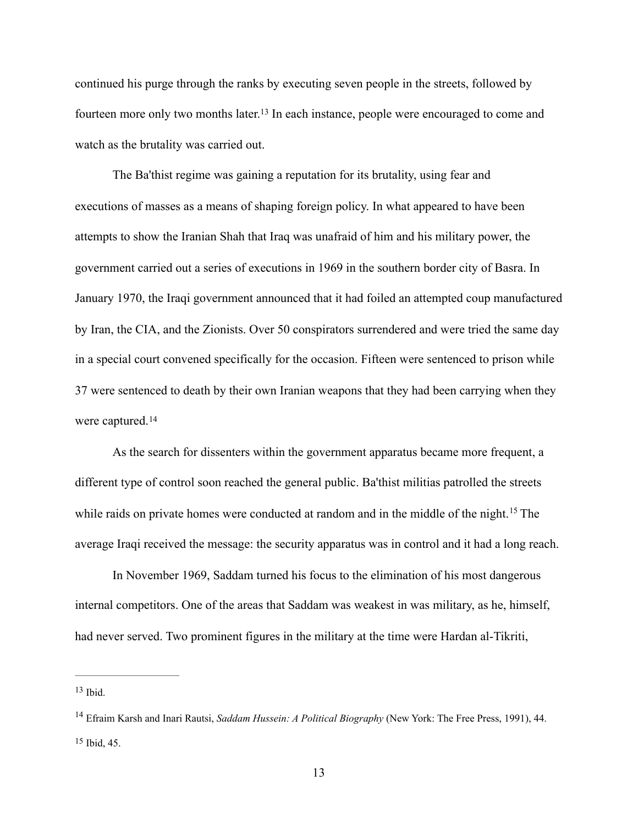<span id="page-12-3"></span>continued his purge through the ranks by executing seven people in the streets, followed by fourteenmore only two months later.<sup>[13](#page-12-0)</sup> In each instance, people were encouraged to come and watch as the brutality was carried out.

 The Ba'thist regime was gaining a reputation for its brutality, using fear and executions of masses as a means of shaping foreign policy. In what appeared to have been attempts to show the Iranian Shah that Iraq was unafraid of him and his military power, the government carried out a series of executions in 1969 in the southern border city of Basra. In January 1970, the Iraqi government announced that it had foiled an attempted coup manufactured by Iran, the CIA, and the Zionists. Over 50 conspirators surrendered and were tried the same day in a special court convened specifically for the occasion. Fifteen were sentenced to prison while 37 were sentenced to death by their own Iranian weapons that they had been carrying when they were captured.<sup>[14](#page-12-1)</sup>

<span id="page-12-4"></span> As the search for dissenters within the government apparatus became more frequent, a different type of control soon reached the general public. Ba'thist militias patrolled the streets whileraids on private homes were conducted at random and in the middle of the night.<sup>[15](#page-12-2)</sup> The average Iraqi received the message: the security apparatus was in control and it had a long reach.

<span id="page-12-5"></span> In November 1969, Saddam turned his focus to the elimination of his most dangerous internal competitors. One of the areas that Saddam was weakest in was military, as he, himself, had never served. Two prominent figures in the military at the time were Hardan al-Tikriti,

<span id="page-12-0"></span> $13$  Ibid.

<span id="page-12-2"></span><span id="page-12-1"></span><sup>&</sup>lt;sup>[14](#page-12-4)</sup> Efraim Karsh and Inari Rautsi, *Saddam Hussein: A Political Biography* (New York: The Free Press, 1991), 44.  $15$  Ibid, 45.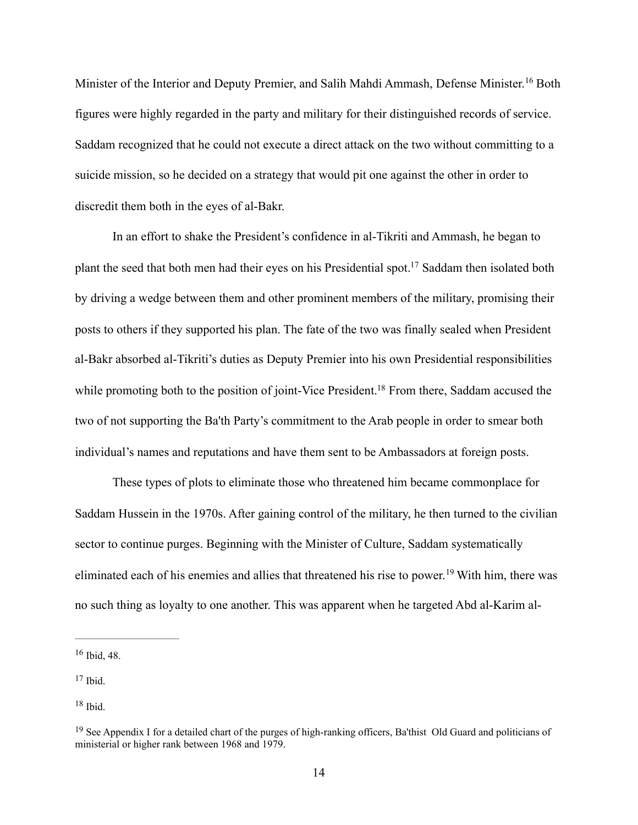<span id="page-13-4"></span>Ministerof the Interior and Deputy Premier, and Salih Mahdi Ammash, Defense Minister.<sup>[16](#page-13-0)</sup> Both figures were highly regarded in the party and military for their distinguished records of service. Saddam recognized that he could not execute a direct attack on the two without committing to a suicide mission, so he decided on a strategy that would pit one against the other in order to discredit them both in the eyes of al-Bakr.

<span id="page-13-5"></span> In an effort to shake the President's confidence in al-Tikriti and Ammash, he began to plant the seed that both men had their eyes on his Presidential spot[.](#page-13-1)<sup>[17](#page-13-1)</sup> Saddam then isolated both by driving a wedge between them and other prominent members of the military, promising their posts to others if they supported his plan. The fate of the two was finally sealed when President al-Bakr absorbed al-Tikriti's duties as Deputy Premier into his own Presidential responsibilities while promoting both to the position of joint-Vice President[.](#page-13-2)<sup>[18](#page-13-2)</sup> From there, Saddam accused the two of not supporting the Ba'th Party's commitment to the Arab people in order to smear both individual's names and reputations and have them sent to be Ambassadors at foreign posts.

<span id="page-13-6"></span> These types of plots to eliminate those who threatened him became commonplace for Saddam Hussein in the 1970s. After gaining control of the military, he then turned to the civilian sector to continue purges. Beginning with the Minister of Culture, Saddam systematically eliminatedeach of his enemies and allies that threatened his rise to power.<sup>[19](#page-13-3)</sup> With him, there was no such thing as loyalty to one another. This was apparent when he targeted Abd al-Karim al-

<span id="page-13-7"></span><span id="page-13-0"></span> $16$  Ibid, 48.

<span id="page-13-1"></span> $17$  Ibid.

<span id="page-13-2"></span> $18$  Ibid.

<span id="page-13-3"></span> $19$  See Appendix I for a detailed chart of the purges of high-ranking officers, Ba'thist Old Guard and politicians of ministerial or higher rank between 1968 and 1979.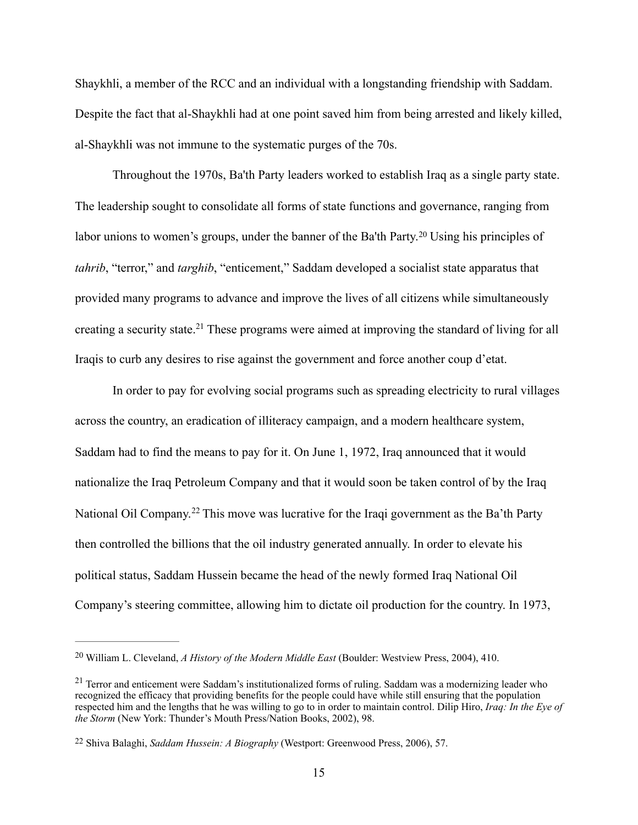Shaykhli, a member of the RCC and an individual with a longstanding friendship with Saddam. Despite the fact that al-Shaykhli had at one point saved him from being arrested and likely killed, al-Shaykhli was not immune to the systematic purges of the 70s.

<span id="page-14-3"></span> Throughout the 1970s, Ba'th Party leaders worked to establish Iraq as a single party state. The leadership sought to consolidate all forms of state functions and governance, ranging from laborunions to women's groups, under the banner of the Ba'th Party.<sup>[20](#page-14-0)</sup> Using his principles of *tahrib*, "terror," and *targhib*, "enticement," Saddam developed a socialist state apparatus that provided many programs to advance and improve the lives of all citizens while simultaneously creatinga security state.<sup>[21](#page-14-1)</sup> These programs were aimed at improving the standard of living for all Iraqis to curb any desires to rise against the government and force another coup d'etat.

<span id="page-14-4"></span> In order to pay for evolving social programs such as spreading electricity to rural villages across the country, an eradication of illiteracy campaign, and a modern healthcare system, Saddam had to find the means to pay for it. On June 1, 1972, Iraq announced that it would nationalize the Iraq Petroleum Company and that it would soon be taken control of by the Iraq NationalOil Company.<sup>[22](#page-14-2)</sup> This move was lucrative for the Iraqi government as the Ba'th Party then controlled the billions that the oil industry generated annually. In order to elevate his political status, Saddam Hussein became the head of the newly formed Iraq National Oil Company's steering committee, allowing him to dictate oil production for the country. In 1973,

<span id="page-14-5"></span><span id="page-14-0"></span><sup>&</sup>lt;sup>[20](#page-14-3)</sup> William L. Cleveland, *A History of the Modern Middle East* (Boulder: Westview Press, 2004), 410.

<span id="page-14-1"></span> $2<sup>1</sup>$  Terror and enticement were Saddam's institutionalized forms of ruling. Saddam was a modernizing leader who recognized the efficacy that providing benefits for the people could have while still ensuring that the population respected him and the lengths that he was willing to go to in order to maintain control. Dilip Hiro, *Iraq: In the Eye of the Storm* (New York: Thunder's Mouth Press/Nation Books, 2002), 98.

<span id="page-14-2"></span><sup>&</sup>lt;sup>[22](#page-14-5)</sup> Shiva Balaghi, *Saddam Hussein: A Biography* (Westport: Greenwood Press, 2006), 57.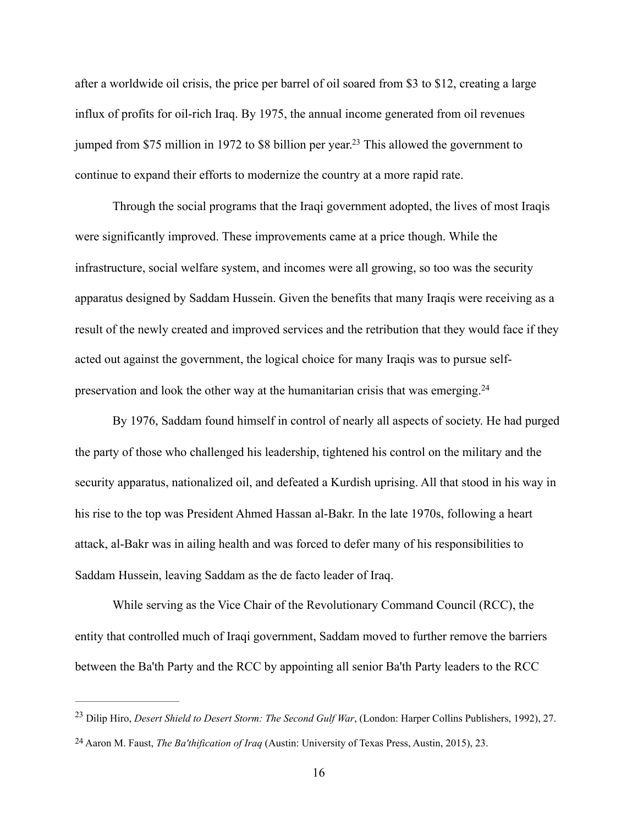after a worldwide oil crisis, the price per barrel of oil soared from \$3 to \$12, creating a large influx of profits for oil-rich Iraq. By 1975, the annual income generated from oil revenues jumped from \$75 million in 1972 to \$8 billion per year[.](#page-15-0)<sup>[23](#page-15-0)</sup> This allowed the government to continue to expand their efforts to modernize the country at a more rapid rate.

<span id="page-15-2"></span> Through the social programs that the Iraqi government adopted, the lives of most Iraqis were significantly improved. These improvements came at a price though. While the infrastructure, social welfare system, and incomes were all growing, so too was the security apparatus designed by Saddam Hussein. Given the benefits that many Iraqis were receiving as a result of the newly created and improved services and the retribution that they would face if they acted out against the government, the logical choice for many Iraqis was to pursue selfpreservation and look the other way at the humanitarian crisis that was emerging. [24](#page-15-1)

<span id="page-15-3"></span> By 1976, Saddam found himself in control of nearly all aspects of society. He had purged the party of those who challenged his leadership, tightened his control on the military and the security apparatus, nationalized oil, and defeated a Kurdish uprising. All that stood in his way in his rise to the top was President Ahmed Hassan al-Bakr. In the late 1970s, following a heart attack, al-Bakr was in ailing health and was forced to defer many of his responsibilities to Saddam Hussein, leaving Saddam as the de facto leader of Iraq.

 While serving as the Vice Chair of the Revolutionary Command Council (RCC), the entity that controlled much of Iraqi government, Saddam moved to further remove the barriers between the Ba'th Party and the RCC by appointing all senior Ba'th Party leaders to the RCC

<span id="page-15-0"></span><sup>&</sup>lt;sup>[23](#page-15-2)</sup> Dilip Hiro, *Desert Shield to Desert Storm: The Second Gulf War*, (London: Harper Collins Publishers, 1992), 27.

<span id="page-15-1"></span><sup>&</sup>lt;sup>[24](#page-15-3)</sup> Aaron M. Faust, *The Ba'thification of Iraq* (Austin: University of Texas Press, Austin, 2015), 23.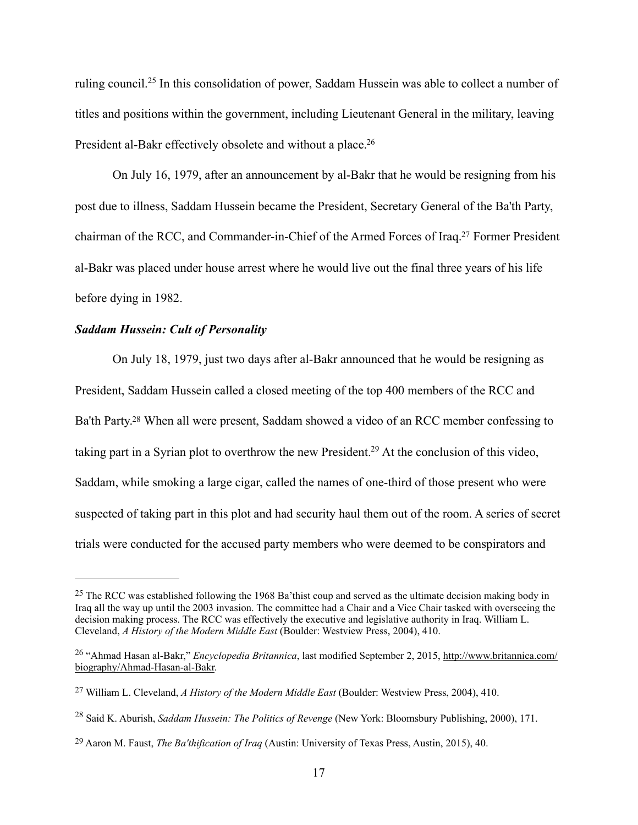<span id="page-16-5"></span>rulingcouncil.<sup>[25](#page-16-0)</sup> In this consolidation of power, Saddam Hussein was able to collect a number of titles and positions within the government, including Lieutenant General in the military, leaving President al-Bakr effectively obsolete and without a place.<sup>26</sup>

<span id="page-16-7"></span><span id="page-16-6"></span> On July 16, 1979, after an announcement by al-Bakr that he would be resigning from his post due to illness, Saddam Hussein became the President, Secretary General of the Ba'th Party, chairman of the RCC, and Commander-in-Chief of the Armed Forces of Iraq[.](#page-16-2)<sup>[27](#page-16-2)</sup> Former President al-Bakr was placed under house arrest where he would live out the final three years of his life before dying in 1982.

#### *Saddam Hussein: Cult of Personality*

<span id="page-16-9"></span><span id="page-16-8"></span> On July 18, 1979, just two days after al-Bakr announced that he would be resigning as President, Saddam Hussein called a closed meeting of the top 400 members of the RCC and Ba'th Party[.](#page-16-3)<sup>[28](#page-16-3)</sup> When all were present, Saddam showed a video of an RCC member confessing to taking part in a Syrian plot to overthrow the new President[.](#page-16-4)<sup>[29](#page-16-4)</sup> At the conclusion of this video, Saddam, while smoking a large cigar, called the names of one-third of those present who were suspected of taking part in this plot and had security haul them out of the room. A series of secret trials were conducted for the accused party members who were deemed to be conspirators and

<span id="page-16-0"></span><sup>&</sup>lt;sup>[25](#page-16-5)</sup> The RCC was established following the 1968 Ba'thist coup and served as the ultimate decision making body in Iraq all the way up until the 2003 invasion. The committee had a Chair and a Vice Chair tasked with overseeing the decision making process. The RCC was effectively the executive and legislative authority in Iraq. William L. Cleveland, *A History of the Modern Middle East* (Boulder: Westview Press, 2004), 410.

<span id="page-16-1"></span><sup>&</sup>lt;sup>[26](#page-16-6)</sup> "Ahmad Hasan al-Bakr," *Encyclopedia Britannica*[, last modified September 2, 2015,](http://www.britannica.com/biography/Ahmad-Hasan-al-Bakr) http://www.britannica.com/ biography/Ahmad-Hasan-al-Bakr.

<span id="page-16-2"></span><sup>&</sup>lt;sup>[27](#page-16-7)</sup> William L. Cleveland, *A History of the Modern Middle East* (Boulder: Westview Press, 2004), 410.

<span id="page-16-3"></span><sup>&</sup>lt;sup>[28](#page-16-8)</sup> Said K. Aburish, *Saddam Hussein: The Politics of Revenge* (New York: Bloomsbury Publishing, 2000), 171.

<span id="page-16-4"></span>Aaron M. Faust, *The Ba'thification of Iraq* (Austin: University of Texas Press, Austin, 2015), 40. [29](#page-16-9)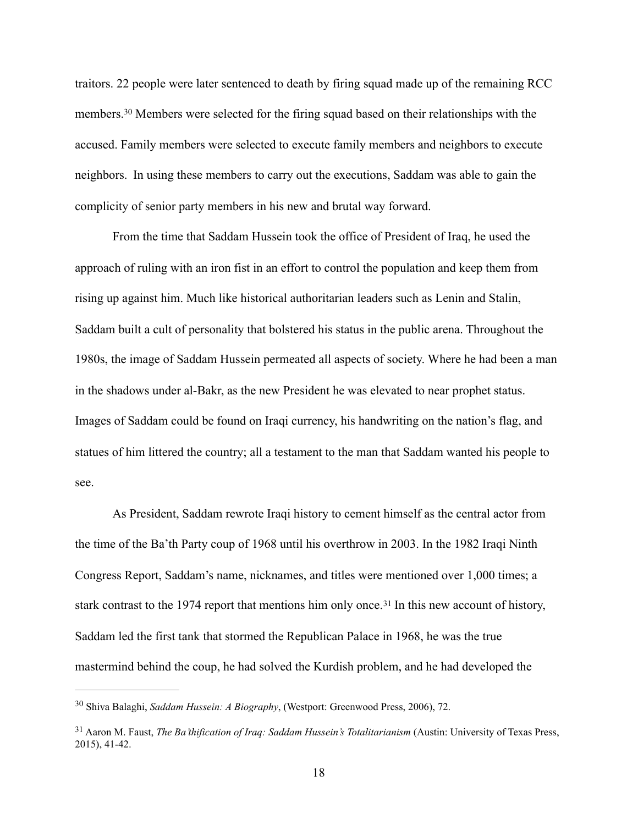<span id="page-17-2"></span>traitors. 22 people were later sentenced to death by firing squad made up of the remaining RCC members.<sup>30</sup>Members were selected for the firing squad based on their relationships with the accused. Family members were selected to execute family members and neighbors to execute neighbors. In using these members to carry out the executions, Saddam was able to gain the complicity of senior party members in his new and brutal way forward.

 From the time that Saddam Hussein took the office of President of Iraq, he used the approach of ruling with an iron fist in an effort to control the population and keep them from rising up against him. Much like historical authoritarian leaders such as Lenin and Stalin, Saddam built a cult of personality that bolstered his status in the public arena. Throughout the 1980s, the image of Saddam Hussein permeated all aspects of society. Where he had been a man in the shadows under al-Bakr, as the new President he was elevated to near prophet status. Images of Saddam could be found on Iraqi currency, his handwriting on the nation's flag, and statues of him littered the country; all a testament to the man that Saddam wanted his people to see.

 As President, Saddam rewrote Iraqi history to cement himself as the central actor from the time of the Ba'th Party coup of 1968 until his overthrow in 2003. In the 1982 Iraqi Ninth Congress Report, Saddam's name, nicknames, and titles were mentioned over 1,000 times; a starkcontrast to the 1974 report that mentions him only once.<sup>[31](#page-17-1)</sup> In this new account of history, Saddam led the first tank that stormed the Republican Palace in 1968, he was the true mastermind behind the coup, he had solved the Kurdish problem, and he had developed the

<span id="page-17-3"></span><span id="page-17-0"></span><sup>&</sup>lt;sup>[30](#page-17-2)</sup> Shiva Balaghi, *Saddam Hussein: A Biography*, (Westport: Greenwood Press, 2006), 72.

<span id="page-17-1"></span><sup>&</sup>lt;sup>[31](#page-17-3)</sup> Aaron M. Faust, *The Ba'thification of Iraq: Saddam Hussein's Totalitarianism* (Austin: University of Texas Press, 2015), 41-42.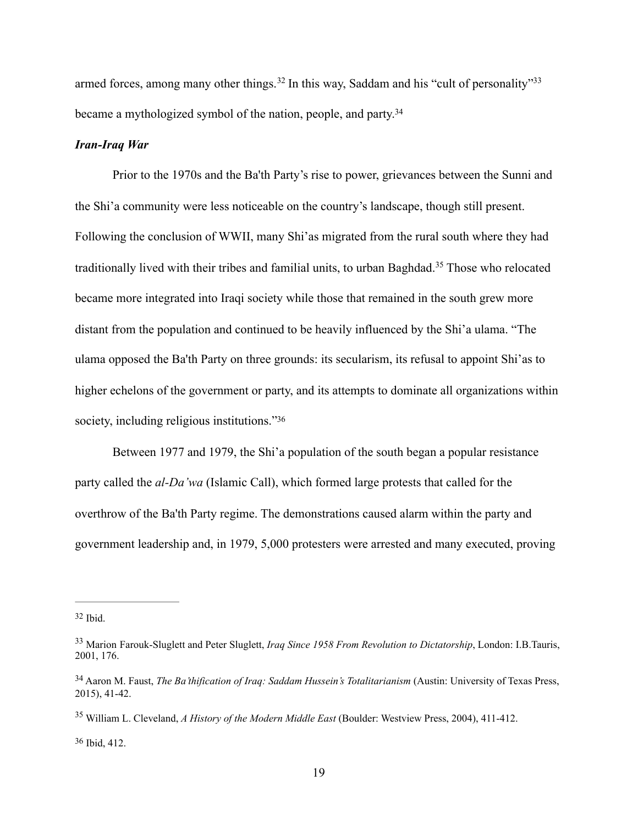<span id="page-18-6"></span><span id="page-18-5"></span>armedforces, among many other things.<sup>32</sup> In this way, Saddam and his "cult of personality"<sup>[33](#page-18-1)</sup> became a mythologized symbol of the nation, people, and party[.34](#page-18-2)

#### <span id="page-18-7"></span>*Iran-Iraq War*

<span id="page-18-8"></span> Prior to the 1970s and the Ba'th Party's rise to power, grievances between the Sunni and the Shi'a community were less noticeable on the country's landscape, though still present. Following the conclusion of WWII, many Shi'as migrated from the rural south where they had traditionallylived with their tribes and familial units, to urban Baghdad.<sup>[35](#page-18-3)</sup> Those who relocated became more integrated into Iraqi society while those that remained in the south grew more distant from the population and continued to be heavily influenced by the Shi'a ulama. "The ulama opposed the Ba'th Party on three grounds: its secularism, its refusal to appoint Shi'as to higher echelons of the government or party, and its attempts to dominate all organizations within society, including religious institutions.["36](#page-18-4)

<span id="page-18-9"></span> Between 1977 and 1979, the Shi'a population of the south began a popular resistance party called the *al-Da'wa* (Islamic Call), which formed large protests that called for the overthrow of the Ba'th Party regime. The demonstrations caused alarm within the party and government leadership and, in 1979, 5,000 protesters were arrested and many executed, proving

<span id="page-18-4"></span>[36](#page-18-9) Ibid, 412.

<span id="page-18-0"></span> $32$  Ibid.

<span id="page-18-1"></span>Marion Farouk-Sluglett and Peter Sluglett, *Iraq Since 1958 From Revolution to Dictatorship*, London: I.B.Tauris, [33](#page-18-6) 2001, 176.

<span id="page-18-2"></span><sup>&</sup>lt;sup>[34](#page-18-7)</sup> Aaron M. Faust, *The Ba'thification of Iraq: Saddam Hussein's Totalitarianism* (Austin: University of Texas Press, 2015), 41-42.

<span id="page-18-3"></span><sup>&</sup>lt;sup>[35](#page-18-8)</sup> William L. Cleveland, *A History of the Modern Middle East* (Boulder: Westview Press, 2004), 411-412.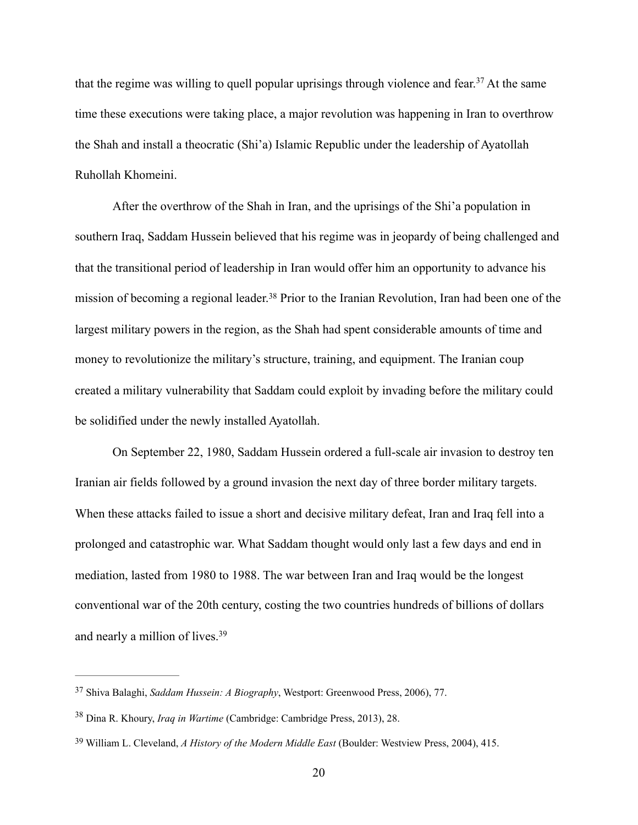<span id="page-19-3"></span>thatthe regime was willing to quell popular uprisings through violence and fear.<sup>[37](#page-19-0)</sup> At the same time these executions were taking place, a major revolution was happening in Iran to overthrow the Shah and install a theocratic (Shi'a) Islamic Republic under the leadership of Ayatollah Ruhollah Khomeini.

<span id="page-19-4"></span> After the overthrow of the Shah in Iran, and the uprisings of the Shi'a population in southern Iraq, Saddam Hussein believed that his regime was in jeopardy of being challenged and that the transitional period of leadership in Iran would offer him an opportunity to advance his missionof becoming a regional leader.<sup>[38](#page-19-1)</sup> Prior to the Iranian Revolution, Iran had been one of the largest military powers in the region, as the Shah had spent considerable amounts of time and money to revolutionize the military's structure, training, and equipment. The Iranian coup created a military vulnerability that Saddam could exploit by invading before the military could be solidified under the newly installed Ayatollah.

 On September 22, 1980, Saddam Hussein ordered a full-scale air invasion to destroy ten Iranian air fields followed by a ground invasion the next day of three border military targets. When these attacks failed to issue a short and decisive military defeat, Iran and Iraq fell into a prolonged and catastrophic war. What Saddam thought would only last a few days and end in mediation, lasted from 1980 to 1988. The war between Iran and Iraq would be the longest conventional war of the 20th century, costing the two countries hundreds of billions of dollars and nearly a million of lives. [39](#page-19-2)

<span id="page-19-5"></span><span id="page-19-0"></span><sup>&</sup>lt;sup>[37](#page-19-3)</sup> Shiva Balaghi, *Saddam Hussein: A Biography*, Westport: Greenwood Press, 2006), 77.

<span id="page-19-1"></span><sup>&</sup>lt;sup>[38](#page-19-4)</sup> Dina R. Khoury, *Iraq in Wartime* (Cambridge: Cambridge Press, 2013), 28.

<span id="page-19-2"></span>William L. Cleveland, *A History of the Modern Middle East* (Boulder: Westview Press, 2004), 415. [39](#page-19-5)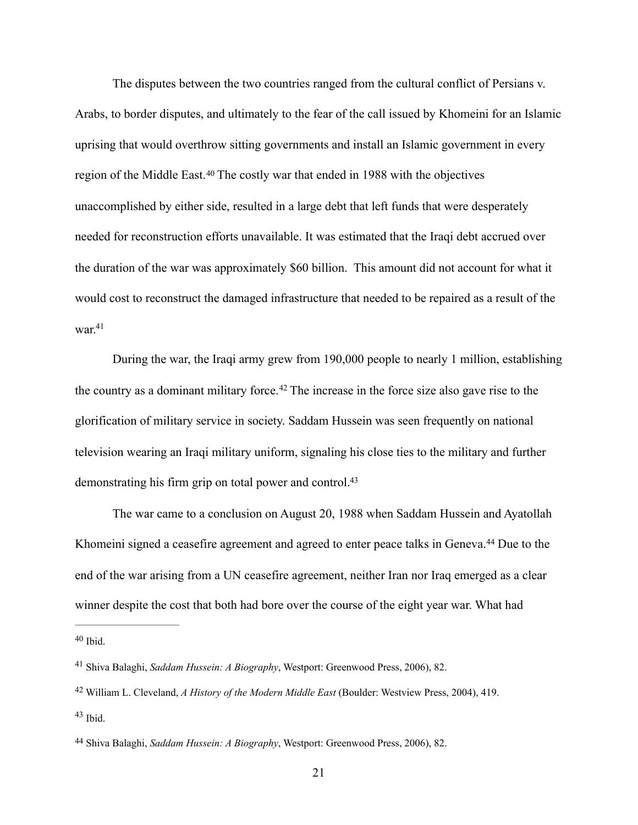<span id="page-20-5"></span> The disputes between the two countries ranged from the cultural conflict of Persians v. Arabs, to border disputes, and ultimately to the fear of the call issued by Khomeini for an Islamic uprising that would overthrow sitting governments and install an Islamic government in every regionof the Middle East.<sup>[40](#page-20-0)</sup> The costly war that ended in 1988 with the objectives unaccomplished by either side, resulted in a large debt that left funds that were desperately needed for reconstruction efforts unavailable. It was estimated that the Iraqi debt accrued over the duration of the war was approximately \$60 billion. This amount did not account for what it would cost to reconstruct the damaged infrastructure that needed to be repaired as a result of the war. $41$ 

<span id="page-20-7"></span><span id="page-20-6"></span> During the war, the Iraqi army grew from 190,000 people to nearly 1 million, establishing thecountry as a dominant military force.<sup> $42$ </sup> The increase in the force size also gave rise to the glorification of military service in society. Saddam Hussein was seen frequently on national television wearing an Iraqi military uniform, signaling his close ties to the military and further demonstrating his firm grip on total power and control[.](#page-20-3)<sup>[43](#page-20-3)</sup>

<span id="page-20-9"></span><span id="page-20-8"></span> The war came to a conclusion on August 20, 1988 when Saddam Hussein and Ayatollah Khomeinisigned a ceasefire agreement and agreed to enter peace talks in Geneva.<sup>[44](#page-20-4)</sup> Due to the end of the war arising from a UN ceasefire agreement, neither Iran nor Iraq emerged as a clear winner despite the cost that both had bore over the course of the eight year war. What had

<span id="page-20-0"></span> $40$  Ibid.

<span id="page-20-1"></span>Shiva Balaghi, *Saddam Hussein: A Biography*, Westport: Greenwood Press, 2006), 82. [41](#page-20-6)

<span id="page-20-2"></span>William L. Cleveland, *A History of the Modern Middle East* (Boulder: Westview Press, 2004), 419. [42](#page-20-7)

<span id="page-20-3"></span> $43$  Ibid.

<span id="page-20-4"></span><sup>&</sup>lt;sup>[44](#page-20-9)</sup> Shiva Balaghi, *Saddam Hussein: A Biography*, Westport: Greenwood Press, 2006), 82.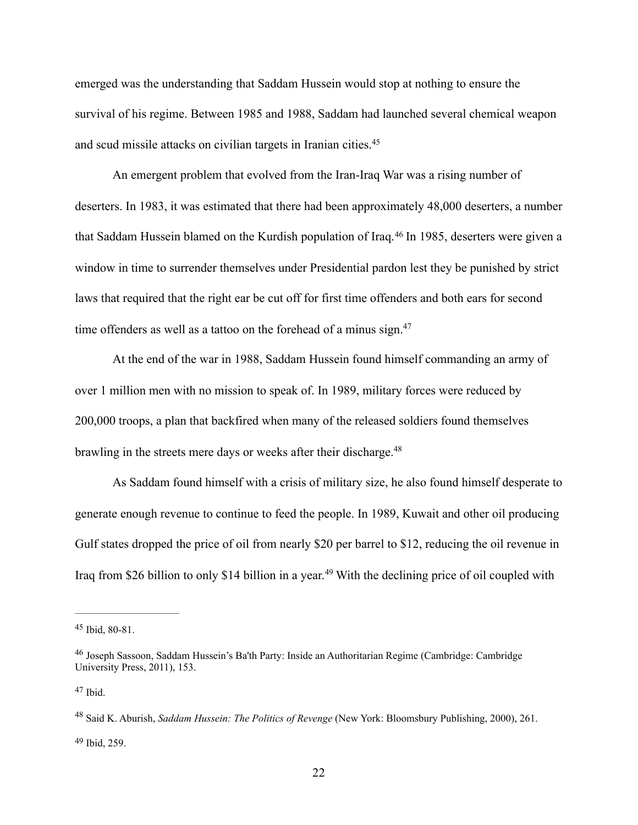emerged was the understanding that Saddam Hussein would stop at nothing to ensure the survival of his regime. Between 1985 and 1988, Saddam had launched several chemical weapon and scud missile attacks on civilian targets in Iranian cities[.](#page-21-0) [45](#page-21-0)

<span id="page-21-6"></span><span id="page-21-5"></span> An emergent problem that evolved from the Iran-Iraq War was a rising number of deserters. In 1983, it was estimated that there had been approximately 48,000 deserters, a number thatSaddam Hussein blamed on the Kurdish population of Iraq.<sup>[46](#page-21-1)</sup> In 1985, deserters were given a window in time to surrender themselves under Presidential pardon lest they be punished by strict laws that required that the right ear be cut off for first time offenders and both ears for second time offenders as well as a tattoo on the forehead of a minus sign.<sup>47</sup>

<span id="page-21-7"></span> At the end of the war in 1988, Saddam Hussein found himself commanding an army of over 1 million men with no mission to speak of. In 1989, military forces were reduced by 200,000 troops, a plan that backfired when many of the released soldiers found themselves brawling in the streets mere days or weeks after their discharge. [48](#page-21-3)

<span id="page-21-8"></span> As Saddam found himself with a crisis of military size, he also found himself desperate to generate enough revenue to continue to feed the people. In 1989, Kuwait and other oil producing Gulf states dropped the price of oil from nearly \$20 per barrel to \$12, reducing the oil revenue in Iraqfrom \$26 billion to only \$14 billion in a year.<sup>[49](#page-21-4)</sup> With the declining price of oil coupled with

<span id="page-21-9"></span><span id="page-21-0"></span> $45$  Ibid, 80-81.

<span id="page-21-1"></span><sup>&</sup>lt;sup>[46](#page-21-6)</sup> Joseph Sassoon, Saddam Hussein's Ba'th Party: Inside an Authoritarian Regime (Cambridge: Cambridge University Press, 2011), 153.

<span id="page-21-2"></span> $47$  Ibid.

<span id="page-21-4"></span><span id="page-21-3"></span><sup>&</sup>lt;sup>[48](#page-21-8)</sup> Said K. Aburish, *Saddam Hussein: The Politics of Revenge* (New York: Bloomsbury Publishing, 2000), 261. <sup>[49](#page-21-9)</sup> Ibid, 259.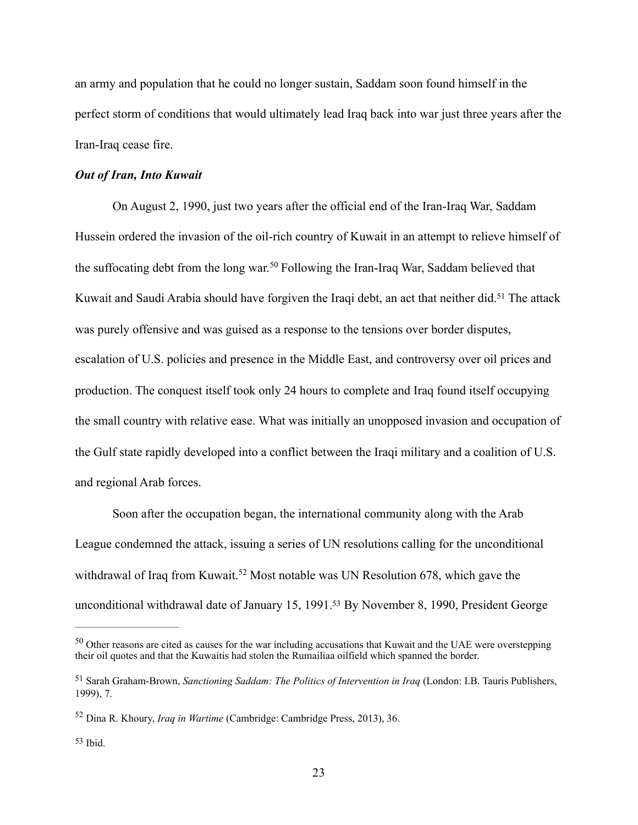an army and population that he could no longer sustain, Saddam soon found himself in the perfect storm of conditions that would ultimately lead Iraq back into war just three years after the Iran-Iraq cease fire.

#### *Out of Iran, Into Kuwait*

<span id="page-22-5"></span><span id="page-22-4"></span> On August 2, 1990, just two years after the official end of the Iran-Iraq War, Saddam Hussein ordered the invasion of the oil-rich country of Kuwait in an attempt to relieve himself of thesuffocating debt from the long war.<sup>[50](#page-22-0)</sup> Following the Iran-Iraq War, Saddam believed that Kuwaitand Saudi Arabia should have forgiven the Iraqi debt, an act that neither did.<sup>[51](#page-22-1)</sup> The attack was purely offensive and was guised as a response to the tensions over border disputes, escalation of U.S. policies and presence in the Middle East, and controversy over oil prices and production. The conquest itself took only 24 hours to complete and Iraq found itself occupying the small country with relative ease. What was initially an unopposed invasion and occupation of the Gulf state rapidly developed into a conflict between the Iraqi military and a coalition of U.S. and regional Arab forces.

 Soon after the occupation began, the international community along with the Arab League condemned the attack, issuing a series of UN resolutions calling for the unconditional withdrawalof Iraq from Kuwait.<sup>[52](#page-22-2)</sup> Most notable was UN Resolution 678, which gave the unconditional withdrawal date of January 15, 1991[.](#page-22-3)<sup>[53](#page-22-3)</sup> By November 8, 1990, President George

<span id="page-22-7"></span><span id="page-22-6"></span><span id="page-22-0"></span> $50$  Other reasons are cited as causes for the war including accusations that Kuwait and the UAE were overstepping their oil quotes and that the Kuwaitis had stolen the Rumailiaa oilfield which spanned the border.

<span id="page-22-1"></span><sup>&</sup>lt;sup>[51](#page-22-5)</sup> Sarah Graham-Brown, *Sanctioning Saddam: The Politics of Intervention in Iraq* (London: I.B. Tauris Publishers, 1999), 7.

<span id="page-22-2"></span><sup>&</sup>lt;sup>[52](#page-22-6)</sup> Dina R. Khoury, *Iraq in Wartime* (Cambridge: Cambridge Press, 2013), 36.

<span id="page-22-3"></span> $53$  Ibid.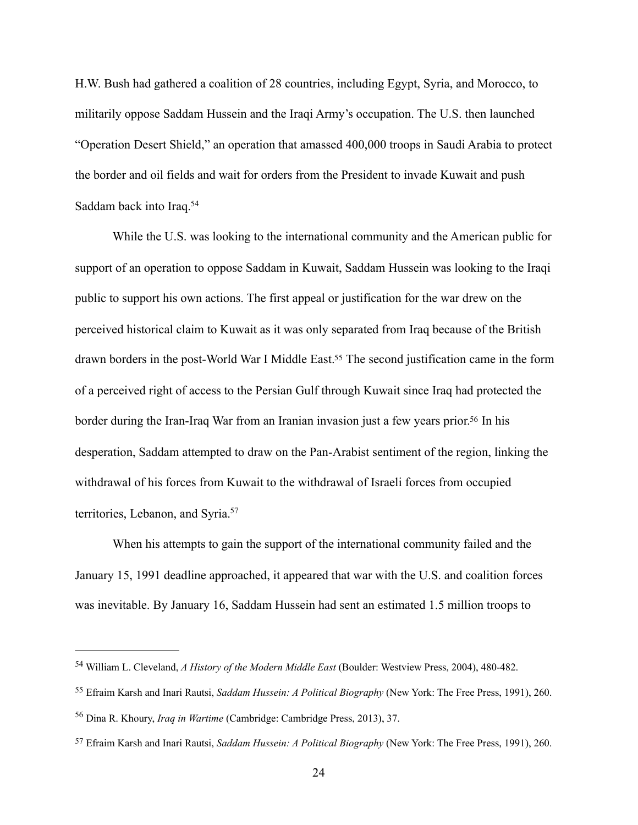H.W. Bush had gathered a coalition of 28 countries, including Egypt, Syria, and Morocco, to militarily oppose Saddam Hussein and the Iraqi Army's occupation. The U.S. then launched "Operation Desert Shield," an operation that amassed 400,000 troops in Saudi Arabia to protect the border and oil fields and wait for orders from the President to invade Kuwait and push Saddam back into Iraq[.54](#page-23-0)

<span id="page-23-5"></span><span id="page-23-4"></span> While the U.S. was looking to the international community and the American public for support of an operation to oppose Saddam in Kuwait, Saddam Hussein was looking to the Iraqi public to support his own actions. The first appeal or justification for the war drew on the perceived historical claim to Kuwait as it was only separated from Iraq because of the British drawn borders in the post-World War I Middle East[.](#page-23-1)<sup>[55](#page-23-1)</sup> The second justification came in the form of a perceived right of access to the Persian Gulf through Kuwait since Iraq had protected the border during the Iran-Iraq War from an Iranian invasion just a few years prior[.](#page-23-2)<sup>[56](#page-23-2)</sup> In his desperation, Saddam attempted to draw on the Pan-Arabist sentiment of the region, linking the withdrawal of his forces from Kuwait to the withdrawal of Israeli forces from occupied territories, Lebanon, and Syria[.57](#page-23-3)

<span id="page-23-7"></span><span id="page-23-6"></span> When his attempts to gain the support of the international community failed and the January 15, 1991 deadline approached, it appeared that war with the U.S. and coalition forces was inevitable. By January 16, Saddam Hussein had sent an estimated 1.5 million troops to

<span id="page-23-0"></span>William L. Cleveland, *A History of the Modern Middle East* (Boulder: Westview Press, 2004), 480-482. [54](#page-23-4)

<span id="page-23-1"></span><sup>&</sup>lt;sup>[55](#page-23-5)</sup> Efraim Karsh and Inari Rautsi, *Saddam Hussein: A Political Biography* (New York: The Free Press, 1991), 260.

<span id="page-23-2"></span><sup>&</sup>lt;sup>[56](#page-23-6)</sup> Dina R. Khoury, *Iraq in Wartime* (Cambridge: Cambridge Press, 2013), 37.

<span id="page-23-3"></span><sup>&</sup>lt;sup>[57](#page-23-7)</sup> Efraim Karsh and Inari Rautsi, *Saddam Hussein: A Political Biography* (New York: The Free Press, 1991), 260.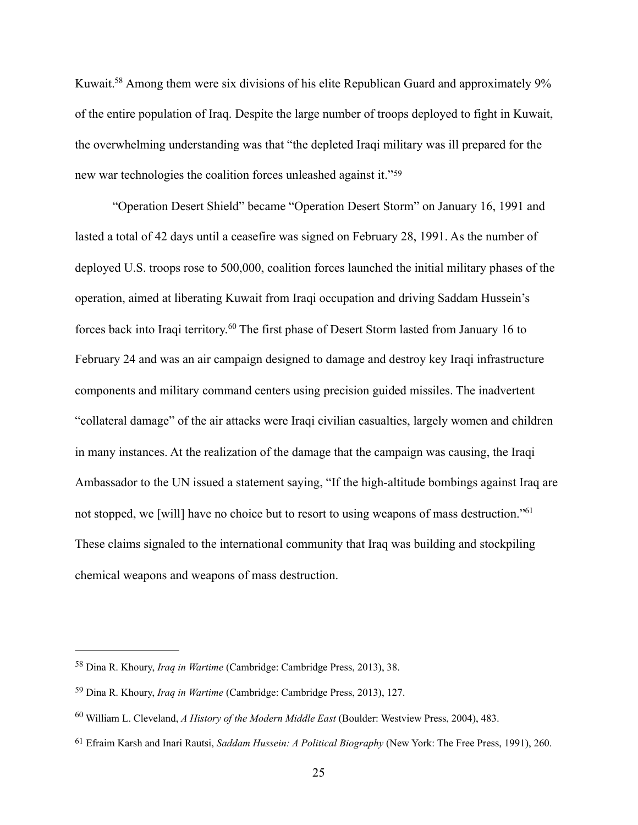<span id="page-24-4"></span>Kuwait[.](#page-24-0)<sup>[58](#page-24-0)</sup> Among them were six divisions of his elite Republican Guard and approximately 9% of the entire population of Iraq. Despite the large number of troops deployed to fight in Kuwait, the overwhelming understanding was that "the depleted Iraqi military was ill prepared for the new war technologies the coalition forces unleashed against it."[59](#page-24-1)

<span id="page-24-6"></span><span id="page-24-5"></span> "Operation Desert Shield" became "Operation Desert Storm" on January 16, 1991 and lasted a total of 42 days until a ceasefire was signed on February 28, 1991. As the number of deployed U.S. troops rose to 500,000, coalition forces launched the initial military phases of the operation, aimed at liberating Kuwait from Iraqi occupation and driving Saddam Hussein's forcesback into Iraqi territory.<sup>[60](#page-24-2)</sup> The first phase of Desert Storm lasted from January 16 to February 24 and was an air campaign designed to damage and destroy key Iraqi infrastructure components and military command centers using precision guided missiles. The inadvertent "collateral damage" of the air attacks were Iraqi civilian casualties, largely women and children in many instances. At the realization of the damage that the campaign was causing, the Iraqi Ambassador to the UN issued a statement saying, "If the high-altitude bombings against Iraq are not stopped, we [will] have no choice but to resort to using weapons of mass destruction."<sup>61</sup> These claims signaled to the international community that Iraq was building and stockpiling chemical weapons and weapons of mass destruction.

<span id="page-24-7"></span><span id="page-24-0"></span><sup>&</sup>lt;sup>[58](#page-24-4)</sup> Dina R. Khoury, *Iraq in Wartime* (Cambridge: Cambridge Press, 2013), 38.

<span id="page-24-1"></span><sup>&</sup>lt;sup>[59](#page-24-5)</sup> Dina R. Khoury, *Iraq in Wartime* (Cambridge: Cambridge Press, 2013), 127.

<span id="page-24-2"></span><sup>&</sup>lt;sup>[60](#page-24-6)</sup> William L. Cleveland, *A History of the Modern Middle East* (Boulder: Westview Press, 2004), 483.

<span id="page-24-3"></span><sup>&</sup>lt;sup>[61](#page-24-7)</sup> Efraim Karsh and Inari Rautsi, *Saddam Hussein: A Political Biography* (New York: The Free Press, 1991), 260.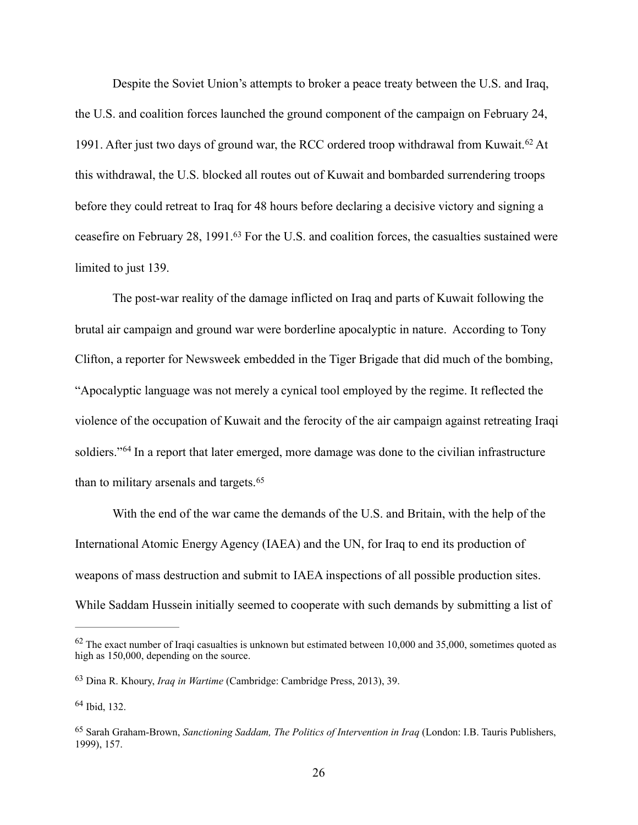<span id="page-25-4"></span> Despite the Soviet Union's attempts to broker a peace treaty between the U.S. and Iraq, the U.S. and coalition forces launched the ground component of the campaign on February 24, 1991.After just two days of ground war, the RCC ordered troop withdrawal from Kuwait.<sup>[62](#page-25-0)</sup> At this withdrawal, the U.S. blocked all routes out of Kuwait and bombarded surrendering troops before they could retreat to Iraq for 48 hours before declaring a decisive victory and signing a ceasefireon February 28, 1991.<sup>[63](#page-25-1)</sup> For the U.S. and coalition forces, the casualties sustained were limited to just 139.

<span id="page-25-5"></span> The post-war reality of the damage inflicted on Iraq and parts of Kuwait following the brutal air campaign and ground war were borderline apocalyptic in nature. According to Tony Clifton, a reporter for Newsweek embedded in the Tiger Brigade that did much of the bombing, "Apocalyptic language was not merely a cynical tool employed by the regime. It reflected the violence of the occupation of Kuwait and the ferocity of the air campaign against retreating Iraqi soldiers."<sup>64</sup>In a report that later emerged, more damage was done to the civilian infrastructure than to military arsenals and targets.<sup>[65](#page-25-3)</sup>

<span id="page-25-7"></span><span id="page-25-6"></span> With the end of the war came the demands of the U.S. and Britain, with the help of the International Atomic Energy Agency (IAEA) and the UN, for Iraq to end its production of weapons of mass destruction and submit to IAEA inspections of all possible production sites. While Saddam Hussein initially seemed to cooperate with such demands by submitting a list of

<span id="page-25-0"></span> $62$  The exact number of Iraqi casualties is unknown but estimated between 10,000 and 35,000, sometimes quoted as high as 150,000, depending on the source.

<span id="page-25-1"></span><sup>&</sup>lt;sup>[63](#page-25-5)</sup> Dina R. Khoury, *Iraq in Wartime* (Cambridge: Cambridge Press, 2013), 39.

<span id="page-25-2"></span> $64$  Ibid, 132.

<span id="page-25-3"></span>Sarah Graham-Brown, *Sanctioning Saddam, The Politics of Intervention in Iraq* (London: I.B. Tauris Publishers, [65](#page-25-7) 1999), 157.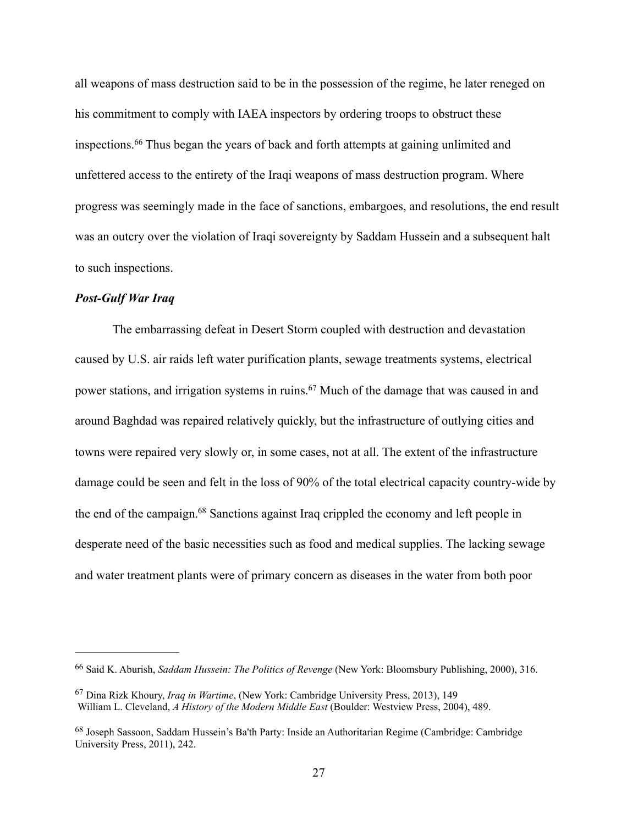<span id="page-26-3"></span>all weapons of mass destruction said to be in the possession of the regime, he later reneged on his commitment to comply with IAEA inspectors by ordering troops to obstruct these inspections.<sup>66</sup>Thus began the years of back and forth attempts at gaining unlimited and unfettered access to the entirety of the Iraqi weapons of mass destruction program. Where progress was seemingly made in the face of sanctions, embargoes, and resolutions, the end result was an outcry over the violation of Iraqi sovereignty by Saddam Hussein and a subsequent halt to such inspections.

#### *Post-Gulf War Iraq*

<span id="page-26-4"></span> The embarrassing defeat in Desert Storm coupled with destruction and devastation caused by U.S. air raids left water purification plants, sewage treatments systems, electrical powerstations, and irrigation systems in ruins.<sup>[67](#page-26-1)</sup> Much of the damage that was caused in and around Baghdad was repaired relatively quickly, but the infrastructure of outlying cities and towns were repaired very slowly or, in some cases, not at all. The extent of the infrastructure damage could be seen and felt in the loss of 90% of the total electrical capacity country-wide by the end of the campaign[.](#page-26-2)<sup>[68](#page-26-2)</sup> Sanctions against Iraq crippled the economy and left people in desperate need of the basic necessities such as food and medical supplies. The lacking sewage and water treatment plants were of primary concern as diseases in the water from both poor

<span id="page-26-5"></span><span id="page-26-0"></span>Said K. Aburish, *Saddam Hussein: The Politics of Revenge* (New York: Bloomsbury Publishing, 2000), 316. [66](#page-26-3)

<span id="page-26-1"></span><sup>&</sup>lt;sup>[67](#page-26-4)</sup> Dina Rizk Khoury, *Iraq in Wartime*, (New York: Cambridge University Press, 2013), 149 William L. Cleveland, *A History of the Modern Middle East* (Boulder: Westview Press, 2004), 489.

<span id="page-26-2"></span><sup>&</sup>lt;sup>[68](#page-26-5)</sup> Joseph Sassoon, Saddam Hussein's Ba'th Party: Inside an Authoritarian Regime (Cambridge: Cambridge University Press, 2011), 242.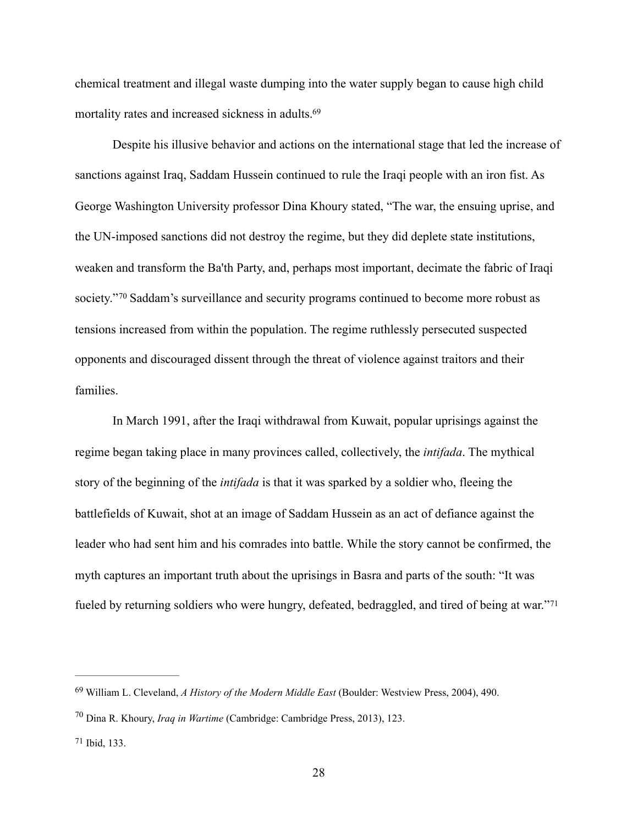chemical treatment and illegal waste dumping into the water supply began to cause high child mortality rates and increased sickness in adults.<sup>69</sup>

<span id="page-27-3"></span> Despite his illusive behavior and actions on the international stage that led the increase of sanctions against Iraq, Saddam Hussein continued to rule the Iraqi people with an iron fist. As George Washington University professor Dina Khoury stated, "The war, the ensuing uprise, and the UN-imposed sanctions did not destroy the regime, but they did deplete state institutions, weaken and transform the Ba'th Party, and, perhaps most important, decimate the fabric of Iraqi society."<sup>70</sup>Saddam's surveillance and security programs continued to become more robust as tensions increased from within the population. The regime ruthlessly persecuted suspected opponents and discouraged dissent through the threat of violence against traitors and their families.

<span id="page-27-4"></span> In March 1991, after the Iraqi withdrawal from Kuwait, popular uprisings against the regime began taking place in many provinces called, collectively, the *intifada*. The mythical story of the beginning of the *intifada* is that it was sparked by a soldier who, fleeing the battlefields of Kuwait, shot at an image of Saddam Hussein as an act of defiance against the leader who had sent him and his comrades into battle. While the story cannot be confirmed, the myth captures an important truth about the uprisings in Basra and parts of the south: "It was fueled by returning soldiers who were hungry, defeated, bedraggled, and tired of being at war."[71](#page-27-2)

<span id="page-27-5"></span><span id="page-27-0"></span><sup>&</sup>lt;sup>[69](#page-27-3)</sup> William L. Cleveland, *A History of the Modern Middle East* (Boulder: Westview Press, 2004), 490.

<span id="page-27-1"></span><sup>&</sup>lt;sup>[70](#page-27-4)</sup> Dina R. Khoury, *Iraq in Wartime* (Cambridge: Cambridge Press, 2013), 123.

<span id="page-27-2"></span> $71$  Ibid, 133.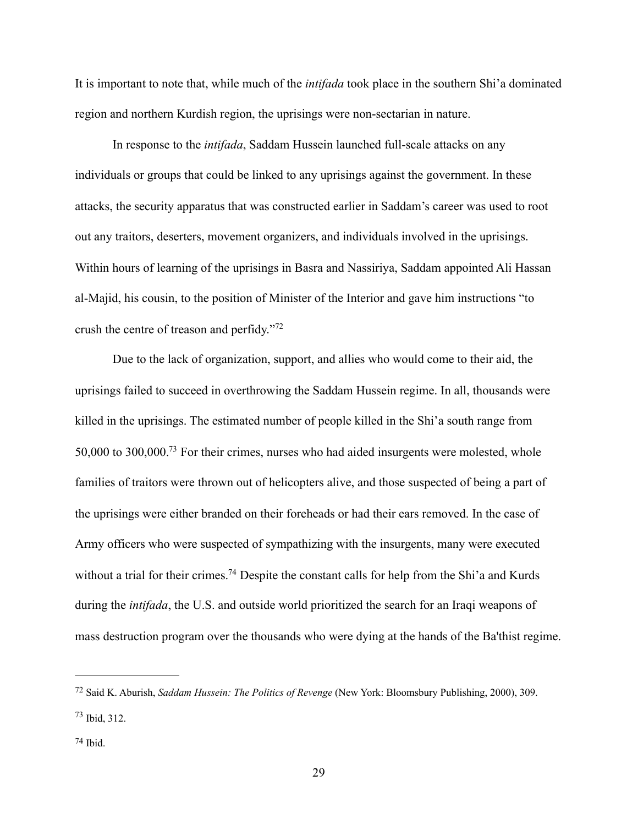It is important to note that, while much of the *intifada* took place in the southern Shi'a dominated region and northern Kurdish region, the uprisings were non-sectarian in nature.

 In response to the *intifada*, Saddam Hussein launched full-scale attacks on any individuals or groups that could be linked to any uprisings against the government. In these attacks, the security apparatus that was constructed earlier in Saddam's career was used to root out any traitors, deserters, movement organizers, and individuals involved in the uprisings. Within hours of learning of the uprisings in Basra and Nassiriya, Saddam appointed Ali Hassan al-Majid, his cousin, to the position of Minister of the Interior and gave him instructions "to crush the centre of treason and perfidy.["](#page-28-0)<sup>[72](#page-28-0)</sup>

<span id="page-28-4"></span><span id="page-28-3"></span> Due to the lack of organization, support, and allies who would come to their aid, the uprisings failed to succeed in overthrowing the Saddam Hussein regime. In all, thousands were killed in the uprisings. The estimated number of people killed in the Shi'a south range from  $50,000$  to  $300,000$ [.](#page-28-1)<sup>[73](#page-28-1)</sup> For their crimes, nurses who had aided insurgents were molested, whole families of traitors were thrown out of helicopters alive, and those suspected of being a part of the uprisings were either branded on their foreheads or had their ears removed. In the case of Army officers who were suspected of sympathizing with the insurgents, many were executed without a trial for their crimes[.](#page-28-2)<sup>[74](#page-28-2)</sup> Despite the constant calls for help from the Shi'a and Kurds during the *intifada*, the U.S. and outside world prioritized the search for an Iraqi weapons of mass destruction program over the thousands who were dying at the hands of the Ba'thist regime.

<span id="page-28-5"></span><span id="page-28-0"></span><sup>&</sup>lt;sup>[72](#page-28-3)</sup> Said K. Aburish, *Saddam Hussein: The Politics of Revenge* (New York: Bloomsbury Publishing, 2000), 309.  $^{73}$  $^{73}$  $^{73}$  Ibid, 312.

<span id="page-28-2"></span><span id="page-28-1"></span> $74$  Ibid.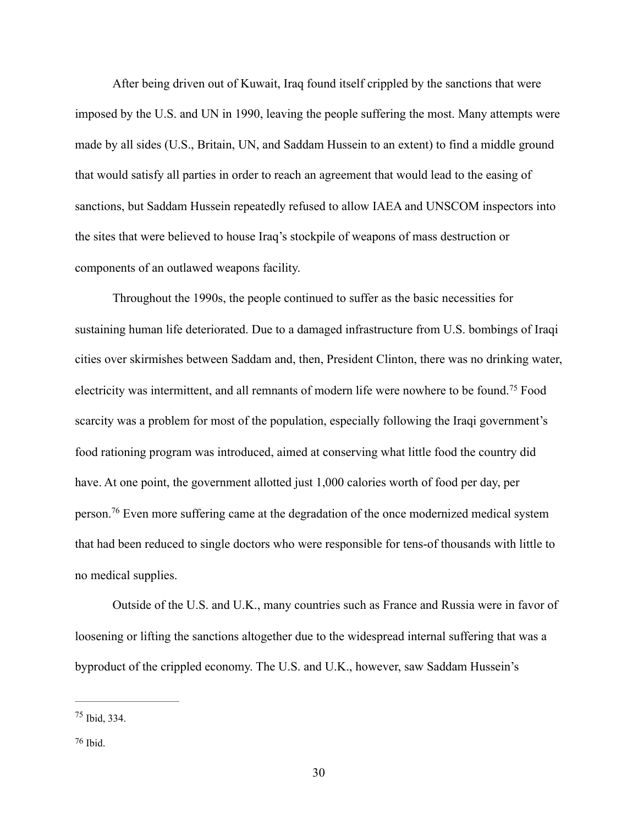After being driven out of Kuwait, Iraq found itself crippled by the sanctions that were imposed by the U.S. and UN in 1990, leaving the people suffering the most. Many attempts were made by all sides (U.S., Britain, UN, and Saddam Hussein to an extent) to find a middle ground that would satisfy all parties in order to reach an agreement that would lead to the easing of sanctions, but Saddam Hussein repeatedly refused to allow IAEA and UNSCOM inspectors into the sites that were believed to house Iraq's stockpile of weapons of mass destruction or components of an outlawed weapons facility.

<span id="page-29-2"></span> Throughout the 1990s, the people continued to suffer as the basic necessities for sustaining human life deteriorated. Due to a damaged infrastructure from U.S. bombings of Iraqi cities over skirmishes between Saddam and, then, President Clinton, there was no drinking water, electricitywas intermittent, and all remnants of modern life were nowhere to be found.<sup>[75](#page-29-0)</sup> Food scarcity was a problem for most of the population, especially following the Iraqi government's food rationing program was introduced, aimed at conserving what little food the country did have. At one point, the government allotted just 1,000 calories worth of food per day, per person.<sup>76</sup>Even more suffering came at the degradation of the once modernized medical system that had been reduced to single doctors who were responsible for tens-of thousands with little to no medical supplies.

<span id="page-29-3"></span> Outside of the U.S. and U.K., many countries such as France and Russia were in favor of loosening or lifting the sanctions altogether due to the widespread internal suffering that was a byproduct of the crippled economy. The U.S. and U.K., however, saw Saddam Hussein's

<span id="page-29-0"></span> $^{75}$  $^{75}$  $^{75}$  Ibid, 334.

<span id="page-29-1"></span>[<sup>76</sup>](#page-29-3) Ibid.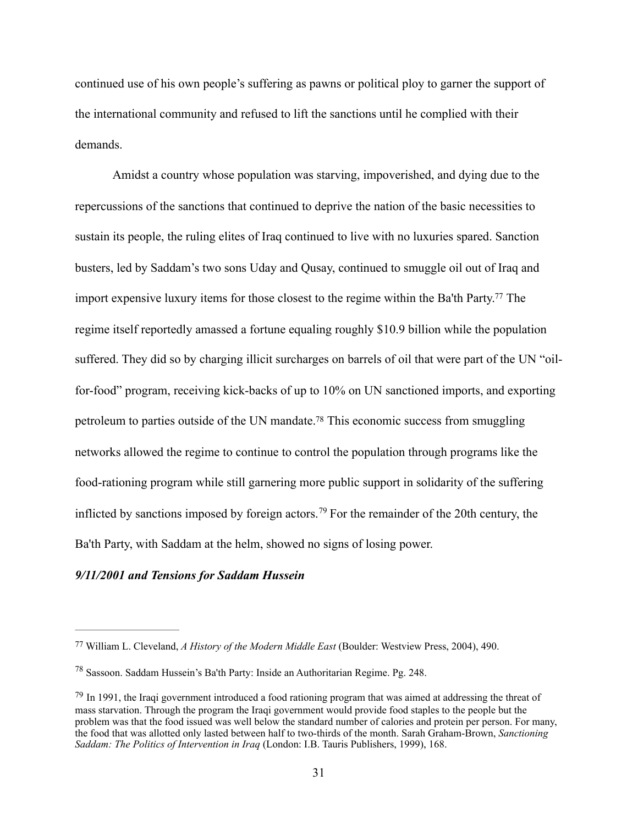continued use of his own people's suffering as pawns or political ploy to garner the support of the international community and refused to lift the sanctions until he complied with their demands.

<span id="page-30-3"></span> Amidst a country whose population was starving, impoverished, and dying due to the repercussions of the sanctions that continued to deprive the nation of the basic necessities to sustain its people, the ruling elites of Iraq continued to live with no luxuries spared. Sanction busters, led by Saddam's two sons Uday and Qusay, continued to smuggle oil out of Iraq and import expensive luxury items for those closest to the regime within the Ba'th Party[.](#page-30-0)<sup>[77](#page-30-0)</sup> The regime itself reportedly amassed a fortune equaling roughly \$10.9 billion while the population suffered. They did so by charging illicit surcharges on barrels of oil that were part of the UN "oilfor-food" program, receiving kick-backs of up to 10% on UN sanctioned imports, and exporting petroleum to parties outside of the UN mandate[.](#page-30-1)<sup>[78](#page-30-1)</sup> This economic success from smuggling networks allowed the regime to continue to control the population through programs like the food-rationing program while still garnering more public support in solidarity of the suffering inflictedby sanctions imposed by foreign actors.<sup>[79](#page-30-2)</sup> For the remainder of the 20th century, the Ba'th Party, with Saddam at the helm, showed no signs of losing power.

#### <span id="page-30-5"></span><span id="page-30-4"></span>*9/11/2001 and Tensions for Saddam Hussein*

<span id="page-30-0"></span>William L. Cleveland, *A History of the Modern Middle East* (Boulder: Westview Press, 2004), 490. [77](#page-30-3)

<span id="page-30-1"></span><sup>&</sup>lt;sup>[78](#page-30-4)</sup> Sassoon. Saddam Hussein's Ba'th Party: Inside an Authoritarian Regime. Pg. 248.

<span id="page-30-2"></span><sup>&</sup>lt;sup>[79](#page-30-5)</sup> In 1991, the Iraqi government introduced a food rationing program that was aimed at addressing the threat of mass starvation. Through the program the Iraqi government would provide food staples to the people but the problem was that the food issued was well below the standard number of calories and protein per person. For many, the food that was allotted only lasted between half to two-thirds of the month. Sarah Graham-Brown, *Sanctioning Saddam: The Politics of Intervention in Iraq* (London: I.B. Tauris Publishers, 1999), 168.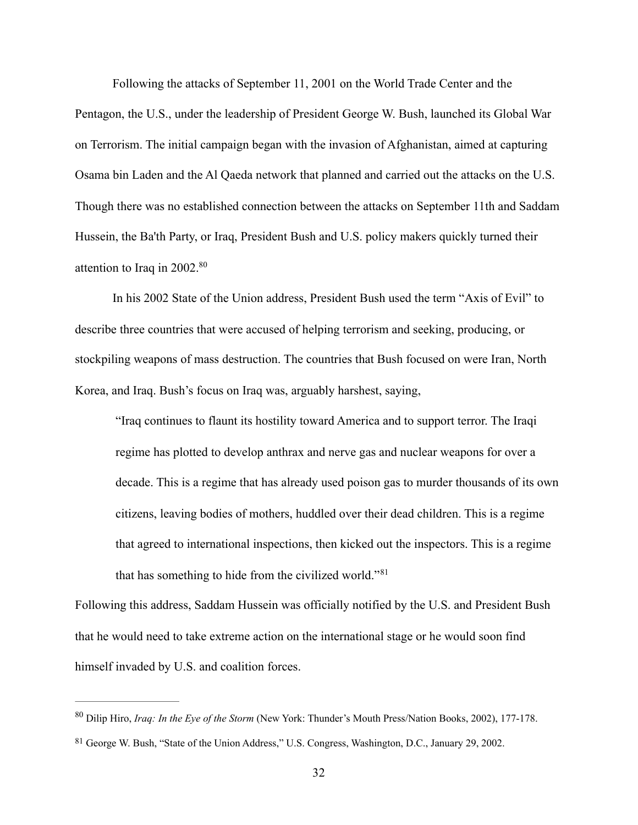Following the attacks of September 11, 2001 on the World Trade Center and the

Pentagon, the U.S., under the leadership of President George W. Bush, launched its Global War on Terrorism. The initial campaign began with the invasion of Afghanistan, aimed at capturing Osama bin Laden and the Al Qaeda network that planned and carried out the attacks on the U.S. Though there was no established connection between the attacks on September 11th and Saddam Hussein, the Ba'th Party, or Iraq, President Bush and U.S. policy makers quickly turned their attention to Iraq in 2002.[80](#page-31-0)

<span id="page-31-2"></span> In his 2002 State of the Union address, President Bush used the term "Axis of Evil" to describe three countries that were accused of helping terrorism and seeking, producing, or stockpiling weapons of mass destruction. The countries that Bush focused on were Iran, North Korea, and Iraq. Bush's focus on Iraq was, arguably harshest, saying,

"Iraq continues to flaunt its hostility toward America and to support terror. The Iraqi regime has plotted to develop anthrax and nerve gas and nuclear weapons for over a decade. This is a regime that has already used poison gas to murder thousands of its own citizens, leaving bodies of mothers, huddled over their dead children. This is a regime that agreed to international inspections, then kicked out the inspectors. This is a regime that has something to hide from the civilized world."[81](#page-31-1)

<span id="page-31-3"></span>Following this address, Saddam Hussein was officially notified by the U.S. and President Bush that he would need to take extreme action on the international stage or he would soon find himself invaded by U.S. and coalition forces.

<span id="page-31-0"></span><sup>&</sup>lt;sup>[80](#page-31-2)</sup> Dilip Hiro, *Iraq: In the Eye of the Storm* (New York: Thunder's Mouth Press/Nation Books, 2002), 177-178.

<span id="page-31-1"></span><sup>&</sup>lt;sup>[81](#page-31-3)</sup> George W. Bush, "State of the Union Address," U.S. Congress, Washington, D.C., January 29, 2002.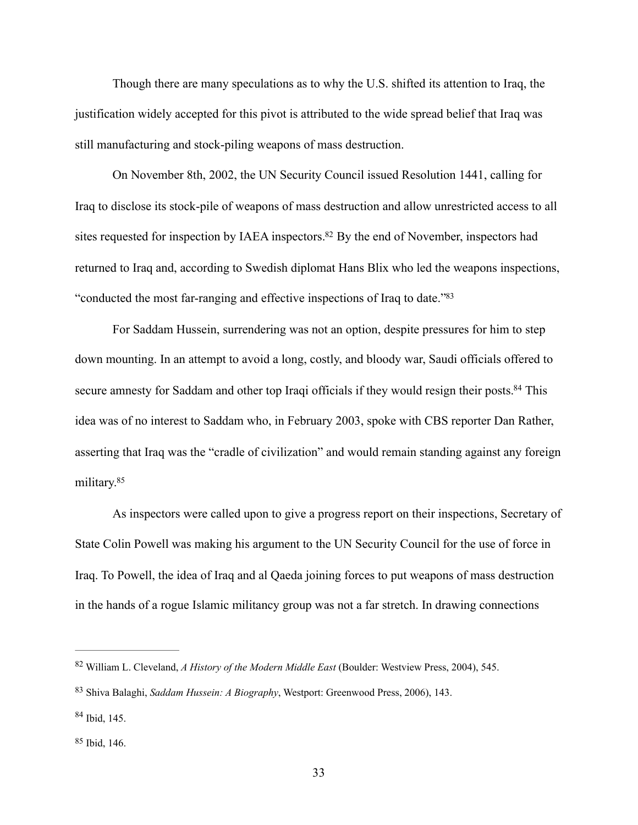Though there are many speculations as to why the U.S. shifted its attention to Iraq, the justification widely accepted for this pivot is attributed to the wide spread belief that Iraq was still manufacturing and stock-piling weapons of mass destruction.

<span id="page-32-4"></span> On November 8th, 2002, the UN Security Council issued Resolution 1441, calling for Iraq to disclose its stock-pile of weapons of mass destruction and allow unrestricted access to all sites requested for inspection by IAEA inspectors[.](#page-32-0)<sup>[82](#page-32-0)</sup> By the end of November, inspectors had returned to Iraq and, according to Swedish diplomat Hans Blix who led the weapons inspections, ["](#page-32-1)conducted the most far-ranging and effective inspections of Iraq to date."<sup>[83](#page-32-1)</sup>

<span id="page-32-6"></span><span id="page-32-5"></span> For Saddam Hussein, surrendering was not an option, despite pressures for him to step down mounting. In an attempt to avoid a long, costly, and bloody war, Saudi officials offered to secure amnesty for Saddam and other top Iraqi officials if they would resign their posts[.](#page-32-2)<sup>[84](#page-32-2)</sup> This idea was of no interest to Saddam who, in February 2003, spoke with CBS reporter Dan Rather, asserting that Iraq was the "cradle of civilization" and would remain standing against any foreign military[.85](#page-32-3)

<span id="page-32-7"></span> As inspectors were called upon to give a progress report on their inspections, Secretary of State Colin Powell was making his argument to the UN Security Council for the use of force in Iraq. To Powell, the idea of Iraq and al Qaeda joining forces to put weapons of mass destruction in the hands of a rogue Islamic militancy group was not a far stretch. In drawing connections

<span id="page-32-0"></span><sup>&</sup>lt;sup>[82](#page-32-4)</sup> William L. Cleveland, *A History of the Modern Middle East* (Boulder: Westview Press, 2004), 545.

<span id="page-32-1"></span>[<sup>83</sup>](#page-32-5) Shiva Balaghi, *Saddam Hussein: A Biography*, Westport: Greenwood Press, 2006), 143.

<span id="page-32-2"></span> $84$  Ibid, 145.

<span id="page-32-3"></span>[<sup>85</sup>](#page-32-7) Ibid, 146.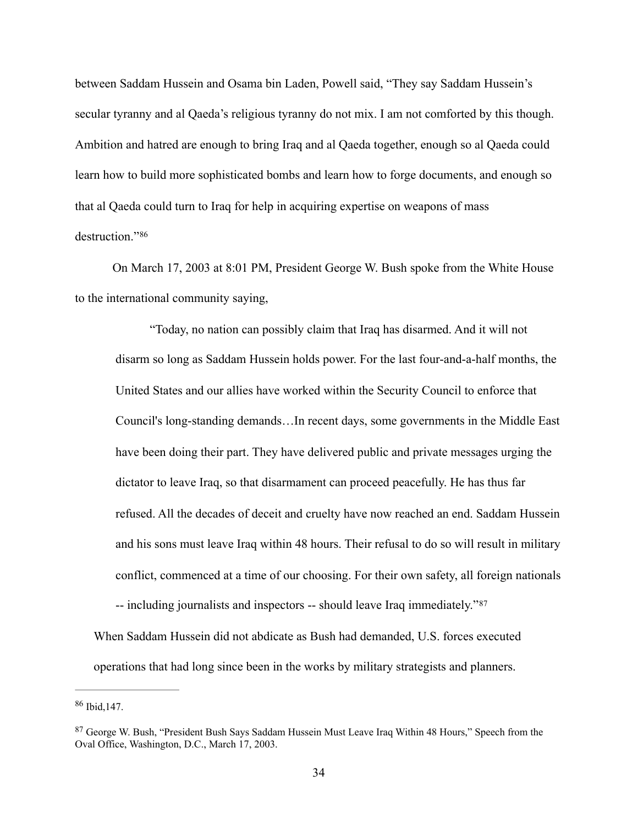between Saddam Hussein and Osama bin Laden, Powell said, "They say Saddam Hussein's secular tyranny and al Qaeda's religious tyranny do not mix. I am not comforted by this though. Ambition and hatred are enough to bring Iraq and al Qaeda together, enough so al Qaeda could learn how to build more sophisticated bombs and learn how to forge documents, and enough so that al Qaeda could turn to Iraq for help in acquiring expertise on weapons of mass destruction."[86](#page-33-0)

<span id="page-33-2"></span> On March 17, 2003 at 8:01 PM, President George W. Bush spoke from the White House to the international community saying,

 "Today, no nation can possibly claim that Iraq has disarmed. And it will not disarm so long as Saddam Hussein holds power. For the last four-and-a-half months, the United States and our allies have worked within the Security Council to enforce that Council's long-standing demands…In recent days, some governments in the Middle East have been doing their part. They have delivered public and private messages urging the dictator to leave Iraq, so that disarmament can proceed peacefully. He has thus far refused. All the decades of deceit and cruelty have now reached an end. Saddam Hussein and his sons must leave Iraq within 48 hours. Their refusal to do so will result in military conflict, commenced at a time of our choosing. For their own safety, all foreign nationals -- including journalists and inspectors -- should leave Iraq immediately."<sup>87</sup>

<span id="page-33-3"></span>When Saddam Hussein did not abdicate as Bush had demanded, U.S. forces executed operations that had long since been in the works by military strategists and planners.

<span id="page-33-0"></span> $86$  Ibid, 147.

<span id="page-33-1"></span><sup>&</sup>lt;sup>[87](#page-33-3)</sup> George W. Bush, "President Bush Says Saddam Hussein Must Leave Iraq Within 48 Hours," Speech from the Oval Office, Washington, D.C., March 17, 2003.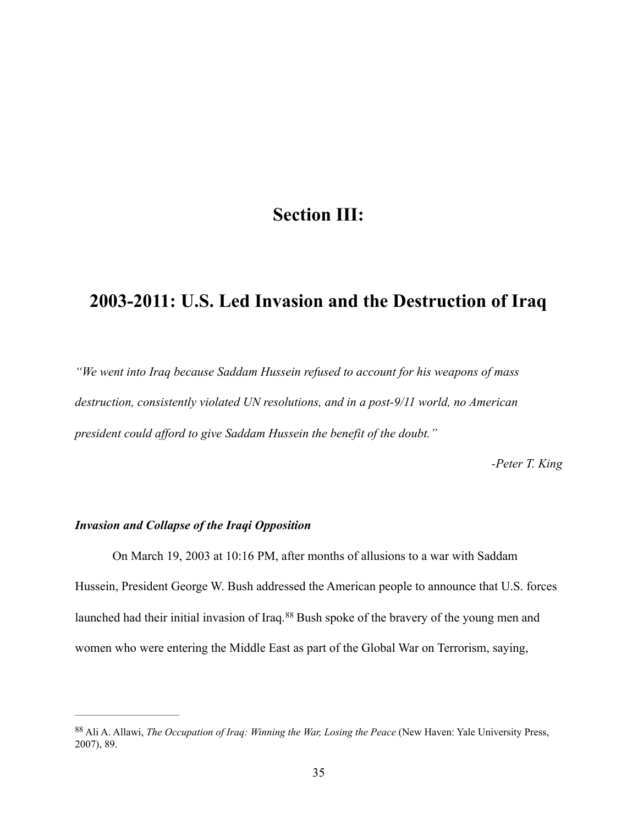# **Section III:**

# **2003-2011: U.S. Led Invasion and the Destruction of Iraq**

*"We went into Iraq because Saddam Hussein refused to account for his weapons of mass destruction, consistently violated UN resolutions, and in a post-9/11 world, no American president could afford to give Saddam Hussein the benefit of the doubt."* 

*-Peter T. King* 

#### *Invasion and Collapse of the Iraqi Opposition*

<span id="page-34-1"></span> On March 19, 2003 at 10:16 PM, after months of allusions to a war with Saddam Hussein, President George W. Bush addressed the American people to announce that U.S. forces launchedhad their initial invasion of Iraq.<sup>[88](#page-34-0)</sup> Bush spoke of the bravery of the young men and women who were entering the Middle East as part of the Global War on Terrorism, saying,

<span id="page-34-0"></span><sup>&</sup>lt;sup>[88](#page-34-1)</sup> Ali A. Allawi, *The Occupation of Iraq: Winning the War, Losing the Peace* (New Haven: Yale University Press, 2007), 89.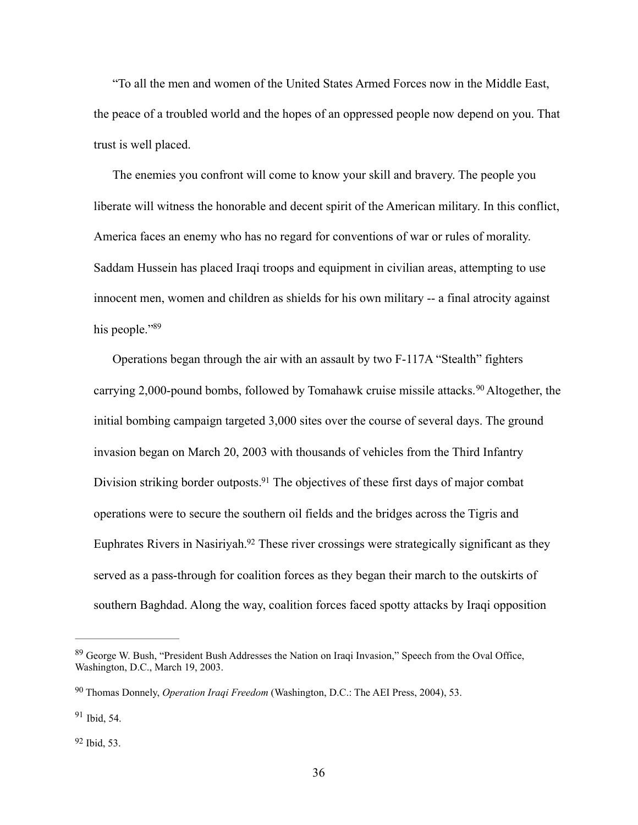"To all the men and women of the United States Armed Forces now in the Middle East, the peace of a troubled world and the hopes of an oppressed people now depend on you. That trust is well placed.

 The enemies you confront will come to know your skill and bravery. The people you liberate will witness the honorable and decent spirit of the American military. In this conflict, America faces an enemy who has no regard for conventions of war or rules of morality. Saddam Hussein has placed Iraqi troops and equipment in civilian areas, attempting to use innocent men, women and children as shields for his own military -- a final atrocity against his people.["](#page-35-0)[89](#page-35-0)

<span id="page-35-6"></span><span id="page-35-5"></span><span id="page-35-4"></span> Operations began through the air with an assault by two F-117A "Stealth" fighters carrying2,000-pound bombs, followed by Tomahawk cruise missile attacks.<sup>[90](#page-35-1)</sup> Altogether, the initial bombing campaign targeted 3,000 sites over the course of several days. The ground invasion began on March 20, 2003 with thousands of vehicles from the Third Infantry Division striking border outposts[.](#page-35-2)<sup>[91](#page-35-2)</sup> The objectives of these first days of major combat operations were to secure the southern oil fields and the bridges across the Tigris and Euphrates Rivers in Nasiriyah[.](#page-35-3)<sup>[92](#page-35-3)</sup> These river crossings were strategically significant as they served as a pass-through for coalition forces as they began their march to the outskirts of southern Baghdad. Along the way, coalition forces faced spotty attacks by Iraqi opposition

<span id="page-35-3"></span> $92$  Ibid, 53.

<span id="page-35-7"></span><span id="page-35-0"></span><sup>&</sup>lt;sup>[89](#page-35-4)</sup> George W. Bush, "President Bush Addresses the Nation on Iraqi Invasion," Speech from the Oval Office, Washington, D.C., March 19, 2003.

<span id="page-35-1"></span><sup>&</sup>lt;sup>[90](#page-35-5)</sup> Thomas Donnely, *Operation Iraqi Freedom* (Washington, D.C.: The AEI Press, 2004), 53.

<span id="page-35-2"></span> $91$  Ibid, 54.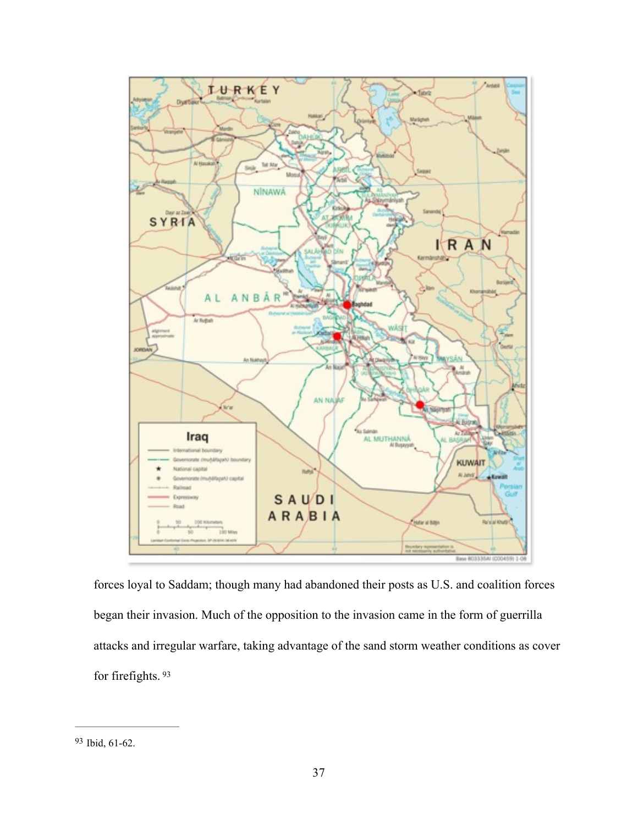

<span id="page-36-1"></span><span id="page-36-0"></span>forces loyal to Saddam; though many had abandoned their posts as U.S. and coalition forces began their invasion. Much of the opposition to the invasion came in the form of guerrilla attacks and irregular warfare, taking advantage of the sand storm weather conditions as cover for firefights. [93](#page-36-0)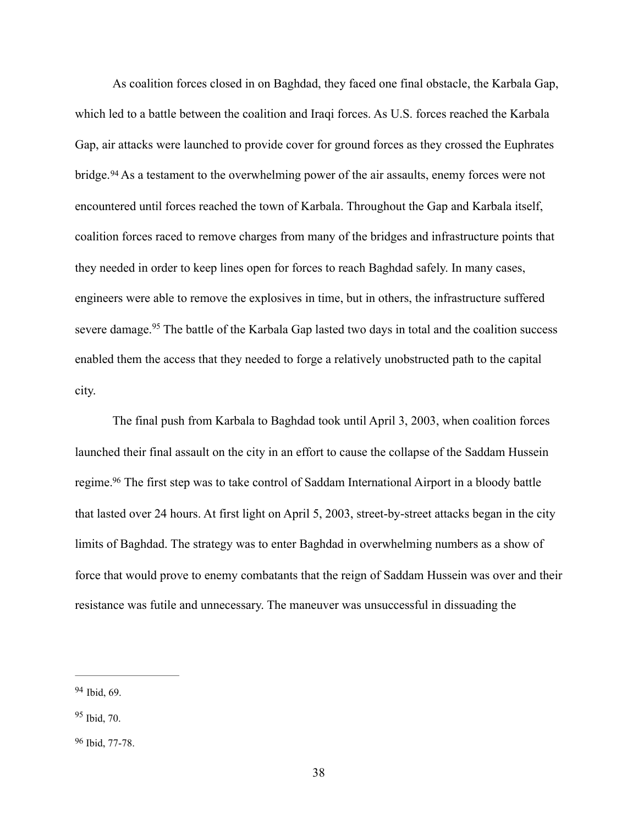<span id="page-37-3"></span> As coalition forces closed in on Baghdad, they faced one final obstacle, the Karbala Gap, which led to a battle between the coalition and Iraqi forces. As U.S. forces reached the Karbala Gap, air attacks were launched to provide cover for ground forces as they crossed the Euphrates bridge.<sup>94</sup>As a testament to the overwhelming power of the air assaults, enemy forces were not encountered until forces reached the town of Karbala. Throughout the Gap and Karbala itself, coalition forces raced to remove charges from many of the bridges and infrastructure points that they needed in order to keep lines open for forces to reach Baghdad safely. In many cases, engineers were able to remove the explosives in time, but in others, the infrastructure suffered severedamage.<sup>[95](#page-37-1)</sup> The battle of the Karbala Gap lasted two days in total and the coalition success enabled them the access that they needed to forge a relatively unobstructed path to the capital city.

<span id="page-37-5"></span><span id="page-37-4"></span> The final push from Karbala to Baghdad took until April 3, 2003, when coalition forces launched their final assault on the city in an effort to cause the collapse of the Saddam Hussein regime[.](#page-37-2)<sup>[96](#page-37-2)</sup> The first step was to take control of Saddam International Airport in a bloody battle that lasted over 24 hours. At first light on April 5, 2003, street-by-street attacks began in the city limits of Baghdad. The strategy was to enter Baghdad in overwhelming numbers as a show of force that would prove to enemy combatants that the reign of Saddam Hussein was over and their resistance was futile and unnecessary. The maneuver was unsuccessful in dissuading the

<span id="page-37-0"></span>[<sup>94</sup>](#page-37-3) Ibid, 69.

<span id="page-37-1"></span> $95$  Ibid, 70.

<span id="page-37-2"></span>[<sup>96</sup>](#page-37-5) Ibid, 77-78.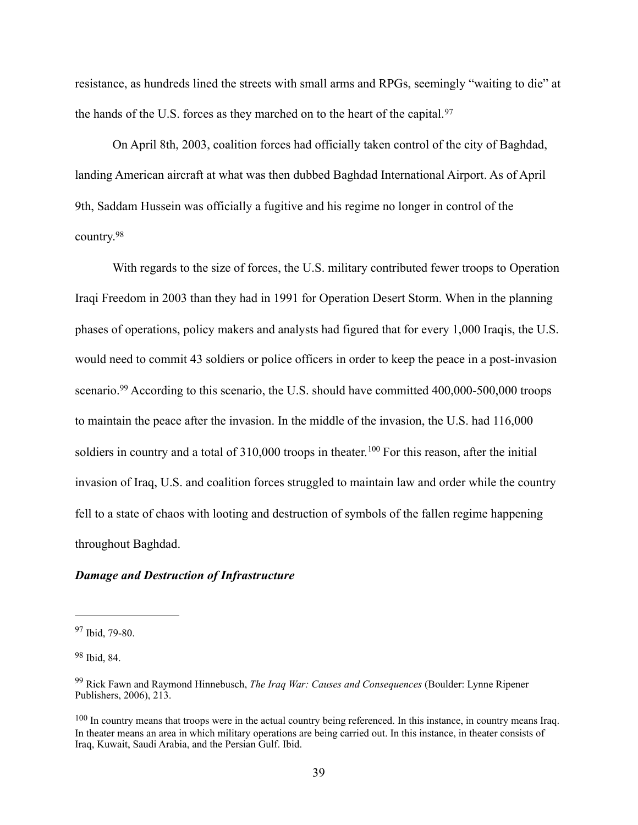resistance, as hundreds lined the streets with small arms and RPGs, seemingly "waiting to die" at the hands of the U.S. forces as they marched on to the heart of the capital.<sup>[97](#page-38-0)</sup>

<span id="page-38-4"></span> On April 8th, 2003, coalition forces had officially taken control of the city of Baghdad, landing American aircraft at what was then dubbed Baghdad International Airport. As of April 9th, Saddam Hussein was officially a fugitive and his regime no longer in control of the country.[98](#page-38-1)

<span id="page-38-6"></span><span id="page-38-5"></span> With regards to the size of forces, the U.S. military contributed fewer troops to Operation Iraqi Freedom in 2003 than they had in 1991 for Operation Desert Storm. When in the planning phases of operations, policy makers and analysts had figured that for every 1,000 Iraqis, the U.S. would need to commit 43 soldiers or police officers in order to keep the peace in a post-invasion scenario.<sup>99</sup>According to this scenario, the U.S. should have committed  $400,000-500,000$  troops to maintain the peace after the invasion. In the middle of the invasion, the U.S. had 116,000 soldiersin country and a total of  $310,000$  troops in theater.<sup>[100](#page-38-3)</sup> For this reason, after the initial invasion of Iraq, U.S. and coalition forces struggled to maintain law and order while the country fell to a state of chaos with looting and destruction of symbols of the fallen regime happening throughout Baghdad.

#### <span id="page-38-7"></span>*Damage and Destruction of Infrastructure*

<span id="page-38-0"></span> $97$  Ibid, 79-80.

<span id="page-38-1"></span>[<sup>98</sup>](#page-38-5) Ibid, 84.

<span id="page-38-2"></span><sup>&</sup>lt;sup>[99](#page-38-6)</sup> Rick Fawn and Raymond Hinnebusch, *The Iraq War: Causes and Consequences* (Boulder: Lynne Ripener Publishers, 2006), 213.

<span id="page-38-3"></span><sup>&</sup>lt;sup>[100](#page-38-7)</sup> In country means that troops were in the actual country being referenced. In this instance, in country means Iraq. In theater means an area in which military operations are being carried out. In this instance, in theater consists of Iraq, Kuwait, Saudi Arabia, and the Persian Gulf. Ibid.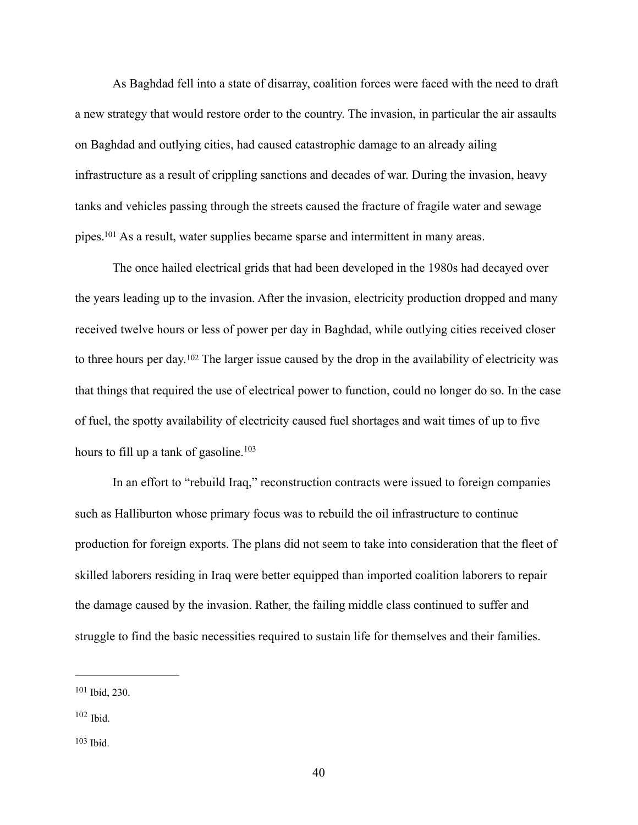As Baghdad fell into a state of disarray, coalition forces were faced with the need to draft a new strategy that would restore order to the country. The invasion, in particular the air assaults on Baghdad and outlying cities, had caused catastrophic damage to an already ailing infrastructure as a result of crippling sanctions and decades of war. During the invasion, heavy tanks and vehicles passing through the streets caused the fracture of fragile water and sewage pipes[.](#page-39-0)<sup>[101](#page-39-0)</sup> As a result, water supplies became sparse and intermittent in many areas.

<span id="page-39-4"></span><span id="page-39-3"></span> The once hailed electrical grids that had been developed in the 1980s had decayed over the years leading up to the invasion. After the invasion, electricity production dropped and many received twelve hours or less of power per day in Baghdad, while outlying cities received closer tothree hours per day.<sup>[102](#page-39-1)</sup> The larger issue caused by the drop in the availability of electricity was that things that required the use of electrical power to function, could no longer do so. In the case of fuel, the spotty availability of electricity caused fuel shortages and wait times of up to five hours to fill up a tank of gasoline.  $103$ 

<span id="page-39-5"></span> In an effort to "rebuild Iraq," reconstruction contracts were issued to foreign companies such as Halliburton whose primary focus was to rebuild the oil infrastructure to continue production for foreign exports. The plans did not seem to take into consideration that the fleet of skilled laborers residing in Iraq were better equipped than imported coalition laborers to repair the damage caused by the invasion. Rather, the failing middle class continued to suffer and struggle to find the basic necessities required to sustain life for themselves and their families.

<span id="page-39-0"></span> $101$  Ibid, 230.

<span id="page-39-1"></span> $102$  Ibid.

<span id="page-39-2"></span> $103$  Ibid.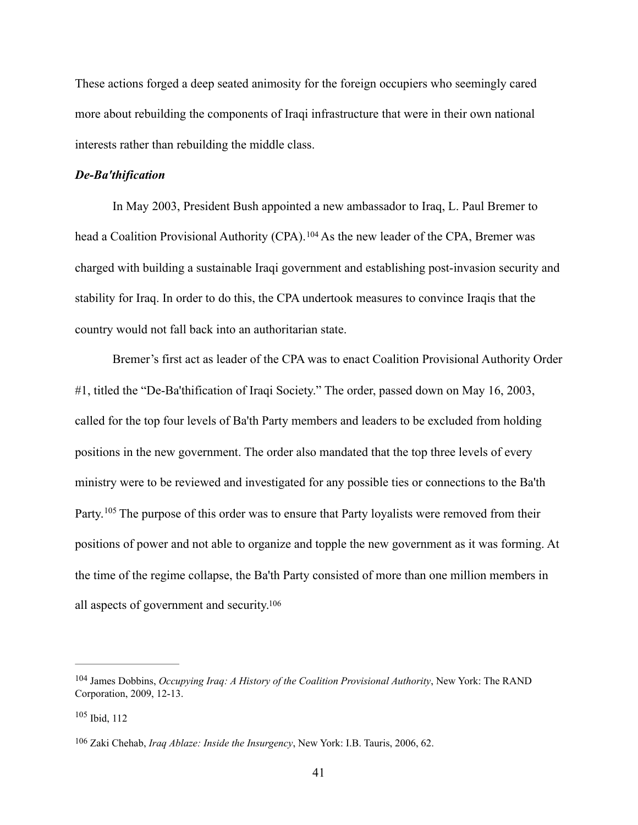These actions forged a deep seated animosity for the foreign occupiers who seemingly cared more about rebuilding the components of Iraqi infrastructure that were in their own national interests rather than rebuilding the middle class.

#### *De-Ba'thification*

<span id="page-40-3"></span> In May 2003, President Bush appointed a new ambassador to Iraq, L. Paul Bremer to heada Coalition Provisional Authority (CPA).<sup>[104](#page-40-0)</sup> As the new leader of the CPA, Bremer was charged with building a sustainable Iraqi government and establishing post-invasion security and stability for Iraq. In order to do this, the CPA undertook measures to convince Iraqis that the country would not fall back into an authoritarian state.

 Bremer's first act as leader of the CPA was to enact Coalition Provisional Authority Order #1, titled the "De-Ba'thification of Iraqi Society." The order, passed down on May 16, 2003, called for the top four levels of Ba'th Party members and leaders to be excluded from holding positions in the new government. The order also mandated that the top three levels of every ministry were to be reviewed and investigated for any possible ties or connections to the Ba'th Party.<sup>105</sup>The purpose of this order was to ensure that Party loyalists were removed from their positions of power and not able to organize and topple the new government as it was forming. At the time of the regime collapse, the Ba'th Party consisted of more than one million members in all aspects of government and security[.106](#page-40-2)

<span id="page-40-5"></span><span id="page-40-4"></span><span id="page-40-0"></span><sup>&</sup>lt;sup>[104](#page-40-3)</sup> James Dobbins, *Occupying Iraq: A History of the Coalition Provisional Authority*, New York: The RAND Corporation, 2009, 12-13.

<span id="page-40-1"></span> $105$  Ibid, 112

<span id="page-40-2"></span><sup>&</sup>lt;sup>[106](#page-40-5)</sup> Zaki Chehab, *Iraq Ablaze: Inside the Insurgency*, New York: I.B. Tauris, 2006, 62.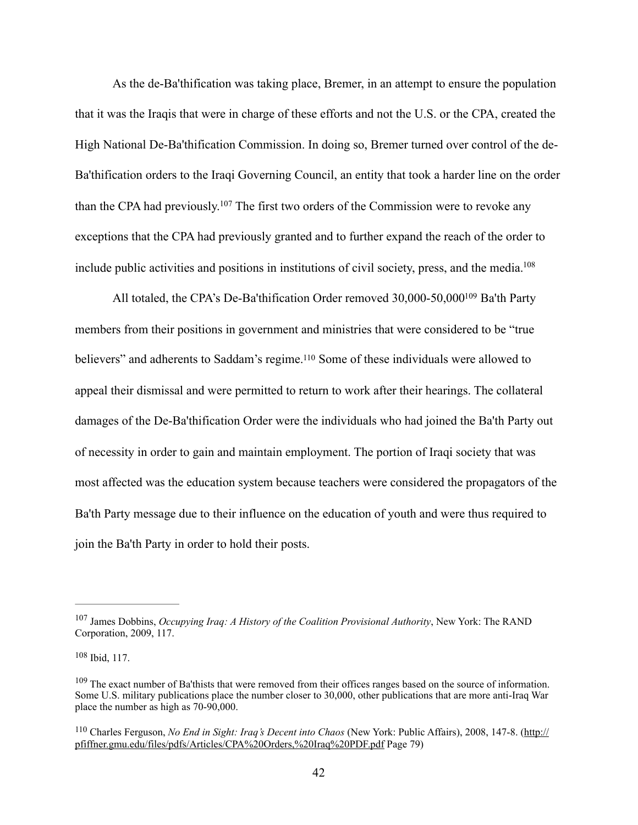As the de-Ba'thification was taking place, Bremer, in an attempt to ensure the population that it was the Iraqis that were in charge of these efforts and not the U.S. or the CPA, created the High National De-Ba'thification Commission. In doing so, Bremer turned over control of the de-Ba'thification orders to the Iraqi Governing Council, an entity that took a harder line on the order than the CPA had previously[.](#page-41-0)<sup>[107](#page-41-0)</sup> The first two orders of the Commission were to revoke any exceptions that the CPA had previously granted and to further expand the reach of the order to include public activities and positions in institutions of civil society, press, and the media.<sup>108</sup>

<span id="page-41-7"></span><span id="page-41-6"></span><span id="page-41-5"></span><span id="page-41-4"></span>All totaled, the CPA's De-Ba'thification Order removed 3[0](#page-41-2),000-50,000<sup>[109](#page-41-2)</sup> Ba'th Party members from their positions in government and ministries that were considered to be "true believers" and adherents to Saddam's regime.<sup>[110](#page-41-3)</sup> Some of these individuals were allowed to appeal their dismissal and were permitted to return to work after their hearings. The collateral damages of the De-Ba'thification Order were the individuals who had joined the Ba'th Party out of necessity in order to gain and maintain employment. The portion of Iraqi society that was most affected was the education system because teachers were considered the propagators of the Ba'th Party message due to their influence on the education of youth and were thus required to join the Ba'th Party in order to hold their posts.

<span id="page-41-1"></span> $108$  Ibid, 117.

<span id="page-41-0"></span><sup>&</sup>lt;sup>[107](#page-41-4)</sup> James Dobbins, *Occupying Iraq: A History of the Coalition Provisional Authority*, New York: The RAND Corporation, 2009, 117.

<span id="page-41-2"></span> $109$  The exact number of Ba'thists that were removed from their offices ranges based on the source of information. Some U.S. military publications place the number closer to 30,000, other publications that are more anti-Iraq War place the number as high as 70-90,000.

<span id="page-41-3"></span>Charles Ferguson, *No End in Sight: Iraq's Decent into Chaos* (New York: Public Affairs), 2008, 147-8. (http:// [110](#page-41-7) [pfiffner.gmu.edu/files/pdfs/Articles/CPA%20Orders,%20Iraq%20PDF.pdf Page 79\)](http://pfiffner.gmu.edu/files/pdfs/Articles/CPA%2520Orders,%2520Iraq%2520PDF.pdf)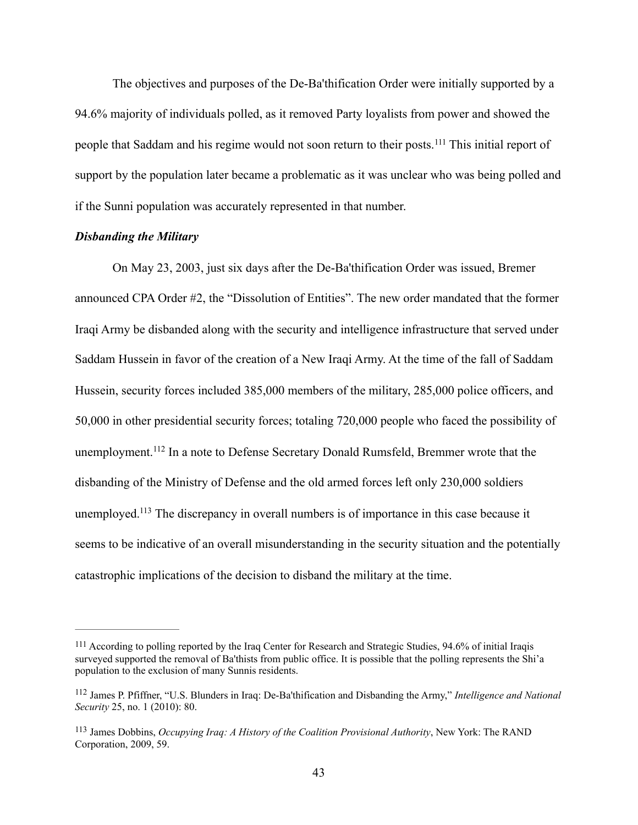<span id="page-42-3"></span> The objectives and purposes of the De-Ba'thification Order were initially supported by a 94.6% majority of individuals polled, as it removed Party loyalists from power and showed the people that Saddam and his regime would not soon return to their posts.<sup>[111](#page-42-0)</sup> This initial report of support by the population later became a problematic as it was unclear who was being polled and if the Sunni population was accurately represented in that number.

#### *Disbanding the Military*

 On May 23, 2003, just six days after the De-Ba'thification Order was issued, Bremer announced CPA Order #2, the "Dissolution of Entities". The new order mandated that the former Iraqi Army be disbanded along with the security and intelligence infrastructure that served under Saddam Hussein in favor of the creation of a New Iraqi Army. At the time of the fall of Saddam Hussein, security forces included 385,000 members of the military, 285,000 police officers, and 50,000 in other presidential security forces; totaling 720,000 people who faced the possibility of unemployment.<sup>112</sup>In a note to Defense Secretary Donald Rumsfeld, Bremmer wrote that the disbanding of the Ministry of Defense and the old armed forces left only 230,000 soldiers unemployed[.](#page-42-2)<sup> $113$ </sup> The discrepancy in overall numbers is of importance in this case because it seems to be indicative of an overall misunderstanding in the security situation and the potentially catastrophic implications of the decision to disband the military at the time.

<span id="page-42-5"></span><span id="page-42-4"></span><span id="page-42-0"></span><sup>&</sup>lt;sup>[111](#page-42-3)</sup> According to polling reported by the Iraq Center for Research and Strategic Studies, 94.6% of initial Iraqis surveyed supported the removal of Ba'thists from public office. It is possible that the polling represents the Shi'a population to the exclusion of many Sunnis residents.

<span id="page-42-1"></span><sup>&</sup>lt;sup>[112](#page-42-4)</sup> James P. Pfiffner, "U.S. Blunders in Iraq: De-Ba'thification and Disbanding the Army," *Intelligence and National Security* 25, no. 1 (2010): 80.

<span id="page-42-2"></span><sup>&</sup>lt;sup>[113](#page-42-5)</sup> James Dobbins, *Occupying Iraq: A History of the Coalition Provisional Authority*, New York: The RAND Corporation, 2009, 59.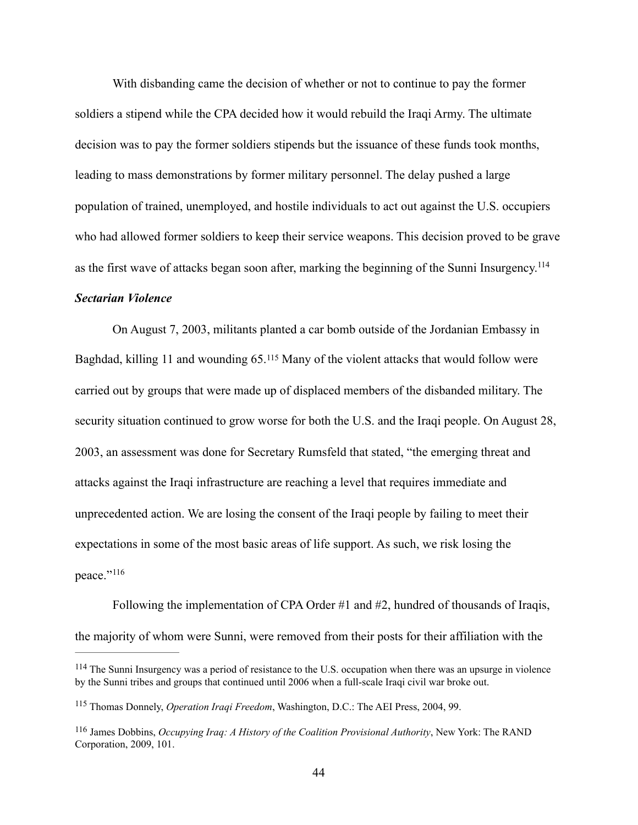With disbanding came the decision of whether or not to continue to pay the former soldiers a stipend while the CPA decided how it would rebuild the Iraqi Army. The ultimate decision was to pay the former soldiers stipends but the issuance of these funds took months, leading to mass demonstrations by former military personnel. The delay pushed a large population of trained, unemployed, and hostile individuals to act out against the U.S. occupiers who had allowed former soldiers to keep their service weapons. This decision proved to be grave as the first wave of attacks began soon after, marking the beginning of the Sunni Insurgency[. 114](#page-43-0)

# <span id="page-43-3"></span>*Sectarian Violence*

<span id="page-43-4"></span> On August 7, 2003, militants planted a car bomb outside of the Jordanian Embassy in Baghdad,killing 11 and wounding 65.<sup>[115](#page-43-1)</sup> Many of the violent attacks that would follow were carried out by groups that were made up of displaced members of the disbanded military. The security situation continued to grow worse for both the U.S. and the Iraqi people. On August 28, 2003, an assessment was done for Secretary Rumsfeld that stated, "the emerging threat and attacks against the Iraqi infrastructure are reaching a level that requires immediate and unprecedented action. We are losing the consent of the Iraqi people by failing to meet their expectations in some of the most basic areas of life support. As such, we risk losing the peace."[116](#page-43-2)

<span id="page-43-5"></span> Following the implementation of CPA Order #1 and #2, hundred of thousands of Iraqis, the majority of whom were Sunni, were removed from their posts for their affiliation with the

<span id="page-43-0"></span> $114$ The Sunni Insurgency was a period of resistance to the U.S. occupation when there was an upsurge in violence by the Sunni tribes and groups that continued until 2006 when a full-scale Iraqi civil war broke out.

<span id="page-43-1"></span><sup>&</sup>lt;sup>[115](#page-43-4)</sup> Thomas Donnely, *Operation Iraqi Freedom*, Washington, D.C.: The AEI Press, 2004, 99.

<span id="page-43-2"></span><sup>&</sup>lt;sup>[116](#page-43-5)</sup> James Dobbins, *Occupying Iraq: A History of the Coalition Provisional Authority*, New York: The RAND Corporation, 2009, 101.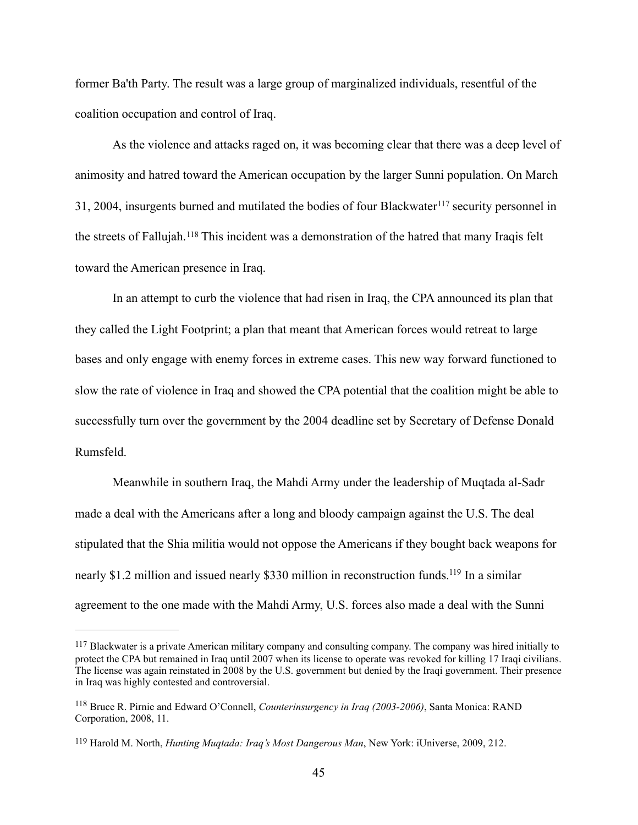former Ba'th Party. The result was a large group of marginalized individuals, resentful of the coalition occupation and control of Iraq.

<span id="page-44-3"></span> As the violence and attacks raged on, it was becoming clear that there was a deep level of animosity and hatred toward the American occupation by the larger Sunni population. On March 31, 2004, insurgents burned and mutilated the bodies of four Blackwater<sup>[117](#page-44-0)</sup> security personnel in the streets of Fallujah.<sup>[118](#page-44-1)</sup> This incident was a demonstration of the hatred that many Iraqis felt toward the American presence in Iraq.

<span id="page-44-4"></span>In an attempt to curb the violence that had risen in Iraq, the CPA announced its plan that they called the Light Footprint; a plan that meant that American forces would retreat to large bases and only engage with enemy forces in extreme cases. This new way forward functioned to slow the rate of violence in Iraq and showed the CPA potential that the coalition might be able to successfully turn over the government by the 2004 deadline set by Secretary of Defense Donald Rumsfeld.

 Meanwhile in southern Iraq, the Mahdi Army under the leadership of Muqtada al-Sadr made a deal with the Americans after a long and bloody campaign against the U.S. The deal stipulated that the Shia militia would not oppose the Americans if they bought back weapons for nearly \$1.2 million and issued nearly \$330 million in reconstruction funds.<sup>[119](#page-44-2)</sup> In a similar agreement to the one made with the Mahdi Army, U.S. forces also made a deal with the Sunni

<span id="page-44-5"></span><span id="page-44-0"></span> $117$ Blackwater is a private American military company and consulting company. The company was hired initially to protect the CPA but remained in Iraq until 2007 when its license to operate was revoked for killing 17 Iraqi civilians. The license was again reinstated in 2008 by the U.S. government but denied by the Iraqi government. Their presence in Iraq was highly contested and controversial.

<span id="page-44-1"></span><sup>&</sup>lt;sup>[118](#page-44-4)</sup> Bruce R. Pirnie and Edward O'Connell, *Counterinsurgency in Iraq (2003-2006)*, Santa Monica: RAND Corporation, 2008, 11.

<span id="page-44-2"></span>Harold M. North, *Hunting Muqtada: Iraq's Most Dangerous Man*, New York: iUniverse, 2009, 212. [119](#page-44-5)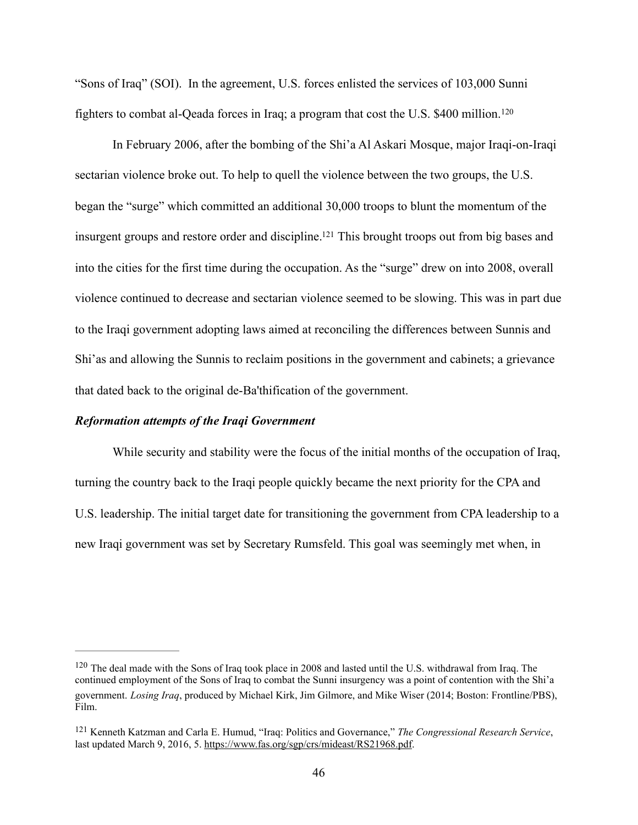"Sons of Iraq" (SOI). In the agreement, U.S. forces enlisted the services of 103,000 Sunni fighters to combat al-Qeada forces in Iraq; a program that cost the U.S. \$400 million. [120](#page-45-0)

<span id="page-45-3"></span><span id="page-45-2"></span> In February 2006, after the bombing of the Shi'a Al Askari Mosque, major Iraqi-on-Iraqi sectarian violence broke out. To help to quell the violence between the two groups, the U.S. began the "surge" which committed an additional 30,000 troops to blunt the momentum of the insurgent groups and restore order and discipline[.](#page-45-1)<sup>[121](#page-45-1)</sup> This brought troops out from big bases and into the cities for the first time during the occupation. As the "surge" drew on into 2008, overall violence continued to decrease and sectarian violence seemed to be slowing. This was in part due to the Iraqi government adopting laws aimed at reconciling the differences between Sunnis and Shi'as and allowing the Sunnis to reclaim positions in the government and cabinets; a grievance that dated back to the original de-Ba'thification of the government.

#### *Reformation attempts of the Iraqi Government*

 While security and stability were the focus of the initial months of the occupation of Iraq, turning the country back to the Iraqi people quickly became the next priority for the CPA and U.S. leadership. The initial target date for transitioning the government from CPA leadership to a new Iraqi government was set by Secretary Rumsfeld. This goal was seemingly met when, in

<span id="page-45-0"></span> $120$  The deal made with the Sons of Iraq took place in 2008 and lasted until the U.S. withdrawal from Iraq. The continued employment of the Sons of Iraq to combat the Sunni insurgency was a point of contention with the Shi'a government. *Losing Iraq*, produced by Michael Kirk, Jim Gilmore, and Mike Wiser (2014; Boston: Frontline/PBS), Film.

<span id="page-45-1"></span><sup>&</sup>lt;sup>[121](#page-45-3)</sup> Kenneth Katzman and Carla E. Humud, "Iraq: Politics and Governance," *The Congressional Research Service*, last updated March 9, 2016, 5. [https://www.fas.org/sgp/crs/mideast/RS21968.pdf.](https://www.fas.org/sgp/crs/mideast/RS21968.pdf)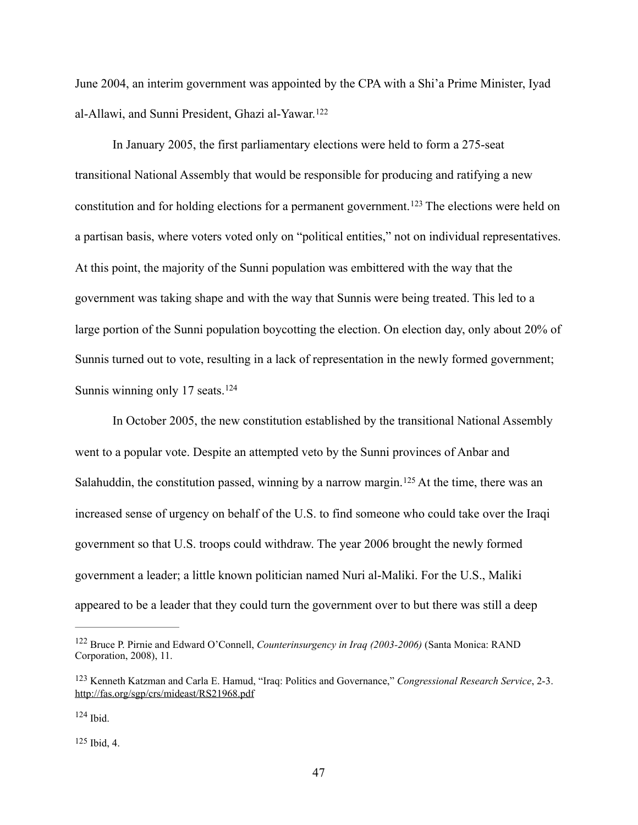June 2004, an interim government was appointed by the CPA with a Shi'a Prime Minister, Iyad al-Allawi, and Sunni President, Ghazi al-Yawar.[122](#page-46-0)

<span id="page-46-5"></span><span id="page-46-4"></span> In January 2005, the first parliamentary elections were held to form a 275-seat transitional National Assembly that would be responsible for producing and ratifying a new constitutionand for holding elections for a permanent government.<sup>[123](#page-46-1)</sup> The elections were held on a partisan basis, where voters voted only on "political entities," not on individual representatives. At this point, the majority of the Sunni population was embittered with the way that the government was taking shape and with the way that Sunnis were being treated. This led to a large portion of the Sunni population boycotting the election. On election day, only about 20% of Sunnis turned out to vote, resulting in a lack of representation in the newly formed government; Sunnis winning only 17 seats.<sup>[124](#page-46-2)</sup>

<span id="page-46-7"></span><span id="page-46-6"></span> In October 2005, the new constitution established by the transitional National Assembly went to a popular vote. Despite an attempted veto by the Sunni provinces of Anbar and Salahuddin,the constitution passed, winning by a narrow margin.<sup>[125](#page-46-3)</sup> At the time, there was an increased sense of urgency on behalf of the U.S. to find someone who could take over the Iraqi government so that U.S. troops could withdraw. The year 2006 brought the newly formed government a leader; a little known politician named Nuri al-Maliki. For the U.S., Maliki appeared to be a leader that they could turn the government over to but there was still a deep

<span id="page-46-3"></span> $125$  Ibid, 4.

<span id="page-46-0"></span><sup>&</sup>lt;sup>[122](#page-46-4)</sup> Bruce P. Pirnie and Edward O'Connell, *Counterinsurgency in Iraq (2003-2006)* (Santa Monica: RAND Corporation, 2008), 11.

<span id="page-46-1"></span><sup>&</sup>lt;sup>[123](#page-46-5)</sup> Kenneth Katzman and Carla E. Hamud, "Iraq: Politics and Governance," *Congressional Research Service*, 2-3. <http://fas.org/sgp/crs/mideast/RS21968.pdf>

<span id="page-46-2"></span> $124$  Ibid.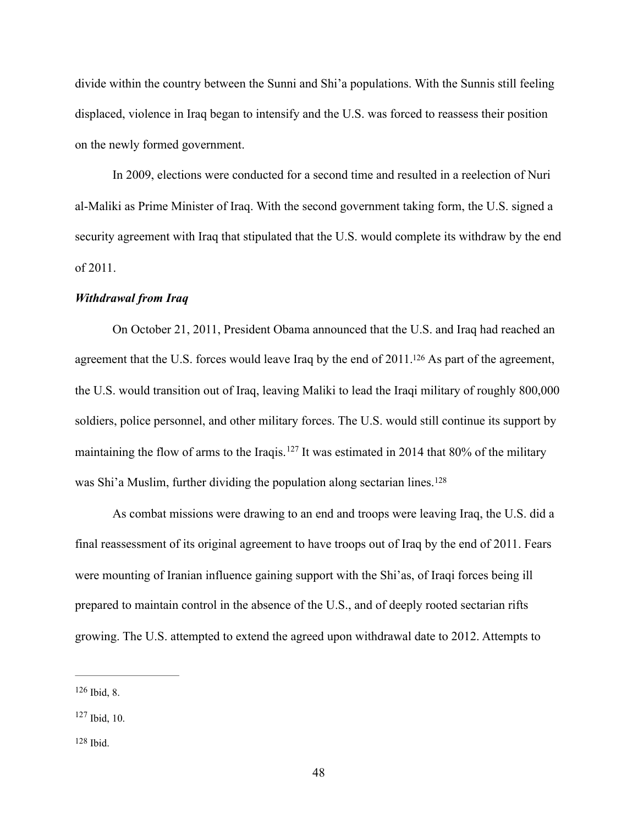divide within the country between the Sunni and Shi'a populations. With the Sunnis still feeling displaced, violence in Iraq began to intensify and the U.S. was forced to reassess their position on the newly formed government.

 In 2009, elections were conducted for a second time and resulted in a reelection of Nuri al-Maliki as Prime Minister of Iraq. With the second government taking form, the U.S. signed a security agreement with Iraq that stipulated that the U.S. would complete its withdraw by the end of 2011.

# *Withdrawal from Iraq*

<span id="page-47-3"></span> On October 21, 2011, President Obama announced that the U.S. and Iraq had reached an agreement that the U[.](#page-47-0)S. forces would leave Iraq by the end of  $2011$ .<sup>[126](#page-47-0)</sup> As part of the agreement, the U.S. would transition out of Iraq, leaving Maliki to lead the Iraqi military of roughly 800,000 soldiers, police personnel, and other military forces. The U.S. would still continue its support by maintainingthe flow of arms to the Iraqis.<sup>[127](#page-47-1)</sup> It was estimated in 2014 that 80% of the military was Shi'a Muslim, further dividing the population along sectarian lines. [128](#page-47-2)

<span id="page-47-5"></span><span id="page-47-4"></span> As combat missions were drawing to an end and troops were leaving Iraq, the U.S. did a final reassessment of its original agreement to have troops out of Iraq by the end of 2011. Fears were mounting of Iranian influence gaining support with the Shi'as, of Iraqi forces being ill prepared to maintain control in the absence of the U.S., and of deeply rooted sectarian rifts growing. The U.S. attempted to extend the agreed upon withdrawal date to 2012. Attempts to

<span id="page-47-2"></span> $128$  Ibid.

<span id="page-47-0"></span> $126$  Ibid, 8.

<span id="page-47-1"></span> $127$  Ibid, 10.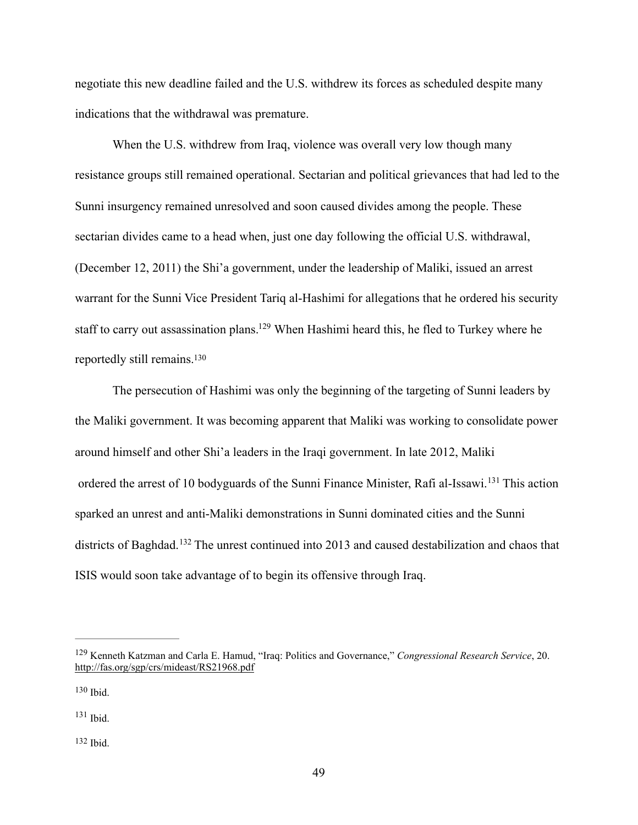negotiate this new deadline failed and the U.S. withdrew its forces as scheduled despite many indications that the withdrawal was premature.

When the U.S. withdrew from Iraq, violence was overall very low though many resistance groups still remained operational. Sectarian and political grievances that had led to the Sunni insurgency remained unresolved and soon caused divides among the people. These sectarian divides came to a head when, just one day following the official U.S. withdrawal, (December 12, 2011) the Shi'a government, under the leadership of Maliki, issued an arrest warrant for the Sunni Vice President Tariq al-Hashimi for allegations that he ordered his security staff to carry out assassination plans[.](#page-48-0)<sup>[129](#page-48-0)</sup> When Hashimi heard this, he fled to Turkey where he reportedly still remains[.130](#page-48-1)

<span id="page-48-6"></span><span id="page-48-5"></span><span id="page-48-4"></span> The persecution of Hashimi was only the beginning of the targeting of Sunni leaders by the Maliki government. It was becoming apparent that Maliki was working to consolidate power around himself and other Shi'a leaders in the Iraqi government. In late 2012, Maliki orderedthe arrest of 10 bodyguards of the Sunni Finance Minister, Rafi al-Issawi.<sup>[131](#page-48-2)</sup> This action sparked an unrest and anti-Maliki demonstrations in Sunni dominated cities and the Sunni districtsof Baghdad.<sup>[132](#page-48-3)</sup> The unrest continued into 2013 and caused destabilization and chaos that ISIS would soon take advantage of to begin its offensive through Iraq.

<span id="page-48-7"></span><span id="page-48-0"></span><sup>&</sup>lt;sup>[129](#page-48-4)</sup> Kenneth Katzman and Carla E. Hamud, "Iraq: Politics and Governance," *Congressional Research Service*, 20. <http://fas.org/sgp/crs/mideast/RS21968.pdf>

<span id="page-48-1"></span>Ibid. [130](#page-48-5)

<span id="page-48-2"></span> $131$  Ibid.

<span id="page-48-3"></span> $132$  Ibid.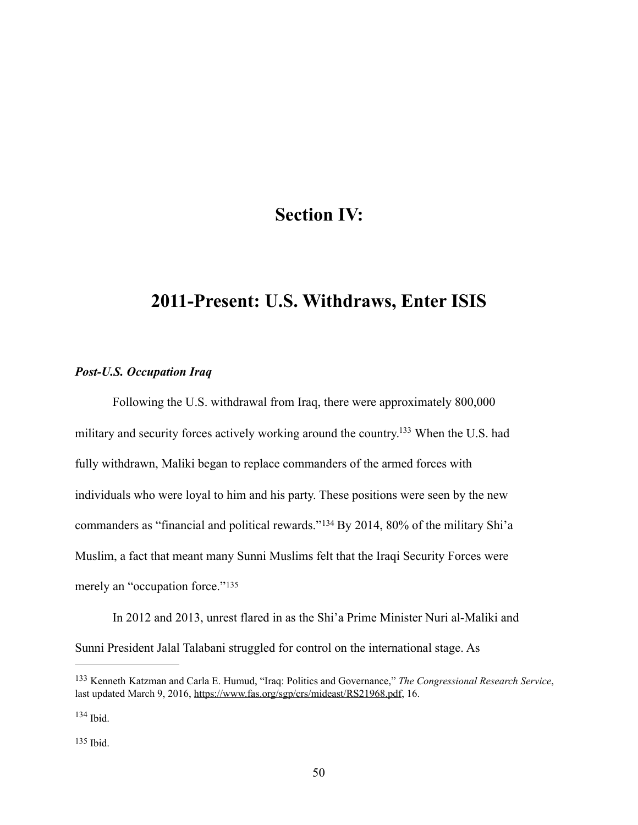# <span id="page-49-3"></span>**Section IV:**

# **2011-Present: U.S. Withdraws, Enter ISIS**

# *Post-U.S. Occupation Iraq*

 Following the U.S. withdrawal from Iraq, there were approximately 800,000 military and security forces actively working around the country[.](#page-49-0)<sup>[133](#page-49-0)</sup> When the U.S. had fully withdrawn, Maliki began to replace commanders of the armed forces with individuals who were loyal to him and his party. These positions were seen by the new commandersas "financial and political rewards."<sup>[134](#page-49-1)</sup> By 2014, 80% of the military Shi'a Muslim, a fact that meant many Sunni Muslims felt that the Iraqi Security Forces were merely an "occupation force."<sup>[135](#page-49-2)</sup>

<span id="page-49-5"></span><span id="page-49-4"></span> In 2012 and 2013, unrest flared in as the Shi'a Prime Minister Nuri al-Maliki and Sunni President Jalal Talabani struggled for control on the international stage. As

<span id="page-49-0"></span><sup>&</sup>lt;sup>[133](#page-49-3)</sup> Kenneth Katzman and Carla E. Humud, "Iraq: Politics and Governance," *The Congressional Research Service*, last updated March 9, 2016, [https://www.fas.org/sgp/crs/mideast/RS21968.pdf,](https://www.fas.org/sgp/crs/mideast/RS21968.pdf) 16.

<span id="page-49-1"></span> $134$  Ibid.

<span id="page-49-2"></span> $135$  Ibid.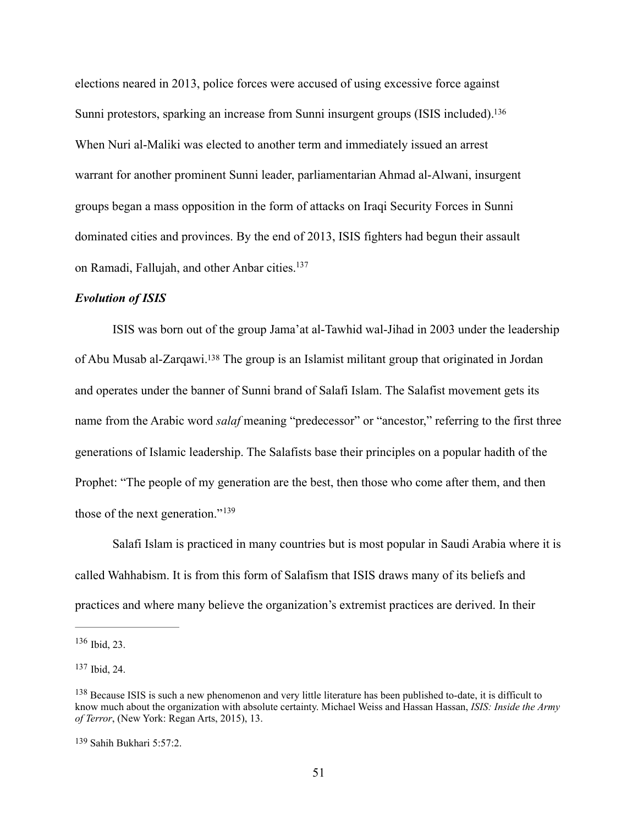<span id="page-50-4"></span>elections neared in 2013, police forces were accused of using excessive force against Sunni protestors, sparking an increase from Sunni insurgent groups (ISIS included)[.136](#page-50-0) When Nuri al-Maliki was elected to another term and immediately issued an arrest warrant for another prominent Sunni leader, parliamentarian Ahmad al-Alwani, insurgent groups began a mass opposition in the form of attacks on Iraqi Security Forces in Sunni dominated cities and provinces. By the end of 2013, ISIS fighters had begun their assault on Ramadi, Fallujah, and other Anbar cities[.137](#page-50-1)

# <span id="page-50-5"></span>*Evolution of ISIS*

<span id="page-50-6"></span> ISIS was born out of the group Jama'at al-Tawhid wal-Jihad in 2003 under the leadership of Abu Musab al-Zarqawi[.](#page-50-2)<sup>[138](#page-50-2)</sup> The group is an Islamist militant group that originated in Jordan and operates under the banner of Sunni brand of Salafi Islam. The Salafist movement gets its name from the Arabic word *salaf* meaning "predecessor" or "ancestor," referring to the first three generations of Islamic leadership. The Salafists base their principles on a popular hadith of the Prophet: "The people of my generation are the best, then those who come after them, and then those of the next generation."[139](#page-50-3)

<span id="page-50-7"></span> Salafi Islam is practiced in many countries but is most popular in Saudi Arabia where it is called Wahhabism. It is from this form of Salafism that ISIS draws many of its beliefs and practices and where many believe the organization's extremist practices are derived. In their

<span id="page-50-0"></span> $136$  Ibid, 23.

<span id="page-50-1"></span>[<sup>137</sup>](#page-50-5) Ibid, 24.

<span id="page-50-2"></span> $138$  Because ISIS is such a new phenomenon and very little literature has been published to-date, it is difficult to know much about the organization with absolute certainty. Michael Weiss and Hassan Hassan, *ISIS: Inside the Army of Terror*, (New York: Regan Arts, 2015), 13.

<span id="page-50-3"></span>[<sup>139</sup>](#page-50-7) Sahih Bukhari 5:57:2.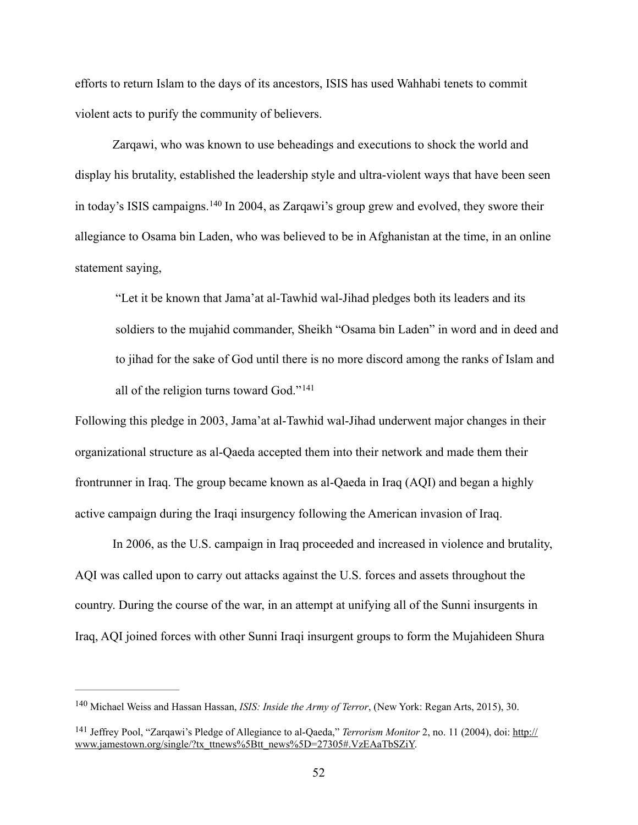efforts to return Islam to the days of its ancestors, ISIS has used Wahhabi tenets to commit violent acts to purify the community of believers.

 Zarqawi, who was known to use beheadings and executions to shock the world and display his brutality, established the leadership style and ultra-violent ways that have been seen intoday's ISIS campaigns.  $140$  In 2004, as Zarqawi's group grew and evolved, they swore their allegiance to Osama bin Laden, who was believed to be in Afghanistan at the time, in an online statement saying,

<span id="page-51-3"></span><span id="page-51-2"></span>"Let it be known that Jama'at al-Tawhid wal-Jihad pledges both its leaders and its soldiers to the mujahid commander, Sheikh "Osama bin Laden" in word and in deed and to jihad for the sake of God until there is no more discord among the ranks of Islam and all of the religion turns toward God." [141](#page-51-1)

Following this pledge in 2003, Jama'at al-Tawhid wal-Jihad underwent major changes in their organizational structure as al-Qaeda accepted them into their network and made them their frontrunner in Iraq. The group became known as al-Qaeda in Iraq (AQI) and began a highly active campaign during the Iraqi insurgency following the American invasion of Iraq.

 In 2006, as the U.S. campaign in Iraq proceeded and increased in violence and brutality, AQI was called upon to carry out attacks against the U.S. forces and assets throughout the country. During the course of the war, in an attempt at unifying all of the Sunni insurgents in Iraq, AQI joined forces with other Sunni Iraqi insurgent groups to form the Mujahideen Shura

<span id="page-51-0"></span><sup>&</sup>lt;sup>[140](#page-51-2)</sup> Michael Weiss and Hassan Hassan, *ISIS: Inside the Army of Terror*, (New York: Regan Arts, 2015), 30.

<span id="page-51-1"></span>[<sup>141</sup>](#page-51-3) Jeffrey Pool, "Zarqawi's Pledge of Allegiance to al-Qaeda," *Terrorism Monitor* 2, no. 11 (2004), doi: http:// [www.jamestown.org/single/?tx\\_ttnews%5Btt\\_news%5D=27305#.VzEAaTbSZiY.](http://www.jamestown.org/single/?tx_ttnews%255Btt_news%255D=27305#.VzEAaTbSZiY)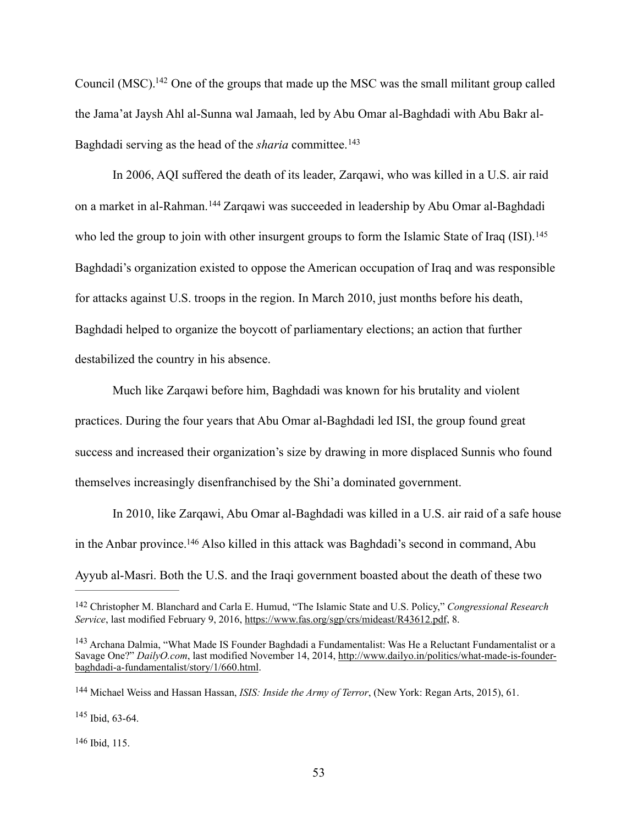<span id="page-52-5"></span>Council (MSC)[.](#page-52-0)<sup>[142](#page-52-0)</sup> One of the groups that made up the MSC was the small militant group called the Jama'at Jaysh Ahl al-Sunna wal Jamaah, led by Abu Omar al-Baghdadi with Abu Bakr al-Baghdadi serving as the head of the *sharia* committee.<sup>[143](#page-52-1)</sup>

<span id="page-52-8"></span><span id="page-52-7"></span><span id="page-52-6"></span> In 2006, AQI suffered the death of its leader, Zarqawi, who was killed in a U.S. air raid ona market in al-Rahman.<sup>[144](#page-52-2)</sup> Zarqawi was succeeded in leadership by Abu Omar al-Baghdadi who led the group to join with other insurgent groups to form the Islamic State of Iraq (ISI).<sup>[145](#page-52-3)</sup> Baghdadi's organization existed to oppose the American occupation of Iraq and was responsible for attacks against U.S. troops in the region. In March 2010, just months before his death, Baghdadi helped to organize the boycott of parliamentary elections; an action that further destabilized the country in his absence.

 Much like Zarqawi before him, Baghdadi was known for his brutality and violent practices. During the four years that Abu Omar al-Baghdadi led ISI, the group found great success and increased their organization's size by drawing in more displaced Sunnis who found themselves increasingly disenfranchised by the Shi'a dominated government.

<span id="page-52-9"></span> In 2010, like Zarqawi, Abu Omar al-Baghdadi was killed in a U.S. air raid of a safe house in the Anbar province[.](#page-52-4)<sup>[146](#page-52-4)</sup> Also killed in this attack was Baghdadi's second in command, Abu Ayyub al-Masri. Both the U.S. and the Iraqi government boasted about the death of these two

<span id="page-52-3"></span> $145$  Ibid, 63-64.

<span id="page-52-4"></span>[146](#page-52-9) Ibid, 115.

<span id="page-52-0"></span>Christopher M. Blanchard and Carla E. Humud, "The Islamic State and U.S. Policy," *Congressional Research* [142](#page-52-5) *Service*, last modified February 9, 2016, [https://www.fas.org/sgp/crs/mideast/R43612.pdf,](https://www.fas.org/sgp/crs/mideast/R43612.pdf) 8.

<span id="page-52-1"></span><sup>&</sup>lt;sup>[143](#page-52-6)</sup> Archana Dalmia, "What Made IS Founder Baghdadi a Fundamentalist: Was He a Reluctant Fundamentalist or a Savage One?" *DailyO.com*[, last modified November 14, 2014, http://www.dailyo.in/politics/what-made-is-founder](http://www.dailyo.in/politics/what-made-is-founder-baghdadi-a-fundamentalist/story/1/660.html)baghdadi-a-fundamentalist/story/1/660.html.

<span id="page-52-2"></span><sup>&</sup>lt;sup>[144](#page-52-7)</sup> Michael Weiss and Hassan Hassan, *ISIS: Inside the Army of Terror*, (New York: Regan Arts, 2015), 61.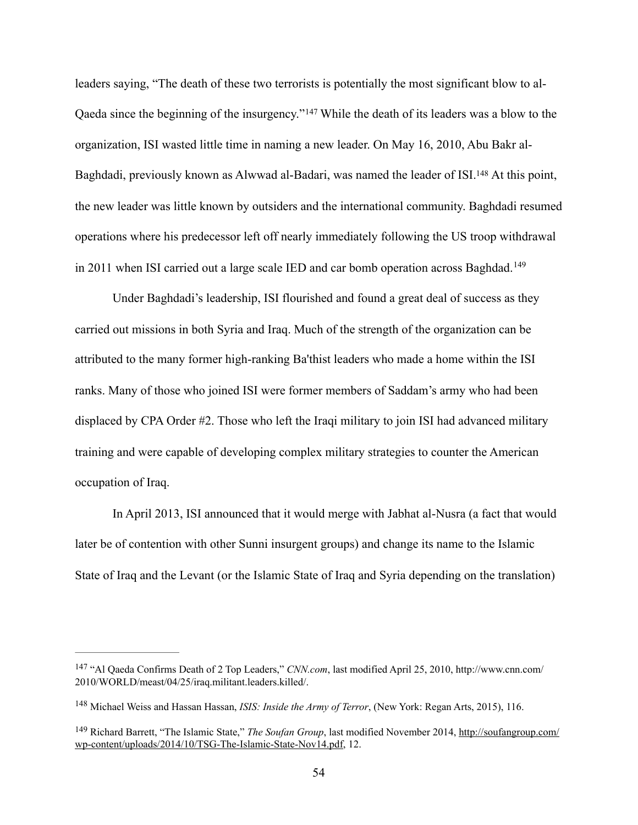<span id="page-53-4"></span><span id="page-53-3"></span>leaders saying, "The death of these two terrorists is potentially the most significant blow to al-Qaedasince the beginning of the insurgency."<sup>[147](#page-53-0)</sup> While the death of its leaders was a blow to the organization, ISI wasted little time in naming a new leader. On May 16, 2010, Abu Bakr al-Baghdadi, previously known as Alwwad al-Badari, was named the leader of ISI[.](#page-53-1)<sup>[148](#page-53-1)</sup> At this point, the new leader was little known by outsiders and the international community. Baghdadi resumed operations where his predecessor left off nearly immediately following the US troop withdrawal in 2011 when ISI carried out a large scale IED and car bomb operation across Baghdad.<sup>[149](#page-53-2)</sup>

<span id="page-53-5"></span> Under Baghdadi's leadership, ISI flourished and found a great deal of success as they carried out missions in both Syria and Iraq. Much of the strength of the organization can be attributed to the many former high-ranking Ba'thist leaders who made a home within the ISI ranks. Many of those who joined ISI were former members of Saddam's army who had been displaced by CPA Order #2. Those who left the Iraqi military to join ISI had advanced military training and were capable of developing complex military strategies to counter the American occupation of Iraq.

 In April 2013, ISI announced that it would merge with Jabhat al-Nusra (a fact that would later be of contention with other Sunni insurgent groups) and change its name to the Islamic State of Iraq and the Levant (or the Islamic State of Iraq and Syria depending on the translation)

<span id="page-53-0"></span><sup>&</sup>lt;sup>[147](#page-53-3)</sup> "Al Qaeda Confirms Death of 2 Top Leaders," *CNN.com*, last modified April 25, 2010, http://www.cnn.com/ 2010/WORLD/meast/04/25/iraq.militant.leaders.killed/.

<span id="page-53-1"></span><sup>&</sup>lt;sup>[148](#page-53-4)</sup> Michael Weiss and Hassan Hassan, *ISIS: Inside the Army of Terror*, (New York: Regan Arts, 2015), 116.

<span id="page-53-2"></span><sup>&</sup>lt;sup>[149](#page-53-5)</sup> Richard Barrett, "The Islamic State," *The Soufan Group*, last modified November 2014, http://soufangroup.com/ [wp-content/uploads/2014/10/TSG-The-Islamic-State-Nov14.pdf, 12.](http://soufangroup.com/wp-content/uploads/2014/10/TSG-The-Islamic-State-Nov14.pdf)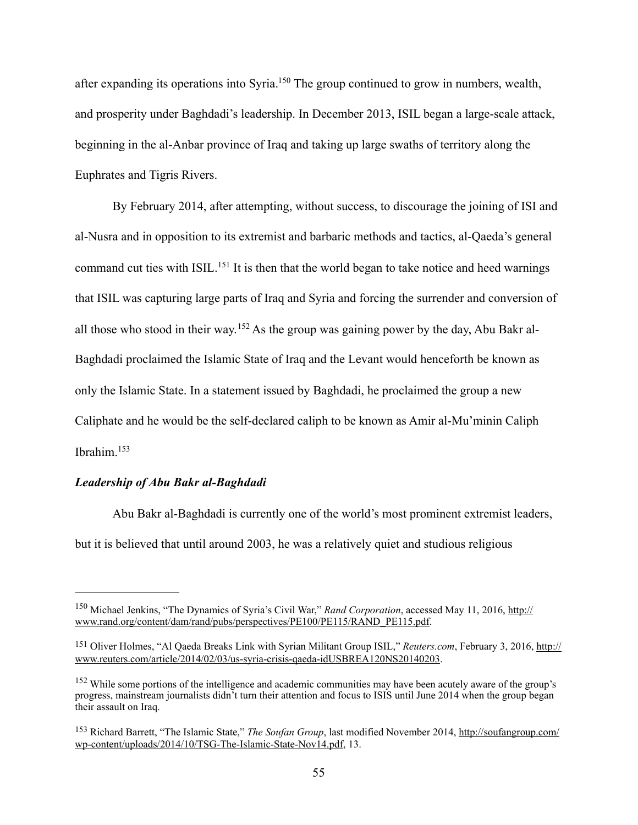<span id="page-54-4"></span>after expanding its operations into Syria[.](#page-54-0)<sup>[150](#page-54-0)</sup> The group continued to grow in numbers, wealth, and prosperity under Baghdadi's leadership. In December 2013, ISIL began a large-scale attack, beginning in the al-Anbar province of Iraq and taking up large swaths of territory along the Euphrates and Tigris Rivers.

<span id="page-54-6"></span><span id="page-54-5"></span> By February 2014, after attempting, without success, to discourage the joining of ISI and al-Nusra and in opposition to its extremist and barbaric methods and tactics, al-Qaeda's general commandcut ties with ISIL.<sup>[151](#page-54-1)</sup> It is then that the world began to take notice and heed warnings that ISIL was capturing large parts of Iraq and Syria and forcing the surrender and conversion of allthose who stood in their way. <sup>152</sup> As the group was gaining power by the day, Abu Bakr al-Baghdadi proclaimed the Islamic State of Iraq and the Levant would henceforth be known as only the Islamic State. In a statement issued by Baghdadi, he proclaimed the group a new Caliphate and he would be the self-declared caliph to be known as Amir al-Mu'minin Caliph Ibrahim.[153](#page-54-3)

# <span id="page-54-7"></span>*Leadership of Abu Bakr al-Baghdadi*

 Abu Bakr al-Baghdadi is currently one of the world's most prominent extremist leaders, but it is believed that until around 2003, he was a relatively quiet and studious religious

<span id="page-54-0"></span><sup>&</sup>lt;sup>[150](#page-54-4)</sup> Michael Jenkins, "The Dynamics of Syria's Civil War," *Rand Corporation*, accessed May 11, 2016, http:// [www.rand.org/content/dam/rand/pubs/perspectives/PE100/PE115/RAND\\_PE115.pdf.](http://www.rand.org/content/dam/rand/pubs/perspectives/PE100/PE115/RAND_PE115.pdf)

<span id="page-54-1"></span><sup>&</sup>lt;sup>[151](#page-54-5)</sup> Oliver Holmes, "Al Qaeda Breaks Link with Syrian Militant Group ISIL," *Reuters.com*, February 3, 2016, http:// [www.reuters.com/article/2014/02/03/us-syria-crisis-qaeda-idUSBREA120NS20140203.](http://www.reuters.com/article/2014/02/03/us-syria-crisis-qaeda-idUSBREA120NS20140203)

<span id="page-54-2"></span><sup>&</sup>lt;sup>[152](#page-54-6)</sup> While some portions of the intelligence and academic communities may have been acutely aware of the group's progress, mainstream journalists didn't turn their attention and focus to ISIS until June 2014 when the group began their assault on Iraq.

<span id="page-54-3"></span><sup>&</sup>lt;sup>[153](#page-54-7)</sup> Richard Barrett, "The Islamic State," *The Soufan Group*, last modified November 2014, http://soufangroup.com/ [wp-content/uploads/2014/10/TSG-The-Islamic-State-Nov14.pdf, 13.](http://soufangroup.com/wp-content/uploads/2014/10/TSG-The-Islamic-State-Nov14.pdf)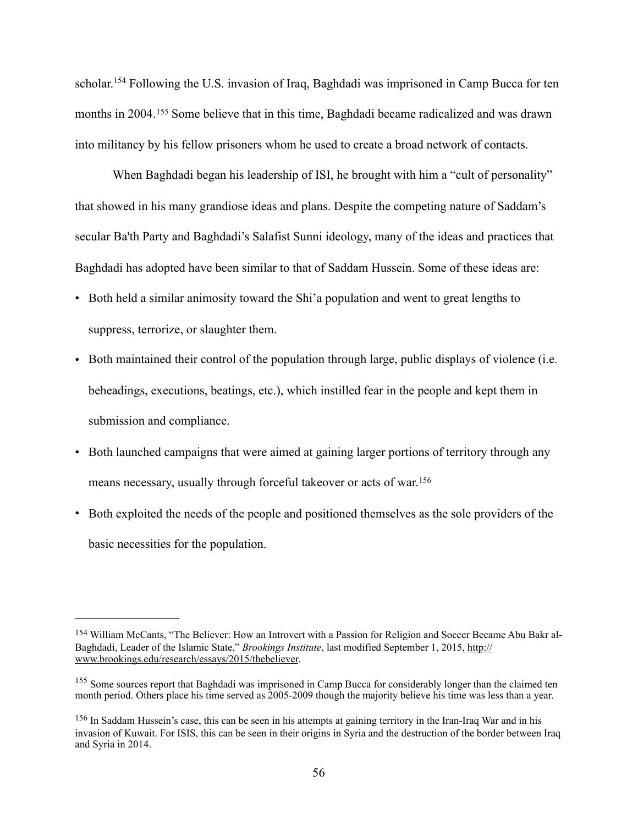<span id="page-55-4"></span><span id="page-55-3"></span>scholar.<sup>[154](#page-55-0)</sup> Following the U.S. invasion of Iraq, Baghdadi was imprisoned in Camp Bucca for ten monthsin 2004.<sup>[155](#page-55-1)</sup> Some believe that in this time, Baghdadi became radicalized and was drawn into militancy by his fellow prisoners whom he used to create a broad network of contacts.

When Baghdadi began his leadership of ISI, he brought with him a "cult of personality" that showed in his many grandiose ideas and plans. Despite the competing nature of Saddam's secular Ba'th Party and Baghdadi's Salafist Sunni ideology, many of the ideas and practices that Baghdadi has adopted have been similar to that of Saddam Hussein. Some of these ideas are:

- Both held a similar animosity toward the Shi'a population and went to great lengths to suppress, terrorize, or slaughter them.
- Both maintained their control of the population through large, public displays of violence (i.e. beheadings, executions, beatings, etc.), which instilled fear in the people and kept them in submission and compliance.
- Both launched campaigns that were aimed at gaining larger portions of territory through any means necessary, usually through forceful takeover or acts of war.[156](#page-55-2)
- <span id="page-55-5"></span>• Both exploited the needs of the people and positioned themselves as the sole providers of the basic necessities for the population.

<span id="page-55-0"></span>[<sup>154</sup>](#page-55-3) William McCants, "The Believer: How an Introvert with a Passion for Religion and Soccer Became Abu Bakr al-Baghdadi, Leader of the Islamic State," *Brookings Institute*, last modified September 1, 2015, http:// [www.brookings.edu/research/essays/2015/thebeliever.](http://www.brookings.edu/research/essays/2015/thebeliever)

<span id="page-55-1"></span><sup>&</sup>lt;sup>[155](#page-55-4)</sup> Some sources report that Baghdadi was imprisoned in Camp Bucca for considerably longer than the claimed ten month period. Others place his time served as 2005-2009 though the majority believe his time was less than a year.

<span id="page-55-2"></span><sup>&</sup>lt;sup>[156](#page-55-5)</sup> In Saddam Hussein's case, this can be seen in his attempts at gaining territory in the Iran-Iraq War and in his invasion of Kuwait. For ISIS, this can be seen in their origins in Syria and the destruction of the border between Iraq and Syria in 2014.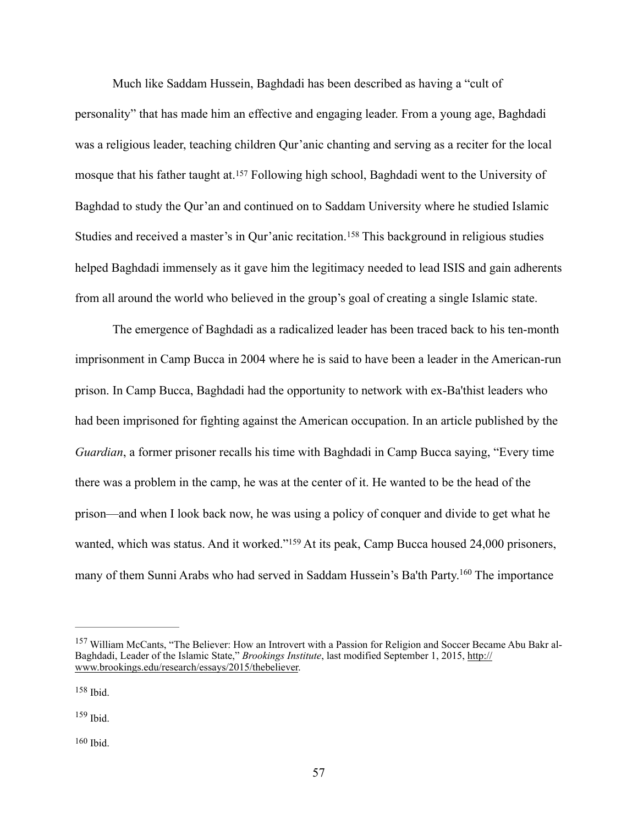<span id="page-56-4"></span> Much like Saddam Hussein, Baghdadi has been described as having a "cult of personality" that has made him an effective and engaging leader. From a young age, Baghdadi was a religious leader, teaching children Qur'anic chanting and serving as a reciter for the local mosquethat his father taught at.<sup>[157](#page-56-0)</sup> Following high school, Baghdadi went to the University of Baghdad to study the Qur'an and continued on to Saddam University where he studied Islamic Studiesand received a master's in Qur'anic recitation.<sup>[158](#page-56-1)</sup> This background in religious studies helped Baghdadi immensely as it gave him the legitimacy needed to lead ISIS and gain adherents from all around the world who believed in the group's goal of creating a single Islamic state.

<span id="page-56-5"></span> The emergence of Baghdadi as a radicalized leader has been traced back to his ten-month imprisonment in Camp Bucca in 2004 where he is said to have been a leader in the American-run prison. In Camp Bucca, Baghdadi had the opportunity to network with ex-Ba'thist leaders who had been imprisoned for fighting against the American occupation. In an article published by the *Guardian*, a former prisoner recalls his time with Baghdadi in Camp Bucca saying, "Every time there was a problem in the camp, he was at the center of it. He wanted to be the head of the prison—and when I look back now, he was using a policy of conquer and divide to get what he wanted,which was status. And it worked."<sup>[159](#page-56-2)</sup> At its peak, Camp Bucca housed 24,000 prisoners, many of them Sunni Arabs who had served in Saddam Hussein's Ba'th Party[.](#page-56-3)<sup>[160](#page-56-3)</sup> The importance

<span id="page-56-7"></span><span id="page-56-6"></span><span id="page-56-0"></span><sup>&</sup>lt;sup>[157](#page-56-4)</sup> William McCants, "The Believer: How an Introvert with a Passion for Religion and Soccer Became Abu Bakr al-Baghdadi, Leader of the Islamic State," *Brookings Institute*, last modified September 1, 2015, http:// [www.brookings.edu/research/essays/2015/thebeliever.](http://www.brookings.edu/research/essays/2015/thebeliever)

<span id="page-56-1"></span>[<sup>158</sup>](#page-56-5) Ibid.

<span id="page-56-2"></span> $159$  Ibid.

<span id="page-56-3"></span> $160$  Ibid.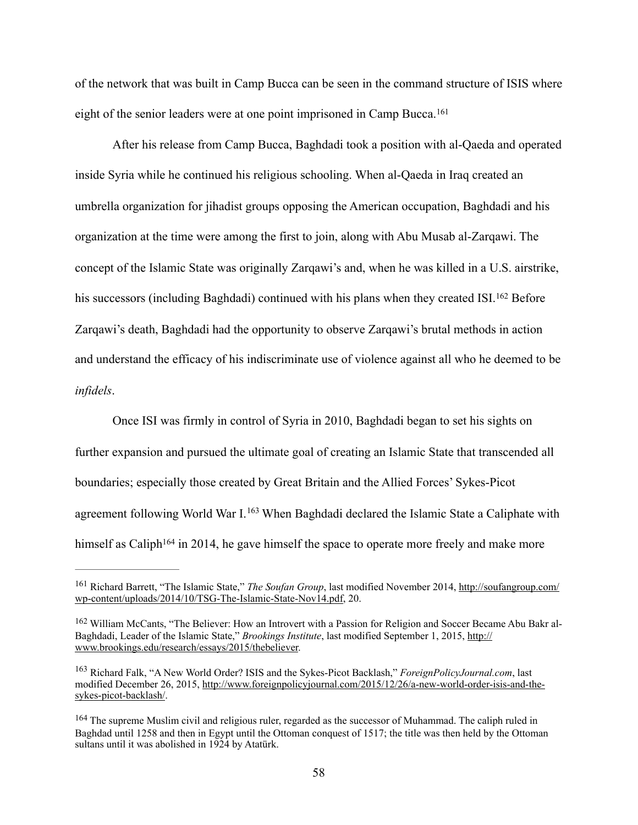of the network that was built in Camp Bucca can be seen in the command structure of ISIS where eight of the senior leaders were at one point imprisoned in Camp Bucca.<sup>[161](#page-57-0)</sup>

<span id="page-57-4"></span> After his release from Camp Bucca, Baghdadi took a position with al-Qaeda and operated inside Syria while he continued his religious schooling. When al-Qaeda in Iraq created an umbrella organization for jihadist groups opposing the American occupation, Baghdadi and his organization at the time were among the first to join, along with Abu Musab al-Zarqawi. The concept of the Islamic State was originally Zarqawi's and, when he was killed in a U.S. airstrike, hissuccessors (including Baghdadi) continued with his plans when they created ISI.<sup>[162](#page-57-1)</sup> Before Zarqawi's death, Baghdadi had the opportunity to observe Zarqawi's brutal methods in action and understand the efficacy of his indiscriminate use of violence against all who he deemed to be *infidels*.

<span id="page-57-5"></span> Once ISI was firmly in control of Syria in 2010, Baghdadi began to set his sights on further expansion and pursued the ultimate goal of creating an Islamic State that transcended all boundaries; especially those created by Great Britain and the Allied Forces' Sykes-Picot agreementfollowing World War I.<sup>[163](#page-57-2)</sup> When Baghdadi declared the Islamic State a Caliphate with himselfas Caliph<sup> $164$ </sup> in 2014, he gave himself the space to operate more freely and make more

<span id="page-57-7"></span><span id="page-57-6"></span><span id="page-57-0"></span><sup>&</sup>lt;sup>[161](#page-57-4)</sup> Richard Barrett, "The Islamic State," *The Soufan Group*, last modified November 2014, http://soufangroup.com/ [wp-content/uploads/2014/10/TSG-The-Islamic-State-Nov14.pdf, 20.](http://soufangroup.com/wp-content/uploads/2014/10/TSG-The-Islamic-State-Nov14.pdf) 

<span id="page-57-1"></span><sup>&</sup>lt;sup>[162](#page-57-5)</sup> William McCants, "The Believer: How an Introvert with a Passion for Religion and Soccer Became Abu Bakr al-Baghdadi, Leader of the Islamic State," *Brookings Institute*, last modified September 1, 2015, http:// [www.brookings.edu/research/essays/2015/thebeliever.](http://www.brookings.edu/research/essays/2015/thebeliever)

<span id="page-57-2"></span><sup>&</sup>lt;sup>[163](#page-57-6)</sup> Richard Falk, "A New World Order? ISIS and the Sykes-Picot Backlash," *ForeignPolicyJournal.com*, last [modified December 26, 2015, http://www.foreignpolicyjournal.com/2015/12/26/a-new-world-order-isis-and-the](http://www.foreignpolicyjournal.com/2015/12/26/a-new-world-order-isis-and-the-sykes-picot-backlash/)sykes-picot-backlash/.

<span id="page-57-3"></span><sup>&</sup>lt;sup>[164](#page-57-7)</sup> The supreme Muslim civil and religious ruler, regarded as the successor of Muhammad. The caliph ruled in Baghdad until 1258 and then in Egypt until the Ottoman conquest of 1517; the title was then held by the Ottoman sultans until it was abolished in 1924 by Atatürk.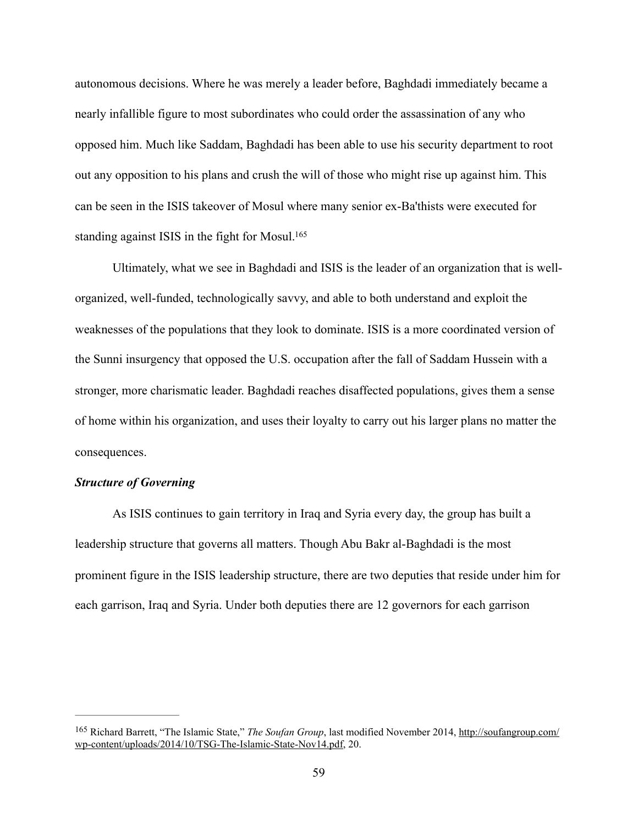autonomous decisions. Where he was merely a leader before, Baghdadi immediately became a nearly infallible figure to most subordinates who could order the assassination of any who opposed him. Much like Saddam, Baghdadi has been able to use his security department to root out any opposition to his plans and crush the will of those who might rise up against him. This can be seen in the ISIS takeover of Mosul where many senior ex-Ba'thists were executed for standing against ISIS in the fight for Mosul[.165](#page-58-0)

<span id="page-58-1"></span> Ultimately, what we see in Baghdadi and ISIS is the leader of an organization that is wellorganized, well-funded, technologically savvy, and able to both understand and exploit the weaknesses of the populations that they look to dominate. ISIS is a more coordinated version of the Sunni insurgency that opposed the U.S. occupation after the fall of Saddam Hussein with a stronger, more charismatic leader. Baghdadi reaches disaffected populations, gives them a sense of home within his organization, and uses their loyalty to carry out his larger plans no matter the consequences.

# *Structure of Governing*

As ISIS continues to gain territory in Iraq and Syria every day, the group has built a leadership structure that governs all matters. Though Abu Bakr al-Baghdadi is the most prominent figure in the ISIS leadership structure, there are two deputies that reside under him for each garrison, Iraq and Syria. Under both deputies there are 12 governors for each garrison

<span id="page-58-0"></span><sup>&</sup>lt;sup>[165](#page-58-1)</sup> Richard Barrett, "The Islamic State," *The Soufan Group*, last modified November 2014, http://soufangroup.com/ [wp-content/uploads/2014/10/TSG-The-Islamic-State-Nov14.pdf, 20.](http://soufangroup.com/wp-content/uploads/2014/10/TSG-The-Islamic-State-Nov14.pdf)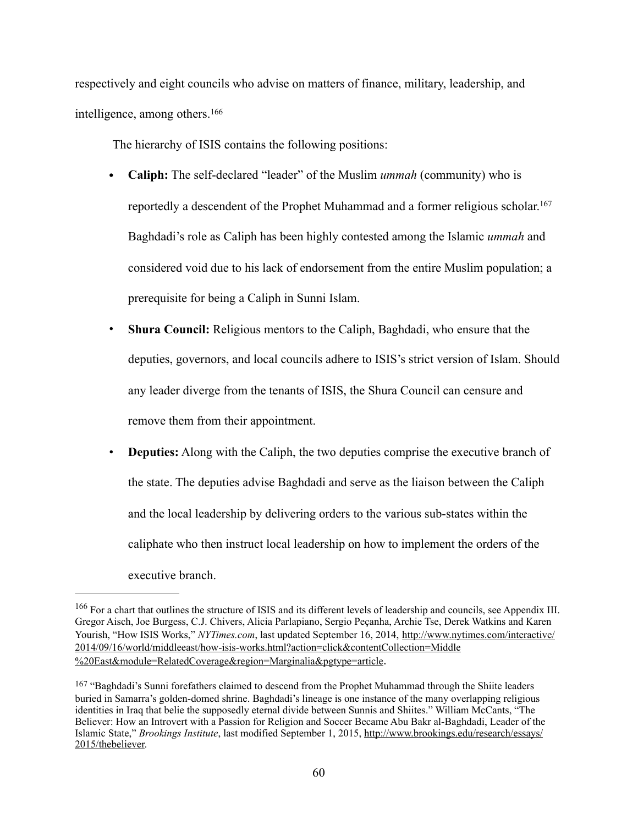respectively and eight councils who advise on matters of finance, military, leadership, and intelligence, among others.[166](#page-59-0)

<span id="page-59-2"></span>The hierarchy of ISIS contains the following positions:

- <span id="page-59-3"></span>**• Caliph:** The self-declared "leader" of the Muslim *ummah* (community) who is reportedly a descendent of the Prophet Muhammad and a former religious scholar.<sup>167</sup> Baghdadi's role as Caliph has been highly contested among the Islamic *ummah* and considered void due to his lack of endorsement from the entire Muslim population; a prerequisite for being a Caliph in Sunni Islam.
- **Shura Council:** Religious mentors to the Caliph, Baghdadi, who ensure that the deputies, governors, and local councils adhere to ISIS's strict version of Islam. Should any leader diverge from the tenants of ISIS, the Shura Council can censure and remove them from their appointment.
- **Deputies:** Along with the Caliph, the two deputies comprise the executive branch of the state. The deputies advise Baghdadi and serve as the liaison between the Caliph and the local leadership by delivering orders to the various sub-states within the caliphate who then instruct local leadership on how to implement the orders of the executive branch.

<span id="page-59-0"></span> $^{166}$  $^{166}$  $^{166}$  For a chart that outlines the structure of ISIS and its different levels of leadership and councils, see Appendix III. Gregor Aisch, Joe Burgess, C.J. Chivers, Alicia Parlapiano, Sergio Peçanha, Archie Tse, Derek Watkins and Karen Yourish, "How ISIS Works," *[NYTimes.com](http://NYTimes.com)*, last updated September 16, 2014, http://www.nytimes.com/interactive/ [2014/09/16/world/middleeast/how-isis-works.html?action=click&contentCollection=Middle](http://www.nytimes.com/interactive/2014/09/16/world/middleeast/how-isis-works.html?action=click&contentCollection=Middle%2520East&module=RelatedCoverage®ion=Marginalia&pgtype=article) %20East&module=RelatedCoverage&region=Marginalia&pgtype=article.

<span id="page-59-1"></span><sup>&</sup>lt;sup>[167](#page-59-3)</sup> "Baghdadi's Sunni forefathers claimed to descend from the Prophet Muhammad through the Shiite leaders buried in Samarra's golden-domed shrine. Baghdadi's lineage is one instance of the many overlapping religious identities in Iraq that belie the supposedly eternal divide between Sunnis and Shiites." William McCants, "The Believer: How an Introvert with a Passion for Religion and Soccer Became Abu Bakr al-Baghdadi, Leader of the Islamic State," *Brookings Institute*[, last modified September 1, 2015, http://www.brookings.edu/research/essays/](http://www.brookings.edu/research/essays/2015/thebeliever) 2015/thebeliever.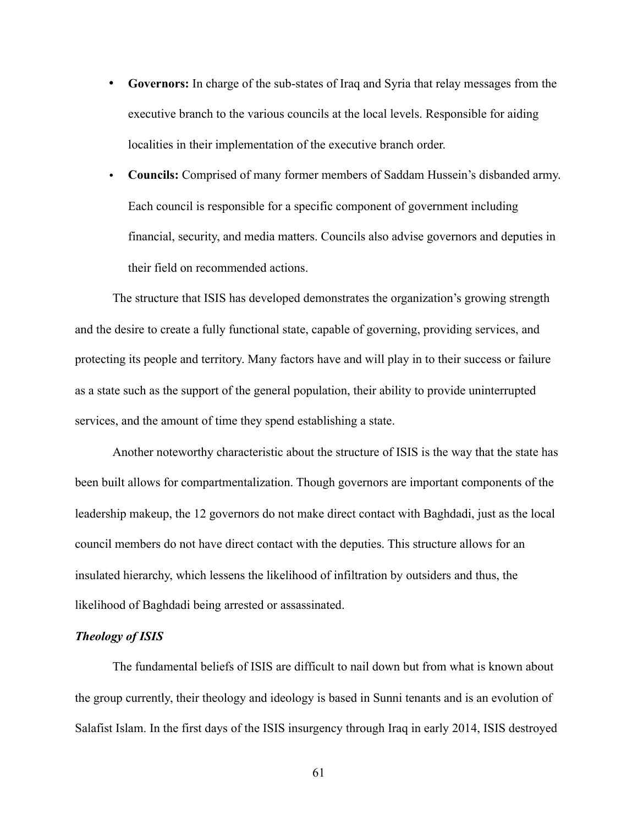- **• Governors:** In charge of the sub-states of Iraq and Syria that relay messages from the executive branch to the various councils at the local levels. Responsible for aiding localities in their implementation of the executive branch order.
- **Councils:** Comprised of many former members of Saddam Hussein's disbanded army. Each council is responsible for a specific component of government including financial, security, and media matters. Councils also advise governors and deputies in their field on recommended actions.

The structure that ISIS has developed demonstrates the organization's growing strength and the desire to create a fully functional state, capable of governing, providing services, and protecting its people and territory. Many factors have and will play in to their success or failure as a state such as the support of the general population, their ability to provide uninterrupted services, and the amount of time they spend establishing a state.

 Another noteworthy characteristic about the structure of ISIS is the way that the state has been built allows for compartmentalization. Though governors are important components of the leadership makeup, the 12 governors do not make direct contact with Baghdadi, just as the local council members do not have direct contact with the deputies. This structure allows for an insulated hierarchy, which lessens the likelihood of infiltration by outsiders and thus, the likelihood of Baghdadi being arrested or assassinated.

## *Theology of ISIS*

 The fundamental beliefs of ISIS are difficult to nail down but from what is known about the group currently, their theology and ideology is based in Sunni tenants and is an evolution of Salafist Islam. In the first days of the ISIS insurgency through Iraq in early 2014, ISIS destroyed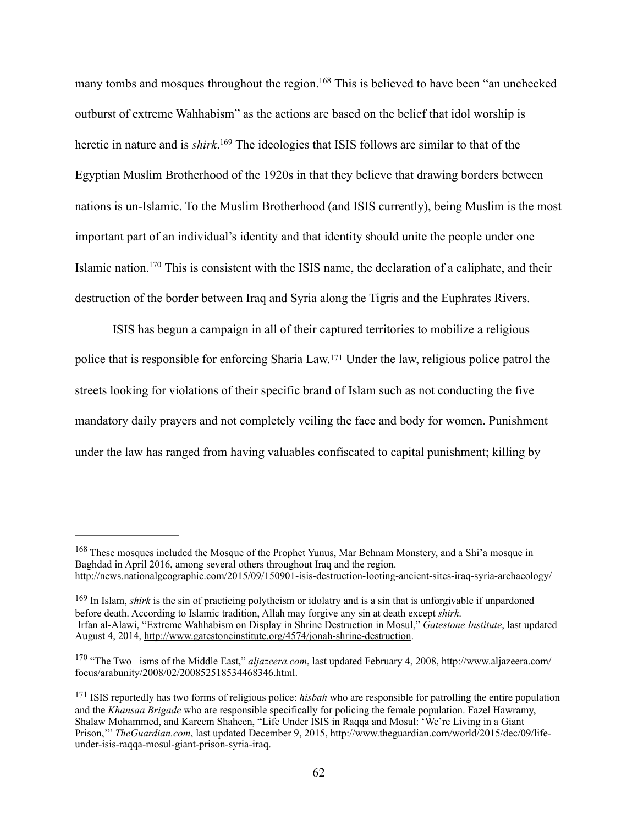<span id="page-61-5"></span><span id="page-61-4"></span>many tombs and mosques throughout the region[.](#page-61-0)<sup>[168](#page-61-0)</sup> This is believed to have been "an unchecked outburst of extreme Wahhabism" as the actions are based on the belief that idol worship is heretic in nature and is *shirk*[.](#page-61-1)<sup>[169](#page-61-1)</sup> The ideologies that ISIS follows are similar to that of the Egyptian Muslim Brotherhood of the 1920s in that they believe that drawing borders between nations is un-Islamic. To the Muslim Brotherhood (and ISIS currently), being Muslim is the most important part of an individual's identity and that identity should unite the people under one Islamic nation[.](#page-61-2)<sup>[170](#page-61-2)</sup> This is consistent with the ISIS name, the declaration of a caliphate, and their destruction of the border between Iraq and Syria along the Tigris and the Euphrates Rivers.

<span id="page-61-7"></span><span id="page-61-6"></span> ISIS has begun a campaign in all of their captured territories to mobilize a religious police that is responsible for enforcing Sharia Law[.](#page-61-3)<sup>[171](#page-61-3)</sup> Under the law, religious police patrol the streets looking for violations of their specific brand of Islam such as not conducting the five mandatory daily prayers and not completely veiling the face and body for women. Punishment under the law has ranged from having valuables confiscated to capital punishment; killing by

<span id="page-61-0"></span><sup>&</sup>lt;sup>[168](#page-61-4)</sup> These mosques included the Mosque of the Prophet Yunus, Mar Behnam Monstery, and a Shi'a mosque in Baghdad in April 2016, among several others throughout Iraq and the region. http://news.nationalgeographic.com/2015/09/150901-isis-destruction-looting-ancient-sites-iraq-syria-archaeology/

<span id="page-61-1"></span><sup>&</sup>lt;sup>[169](#page-61-5)</sup> In Islam, *shirk* is the sin of practicing polytheism or idolatry and is a sin that is unforgivable if unpardoned before death. According to Islamic tradition, Allah may forgive any sin at death except *shirk*. Irfan al-Alawi, "Extreme Wahhabism on Display in Shrine Destruction in Mosul," *Gatestone Institute*, last updated August 4, 2014, [http://www.gatestoneinstitute.org/4574/jonah-shrine-destruction.](http://www.gatestoneinstitute.org/4574/jonah-shrine-destruction)

<span id="page-61-2"></span><sup>&</sup>lt;sup>[170](#page-61-6)</sup> "The Two –isms of the Middle East," *aljazeera.com*, last updated February 4, 2008, http://www.aljazeera.com/ focus/arabunity/2008/02/200852518534468346.html.

<span id="page-61-3"></span><sup>&</sup>lt;sup>[171](#page-61-7)</sup> ISIS reportedly has two forms of religious police: *hisbah* who are responsible for patrolling the entire population and the *Khansaa Brigade* who are responsible specifically for policing the female population. Fazel Hawramy, Shalaw Mohammed, and Kareem Shaheen, "Life Under ISIS in Raqqa and Mosul: 'We're Living in a Giant Prison," *TheGuardian.com*, last updated December 9, 2015, http://www.theguardian.com/world/2015/dec/09/lifeunder-isis-raqqa-mosul-giant-prison-syria-iraq.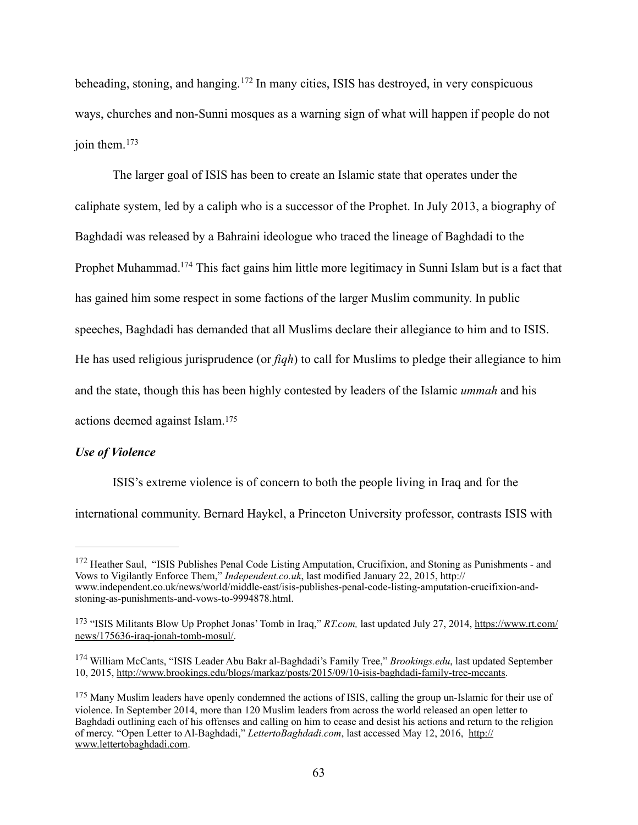<span id="page-62-4"></span>beheading,stoning, and hanging.  $172$  In many cities, ISIS has destroyed, in very conspicuous ways, churches and non-Sunni mosques as a warning sign of what will happen if people do not join them.<sup>[173](#page-62-1)</sup>

<span id="page-62-6"></span><span id="page-62-5"></span> The larger goal of ISIS has been to create an Islamic state that operates under the caliphate system, led by a caliph who is a successor of the Prophet. In July 2013, a biography of Baghdadi was released by a Bahraini ideologue who traced the lineage of Baghdadi to the Prophet Muhammad[.](#page-62-2)<sup>[174](#page-62-2)</sup> This fact gains him little more legitimacy in Sunni Islam but is a fact that has gained him some respect in some factions of the larger Muslim community. In public speeches, Baghdadi has demanded that all Muslims declare their allegiance to him and to ISIS. He has used religious jurisprudence (or *fiqh*) to call for Muslims to pledge their allegiance to him and the state, though this has been highly contested by leaders of the Islamic *ummah* and his actions deemed against Islam.[175](#page-62-3)

#### <span id="page-62-7"></span>*Use of Violence*

 ISIS's extreme violence is of concern to both the people living in Iraq and for the international community. Bernard Haykel, a Princeton University professor, contrasts ISIS with

<span id="page-62-0"></span><sup>&</sup>lt;sup>[172](#page-62-4)</sup> Heather Saul, "ISIS Publishes Penal Code Listing Amputation, Crucifixion, and Stoning as Punishments - and Vows to Vigilantly Enforce Them," *Independent.co.uk*, last modified January 22, 2015, http:// www.independent.co.uk/news/world/middle-east/isis-publishes-penal-code-listing-amputation-crucifixion-andstoning-as-punishments-and-vows-to-9994878.html.

<span id="page-62-1"></span><sup>&</sup>lt;sup>173</sup> ["ISIS Militants Blow Up Prophet Jonas' Tomb in Iraq,"](https://www.rt.com/news/175636-iraq-jonah-tomb-mosul/) *RT.com*, last updated July 27, 2014, https://www.rt.com/ news/175636-iraq-jonah-tomb-mosul/.

<span id="page-62-2"></span><sup>&</sup>lt;sup>[174](#page-62-6)</sup> William McCants, "ISIS Leader Abu Bakr al-Baghdadi's Family Tree," *Brookings.edu*, last updated September 10, 2015, <http://www.brookings.edu/blogs/markaz/posts/2015/09/10-isis-baghdadi-family-tree-mccants>.

<span id="page-62-3"></span> $175$  Many Muslim leaders have openly condemned the actions of ISIS, calling the group un-Islamic for their use of violence. In September 2014, more than 120 Muslim leaders from across the world released an open letter to Baghdadi outlining each of his offenses and calling on him to cease and desist his actions and return to the religion [of mercy. "Open Letter to Al-Baghdadi,"](http://www.lettertobaghdadi.com) *LettertoBaghdadi.com*, last accessed May 12, 2016, http:// www.lettertobaghdadi.com.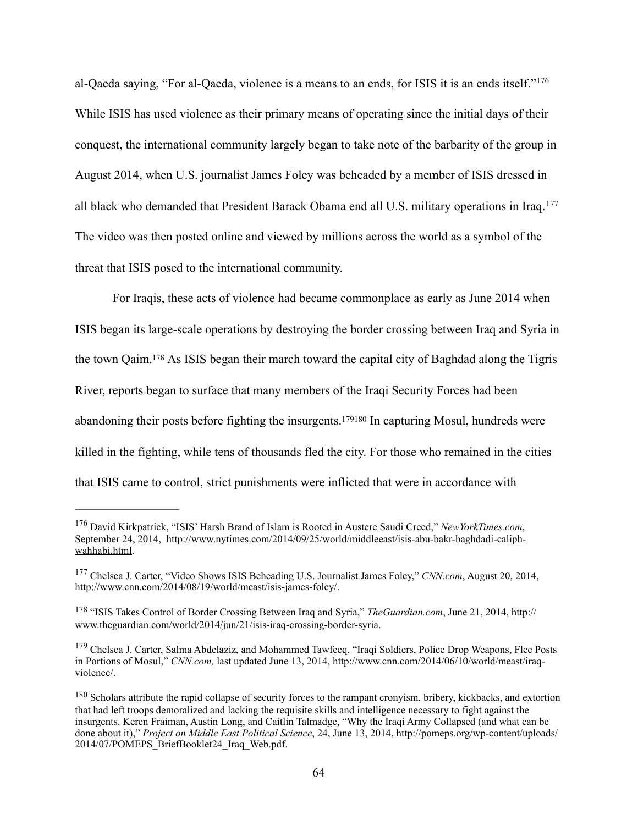<span id="page-63-5"></span>al-Qaeda saying, "For al-Qaeda, violence is a means to an ends, for ISIS it is an ends itself."[176](#page-63-0) While ISIS has used violence as their primary means of operating since the initial days of their conquest, the international community largely began to take note of the barbarity of the group in August 2014, when U.S. journalist James Foley was beheaded by a member of ISIS dressed in all black who demanded that President Barack Obama end all U.S. military operations in Iraq.[177](#page-63-1) The video was then posted online and viewed by millions across the world as a symbol of the threat that ISIS posed to the international community.

<span id="page-63-7"></span><span id="page-63-6"></span> For Iraqis, these acts of violence had became commonplace as early as June 2014 when ISIS began its large-scale operations by destroying the border crossing between Iraq and Syria in the town Qaim[.](#page-63-2)<sup>[178](#page-63-2)</sup> As ISIS began their march toward the capital city of Baghdad along the Tigris River, reports began to surface that many members of the Iraqi Security Forces had been abandoning their posts before fighting the insurgents[.](#page-63-3)<sup>[179](#page-63-3)[180](#page-63-4)</sup> In capturing Mosul, hundreds were killed in the fighting, while tens of thousands fled the city. For those who remained in the cities that ISIS came to control, strict punishments were inflicted that were in accordance with

<span id="page-63-9"></span><span id="page-63-8"></span><span id="page-63-0"></span><sup>&</sup>lt;sup>[176](#page-63-5)</sup> David Kirkpatrick, "ISIS' Harsh Brand of Islam is Rooted in Austere Saudi Creed," *NewYorkTimes.com*, September 24, 2014, [http://www.nytimes.com/2014/09/25/world/middleeast/isis-abu-bakr-baghdadi-caliph](http://www.nytimes.com/2014/09/25/world/middleeast/isis-abu-bakr-baghdadi-caliph-wahhabi.html)wahhabi.html.

<span id="page-63-1"></span><sup>&</sup>lt;sup>[177](#page-63-6)</sup> Chelsea J. Carter, "Video Shows ISIS Beheading U.S. Journalist James Foley," *CNN.com*, August 20, 2014, http://www.cnn.com/2014/08/19/world/meast/isis-james-foley/.

<span id="page-63-2"></span><sup>&</sup>lt;sup>[178](#page-63-7)</sup> "ISIS Takes Control of Border Crossing Between Iraq and Syria," *TheGuardian.com*, June 21, 2014, http:// [www.theguardian.com/world/2014/jun/21/isis-iraq-crossing-border-syria.](http://www.theguardian.com/world/2014/jun/21/isis-iraq-crossing-border-syria)

<span id="page-63-3"></span><sup>&</sup>lt;sup>[179](#page-63-8)</sup> Chelsea J. Carter, Salma Abdelaziz, and Mohammed Tawfeeq, "Iraqi Soldiers, Police Drop Weapons, Flee Posts in Portions of Mosul," *CNN.com,* last updated June 13, 2014, http://www.cnn.com/2014/06/10/world/meast/iraqviolence/.

<span id="page-63-4"></span><sup>&</sup>lt;sup>[180](#page-63-9)</sup> Scholars attribute the rapid collapse of security forces to the rampant cronyism, bribery, kickbacks, and extortion that had left troops demoralized and lacking the requisite skills and intelligence necessary to fight against the insurgents. Keren Fraiman, Austin Long, and Caitlin Talmadge, "Why the Iraqi Army Collapsed (and what can be done about it)," *Project on Middle East Political Science*, 24, June 13, 2014, http://pomeps.org/wp-content/uploads/ 2014/07/POMEPS\_BriefBooklet24\_Iraq\_Web.pdf.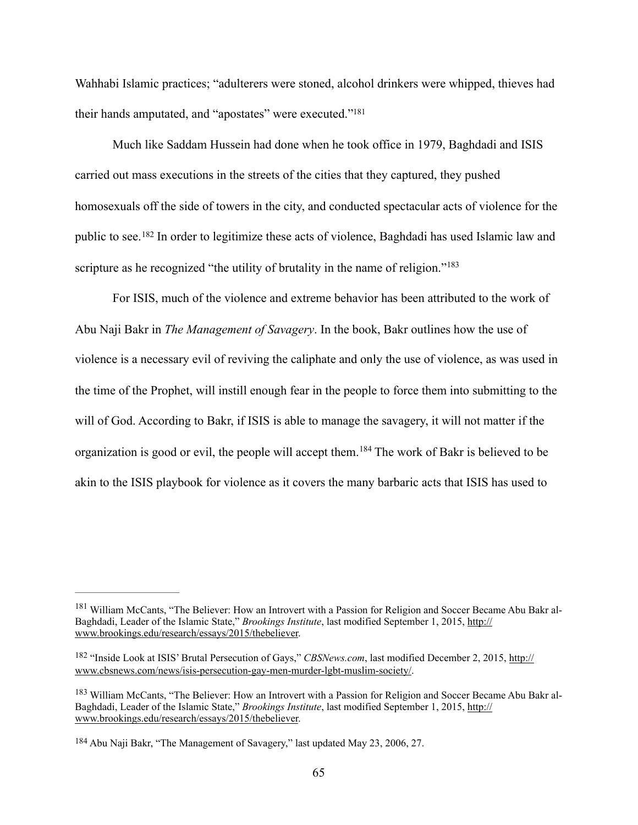Wahhabi Islamic practices; "adulterers were stoned, alcohol drinkers were whipped, thieves had their hands amputated, and "apostates" were executed.["181](#page-64-0)

<span id="page-64-4"></span> Much like Saddam Hussein had done when he took office in 1979, Baghdadi and ISIS carried out mass executions in the streets of the cities that they captured, they pushed homosexuals off the side of towers in the city, and conducted spectacular acts of violence for the publicto see. <sup>[182](#page-64-1)</sup> In order to legitimize these acts of violence, Baghdadi has used Islamic law and scripture as he recognized "the utility of brutality in the name of religion."<sup>[183](#page-64-2)</sup>

<span id="page-64-6"></span><span id="page-64-5"></span>For ISIS, much of the violence and extreme behavior has been attributed to the work of Abu Naji Bakr in *The Management of Savagery*. In the book, Bakr outlines how the use of violence is a necessary evil of reviving the caliphate and only the use of violence, as was used in the time of the Prophet, will instill enough fear in the people to force them into submitting to the will of God. According to Bakr, if ISIS is able to manage the savagery, it will not matter if the organizationis good or evil, the people will accept them.<sup>[184](#page-64-3)</sup> The work of Bakr is believed to be akin to the ISIS playbook for violence as it covers the many barbaric acts that ISIS has used to

<span id="page-64-7"></span><span id="page-64-0"></span><sup>&</sup>lt;sup>[181](#page-64-4)</sup> William McCants, "The Believer: How an Introvert with a Passion for Religion and Soccer Became Abu Bakr al-Baghdadi, Leader of the Islamic State," *Brookings Institute*, last modified September 1, 2015, http:// [www.brookings.edu/research/essays/2015/thebeliever.](http://www.brookings.edu/research/essays/2015/thebeliever)

<span id="page-64-1"></span><sup>&</sup>lt;sup>[182](#page-64-5)</sup> "Inside Look at ISIS' Brutal Persecution of Gays," *CBSNews.com*, last modified December 2, 2015, http:// [www.cbsnews.com/news/isis-persecution-gay-men-murder-lgbt-muslim-society/.](http://www.cbsnews.com/news/isis-persecution-gay-men-murder-lgbt-muslim-society/) 

<span id="page-64-2"></span><sup>&</sup>lt;sup>[183](#page-64-6)</sup> William McCants, "The Believer: How an Introvert with a Passion for Religion and Soccer Became Abu Bakr al-Baghdadi, Leader of the Islamic State," *Brookings Institute*, last modified September 1, 2015, http:// [www.brookings.edu/research/essays/2015/thebeliever.](http://www.brookings.edu/research/essays/2015/thebeliever)

<span id="page-64-3"></span><sup>&</sup>lt;sup>[184](#page-64-7)</sup> Abu Naji Bakr, "The Management of Savagery," last updated May 23, 2006, 27.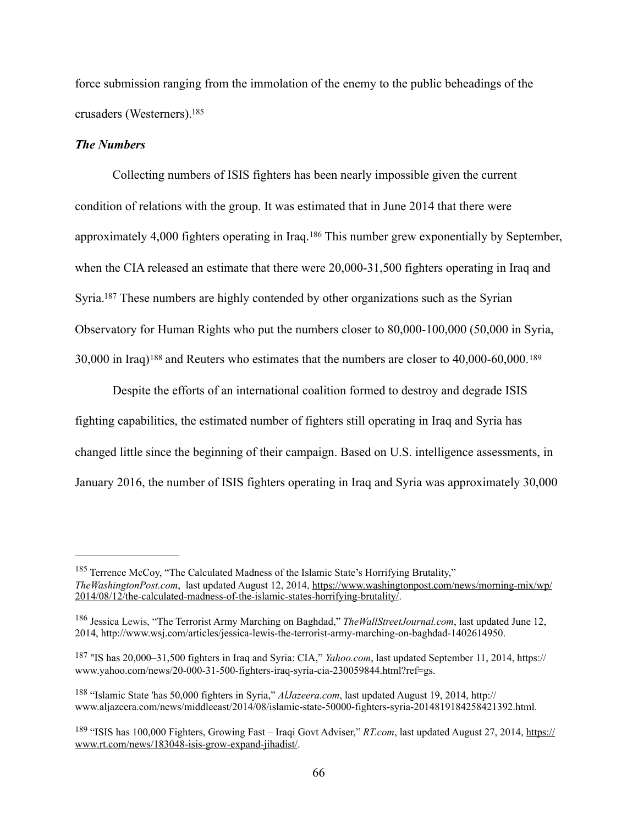force submission ranging from the immolation of the enemy to the public beheadings of the crusaders (Westerners)[.185](#page-65-0)

# <span id="page-65-5"></span>*The Numbers*

<span id="page-65-6"></span> Collecting numbers of ISIS fighters has been nearly impossible given the current condition of relations with the group. It was estimated that in June 2014 that there were approximately4,000 fighters operating in Iraq.<sup>[186](#page-65-1)</sup> This number grew exponentially by September, when the CIA released an estimate that there were 20,000-31,500 fighters operating in Iraq and Syria[.](#page-65-2)<sup>[187](#page-65-2)</sup> These numbers are highly contended by other organizations such as the Syrian Observatory for Human Rights who put the numbers closer to 80,000-100,000 (50,000 in Syria,  $30,000$ in Iraq)<sup>188</sup> and Reuters who estimates that the numbers are closer to  $40,000$ -60,000.<sup>[189](#page-65-4)</sup>

<span id="page-65-9"></span><span id="page-65-8"></span><span id="page-65-7"></span> Despite the efforts of an international coalition formed to destroy and degrade ISIS fighting capabilities, the estimated number of fighters still operating in Iraq and Syria has changed little since the beginning of their campaign. Based on U.S. intelligence assessments, in January 2016, the number of ISIS fighters operating in Iraq and Syria was approximately 30,000

<span id="page-65-0"></span><sup>&</sup>lt;sup>[185](#page-65-5)</sup> Terrence McCoy, "The Calculated Madness of the Islamic State's Horrifying Brutality," *TheWashingtonPost.com*[, last updated August 12, 2014, https://www.washingtonpost.com/news/morning-mix/wp/](https://www.washingtonpost.com/news/morning-mix/wp/2014/08/12/the-calculated-madness-of-the-islamic-states-horrifying-brutality/) 2014/08/12/the-calculated-madness-of-the-islamic-states-horrifying-brutality/.

<span id="page-65-1"></span><sup>&</sup>lt;sup>[186](#page-65-6)</sup> Jessica Lewis, "The Terrorist Army Marching on Baghdad," *TheWallStreetJournal.com*, last updated June 12, 2014, [http://www.wsj.com/articles/jessica-lewis-the-terrorist-army-marching-on-baghdad-1402614950.](http://www.wsj.com/articles/jessica-lewis-the-terrorist-army-marching-on-baghdad-1402614950)

<span id="page-65-2"></span><sup>&</sup>lt;sup>[187](#page-65-7)</sup> "IS has 20,000–31,500 fighters in Iraq and Syria: CIA," *Yahoo.com*, last updated September 11, 2014, https:// www.yahoo.com/news/20-000-31-500-fighters-iraq-syria-cia-230059844.html?ref=gs.

<span id="page-65-3"></span><sup>&</sup>lt;sup>[188](#page-65-8)</sup> "Islamic State 'has 50,000 fighters in Syria," *AlJazeera.com*, last updated August 19, 2014, http:// www.aljazeera.com/news/middleeast/2014/08/islamic-state-50000-fighters-syria-2014819184258421392.html.

<span id="page-65-4"></span><sup>&</sup>lt;sup>[189](#page-65-9)</sup> "ISIS has 100,000 Fighters, Growing Fast – Iraqi Govt Adviser," *RT.com*, last updated August 27, 2014, https:// www.rt.com/news/183048-isis-grow-expand-jihadist/.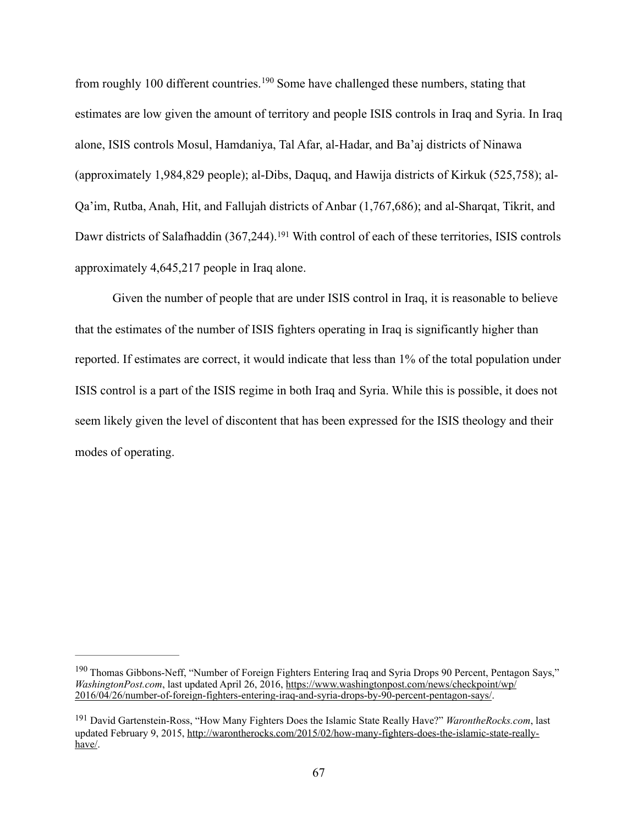<span id="page-66-2"></span>fromroughly 100 different countries.<sup>[190](#page-66-0)</sup> Some have challenged these numbers, stating that estimates are low given the amount of territory and people ISIS controls in Iraq and Syria. In Iraq alone, ISIS controls Mosul, Hamdaniya, Tal Afar, al-Hadar, and Ba'aj districts of Ninawa (approximately 1,984,829 people); al-Dibs, Daquq, and Hawija districts of Kirkuk (525,758); al-Qa'im, Rutba, Anah, Hit, and Fallujah districts of Anbar (1,767,686); and al-Sharqat, Tikrit, and Dawrdistricts of Salafhaddin (367,244).<sup>[191](#page-66-1)</sup> With control of each of these territories, ISIS controls approximately 4,645,217 people in Iraq alone.

<span id="page-66-3"></span> Given the number of people that are under ISIS control in Iraq, it is reasonable to believe that the estimates of the number of ISIS fighters operating in Iraq is significantly higher than reported. If estimates are correct, it would indicate that less than 1% of the total population under ISIS control is a part of the ISIS regime in both Iraq and Syria. While this is possible, it does not seem likely given the level of discontent that has been expressed for the ISIS theology and their modes of operating.

<span id="page-66-0"></span><sup>&</sup>lt;sup>[190](#page-66-2)</sup> Thomas Gibbons-Neff, "Number of Foreign Fighters Entering Iraq and Syria Drops 90 Percent, Pentagon Says," *WashingtonPost.com*, last updated April 26, 2016, https://www.washingtonpost.com/news/checkpoint/wp/ 2016/04/26/number-of-foreign-fighters-entering-iraq-and-syria-drops-by-90-percent-pentagon-says/.

<span id="page-66-1"></span><sup>&</sup>lt;sup>[191](#page-66-3)</sup> David Gartenstein-Ross, "How Many Fighters Does the Islamic State Really Have?" *WarontheRocks.com*, last updated February 9, 2015, http://warontherocks.com/2015/02/how-many-fighters-does-the-islamic-state-reallyhave/.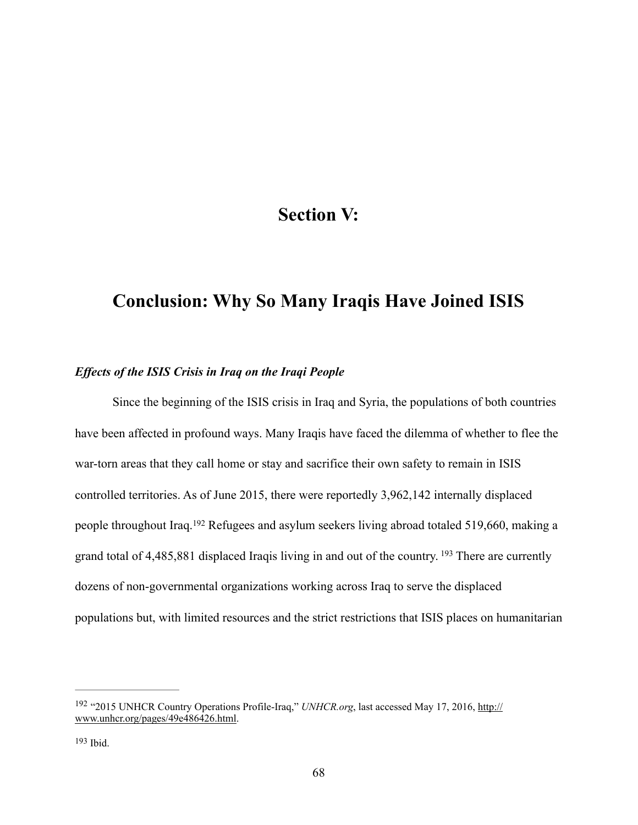# <span id="page-67-3"></span>**Section V:**

# **Conclusion: Why So Many Iraqis Have Joined ISIS**

# *Effects of the ISIS Crisis in Iraq on the Iraqi People*

<span id="page-67-2"></span> Since the beginning of the ISIS crisis in Iraq and Syria, the populations of both countries have been affected in profound ways. Many Iraqis have faced the dilemma of whether to flee the war-torn areas that they call home or stay and sacrifice their own safety to remain in ISIS controlled territories. As of June 2015, there were reportedly 3,962,142 internally displaced peoplethroughout Iraq.<sup>[192](#page-67-0)</sup> Refugees and asylum seekers living abroad totaled 519,660, making a grandtotal of  $4.485,881$  displaced Iraqis living in and out of the country. <sup>[193](#page-67-1)</sup> There are currently dozens of non-governmental organizations working across Iraq to serve the displaced populations but, with limited resources and the strict restrictions that ISIS places on humanitarian

<span id="page-67-0"></span><sup>&</sup>lt;sup>192</sup> ["2015 UNHCR Country Operations Profile-Iraq,"](http://www.unhcr.org/pages/49e486426.html) *UNHCR.org*, last accessed May 17, 2016, http:// www.unhcr.org/pages/49e486426.html.

<span id="page-67-1"></span> $193$  Ibid.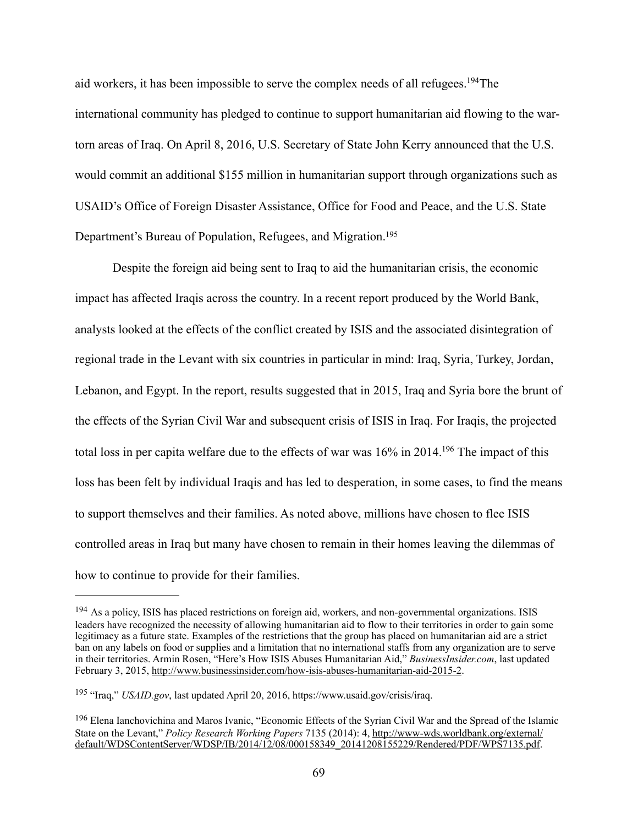<span id="page-68-3"></span>aid workers, it has been impossible to serve the complex needs of all refugees.  $194$ The international community has pledged to continue to support humanitarian aid flowing to the wartorn areas of Iraq. On April 8, 2016, U.S. Secretary of State John Kerry announced that the U.S. would commit an additional \$155 million in humanitarian support through organizations such as USAID's Office of Foreign Disaster Assistance, Office for Food and Peace, and the U.S. State Department's Bureau of Population, Refugees, and Migration[.](#page-68-1) [195](#page-68-1)

<span id="page-68-4"></span> Despite the foreign aid being sent to Iraq to aid the humanitarian crisis, the economic impact has affected Iraqis across the country. In a recent report produced by the World Bank, analysts looked at the effects of the conflict created by ISIS and the associated disintegration of regional trade in the Levant with six countries in particular in mind: Iraq, Syria, Turkey, Jordan, Lebanon, and Egypt. In the report, results suggested that in 2015, Iraq and Syria bore the brunt of the effects of the Syrian Civil War and subsequent crisis of ISIS in Iraq. For Iraqis, the projected total loss in per capita welfare due to the effects of war was  $16\%$  in 2014[.](#page-68-2)<sup>[196](#page-68-2)</sup> The impact of this loss has been felt by individual Iraqis and has led to desperation, in some cases, to find the means to support themselves and their families. As noted above, millions have chosen to flee ISIS controlled areas in Iraq but many have chosen to remain in their homes leaving the dilemmas of how to continue to provide for their families.

<span id="page-68-5"></span><span id="page-68-0"></span><sup>&</sup>lt;sup>[194](#page-68-3)</sup> As a policy, ISIS has placed restrictions on foreign aid, workers, and non-governmental organizations. ISIS leaders have recognized the necessity of allowing humanitarian aid to flow to their territories in order to gain some legitimacy as a future state. Examples of the restrictions that the group has placed on humanitarian aid are a strict ban on any labels on food or supplies and a limitation that no international staffs from any organization are to serve in their territories. Armin Rosen, "Here's How ISIS Abuses Humanitarian Aid," *BusinessInsider.com*, last updated February 3, 2015, <http://www.businessinsider.com/how-isis-abuses-humanitarian-aid-2015-2>.

<span id="page-68-1"></span><sup>&</sup>lt;sup>[195](#page-68-4)</sup> "Iraq," *USAID.gov*, last updated April 20, 2016, https://www.usaid.gov/crisis/iraq.

<span id="page-68-2"></span><sup>&</sup>lt;sup>[196](#page-68-5)</sup> Elena Ianchovichina and Maros Ivanic, "Economic Effects of the Syrian Civil War and the Spread of the Islamic State on the Levant," *Policy Research Working Papers* 7135 (2014): 4, http://www-wds.worldbank.org/external/ [default/WDSContentServer/WDSP/IB/2014/12/08/000158349\\_20141208155229/Rendered/PDF/WPS7135.pdf.](http://www-wds.worldbank.org/external/default/WDSContentServer/WDSP/IB/2014/12/08/000158349_20141208155229/Rendered/PDF/WPS7135.pdf)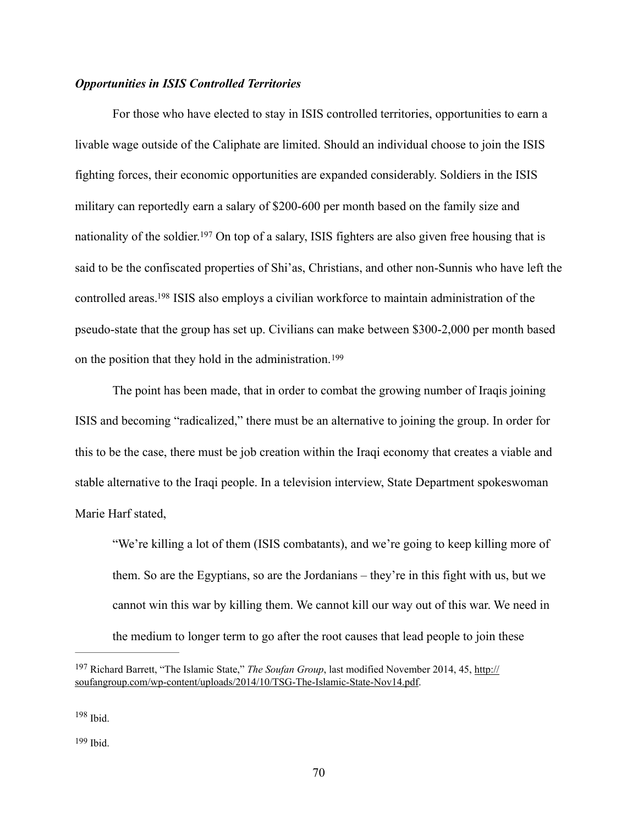#### *Opportunities in ISIS Controlled Territories*

<span id="page-69-3"></span> For those who have elected to stay in ISIS controlled territories, opportunities to earn a livable wage outside of the Caliphate are limited. Should an individual choose to join the ISIS fighting forces, their economic opportunities are expanded considerably. Soldiers in the ISIS military can reportedly earn a salary of \$200-600 per month based on the family size and nationalityof the soldier. <sup>[197](#page-69-0)</sup> On top of a salary, ISIS fighters are also given free housing that is said to be the confiscated properties of Shi'as, Christians, and other non-Sunnis who have left the controlled areas[.](#page-69-1)<sup>[198](#page-69-1)</sup> ISIS also employs a civilian workforce to maintain administration of the pseudo-state that the group has set up. Civilians can make between \$300-2,000 per month based on the position that they hold in the administration. [199](#page-69-2)

<span id="page-69-5"></span><span id="page-69-4"></span> The point has been made, that in order to combat the growing number of Iraqis joining ISIS and becoming "radicalized," there must be an alternative to joining the group. In order for this to be the case, there must be job creation within the Iraqi economy that creates a viable and stable alternative to the Iraqi people. In a television interview, State Department spokeswoman Marie Harf stated,

"We're killing a lot of them (ISIS combatants), and we're going to keep killing more of them. So are the Egyptians, so are the Jordanians – they're in this fight with us, but we cannot win this war by killing them. We cannot kill our way out of this war. We need in the medium to longer term to go after the root causes that lead people to join these

<span id="page-69-1"></span> $198$  Ibid.

<span id="page-69-2"></span> $199$  Ibid.

<span id="page-69-0"></span><sup>&</sup>lt;sup>[197](#page-69-3)</sup> Richard Barrett, "The Islamic State," *The Soufan Group*, last modified November 2014, 45, http:// [soufangroup.com/wp-content/uploads/2014/10/TSG-The-Islamic-State-Nov14.pdf.](http://soufangroup.com/wp-content/uploads/2014/10/TSG-The-Islamic-State-Nov14.pdf)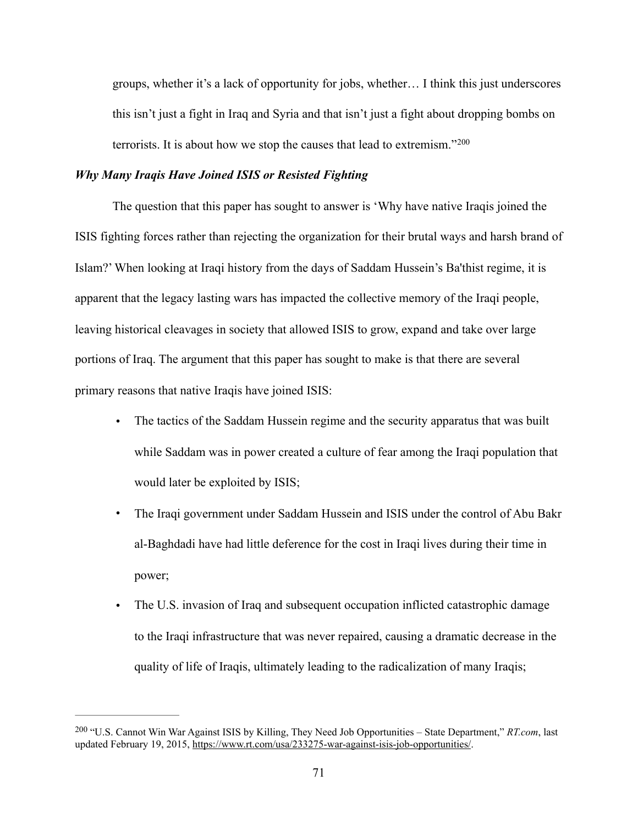<span id="page-70-1"></span>groups, whether it's a lack of opportunity for jobs, whether… I think this just underscores this isn't just a fight in Iraq and Syria and that isn't just a fight about dropping bombs on terrorists. It is about how we stop the causes that lead to extremism."[200](#page-70-0)

## *Why Many Iraqis Have Joined ISIS or Resisted Fighting*

 The question that this paper has sought to answer is 'Why have native Iraqis joined the ISIS fighting forces rather than rejecting the organization for their brutal ways and harsh brand of Islam?' When looking at Iraqi history from the days of Saddam Hussein's Ba'thist regime, it is apparent that the legacy lasting wars has impacted the collective memory of the Iraqi people, leaving historical cleavages in society that allowed ISIS to grow, expand and take over large portions of Iraq. The argument that this paper has sought to make is that there are several primary reasons that native Iraqis have joined ISIS:

- The tactics of the Saddam Hussein regime and the security apparatus that was built while Saddam was in power created a culture of fear among the Iraqi population that would later be exploited by ISIS;
- The Iraqi government under Saddam Hussein and ISIS under the control of Abu Bakr al-Baghdadi have had little deference for the cost in Iraqi lives during their time in power;
- The U.S. invasion of Iraq and subsequent occupation inflicted catastrophic damage to the Iraqi infrastructure that was never repaired, causing a dramatic decrease in the quality of life of Iraqis, ultimately leading to the radicalization of many Iraqis;

<span id="page-70-0"></span><sup>&</sup>lt;sup>[200](#page-70-1)</sup> "U.S. Cannot Win War Against ISIS by Killing, They Need Job Opportunities – State Department," *RT.com*, last updated February 19, 2015, <https://www.rt.com/usa/233275-war-against-isis-job-opportunities/>.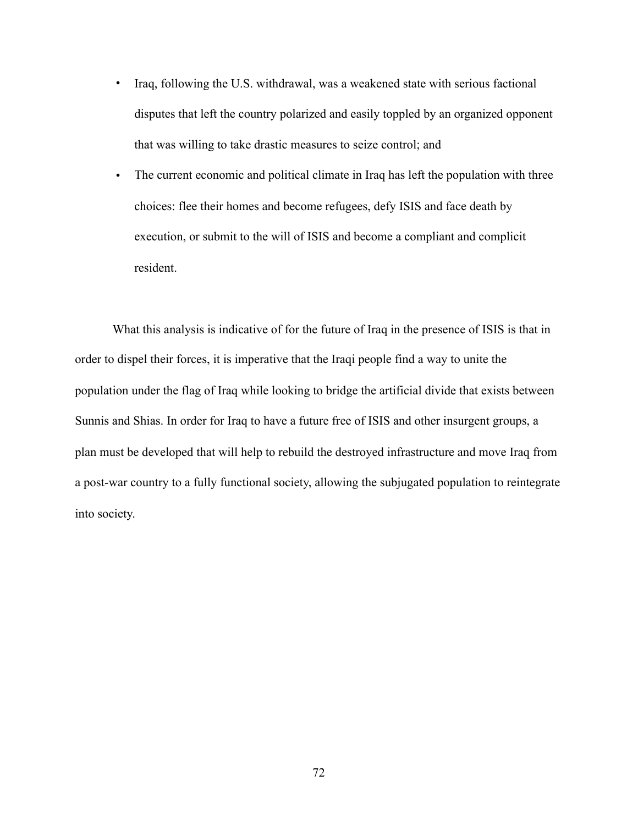- Iraq, following the U.S. withdrawal, was a weakened state with serious factional disputes that left the country polarized and easily toppled by an organized opponent that was willing to take drastic measures to seize control; and
- The current economic and political climate in Iraq has left the population with three choices: flee their homes and become refugees, defy ISIS and face death by execution, or submit to the will of ISIS and become a compliant and complicit resident.

 What this analysis is indicative of for the future of Iraq in the presence of ISIS is that in order to dispel their forces, it is imperative that the Iraqi people find a way to unite the population under the flag of Iraq while looking to bridge the artificial divide that exists between Sunnis and Shias. In order for Iraq to have a future free of ISIS and other insurgent groups, a plan must be developed that will help to rebuild the destroyed infrastructure and move Iraq from a post-war country to a fully functional society, allowing the subjugated population to reintegrate into society.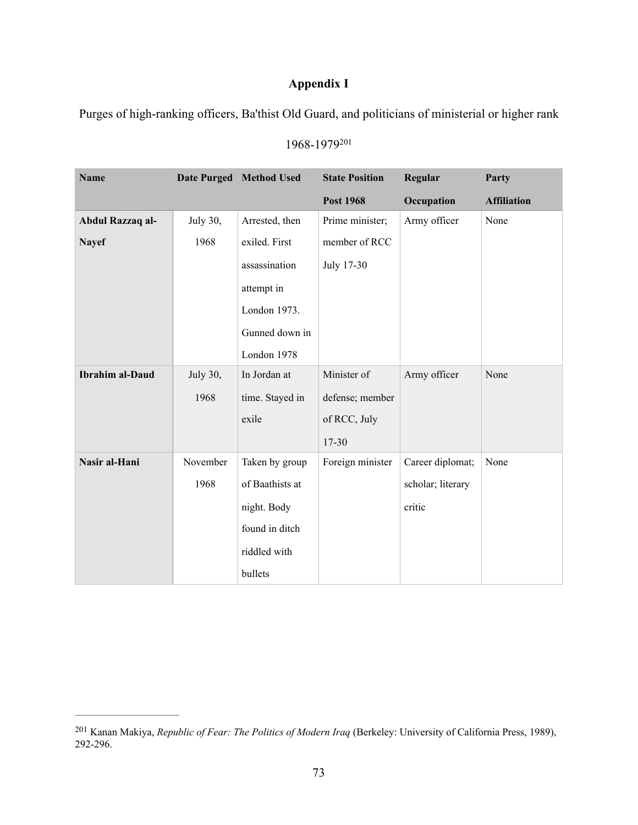# **Appendix I**

Purges of high-ranking officers, Ba'thist Old Guard, and politicians of ministerial or higher rank

| <b>Name</b>            |          | Date Purged Method Used | <b>State Position</b> | Regular           | Party              |
|------------------------|----------|-------------------------|-----------------------|-------------------|--------------------|
|                        |          |                         | <b>Post 1968</b>      | Occupation        | <b>Affiliation</b> |
| Abdul Razzaq al-       | July 30, | Arrested, then          | Prime minister;       | Army officer      | None               |
| <b>Nayef</b>           | 1968     | exiled. First           | member of RCC         |                   |                    |
|                        |          | assassination           | July 17-30            |                   |                    |
|                        |          | attempt in              |                       |                   |                    |
|                        |          | London 1973.            |                       |                   |                    |
|                        |          | Gunned down in          |                       |                   |                    |
|                        |          | London 1978             |                       |                   |                    |
| <b>Ibrahim al-Daud</b> | July 30, | In Jordan at            | Minister of           | Army officer      | None               |
|                        | 1968     | time. Stayed in         | defense; member       |                   |                    |
|                        |          | exile                   | of RCC, July          |                   |                    |
|                        |          |                         | 17-30                 |                   |                    |
| Nasir al-Hani          | November | Taken by group          | Foreign minister      | Career diplomat;  | None               |
|                        | 1968     | of Baathists at         |                       | scholar; literary |                    |
|                        |          | night. Body             |                       | critic            |                    |
|                        |          | found in ditch          |                       |                   |                    |
|                        |          | riddled with            |                       |                   |                    |
|                        |          | bullets                 |                       |                   |                    |

<span id="page-72-1"></span><sup>1968-1979</sup>[201](#page-72-0)

<span id="page-72-0"></span>Kanan Makiya, *Republic of Fear: The Politics of Modern Iraq* (Berkeley: University of California Press, 1989), [201](#page-72-1) 292-296.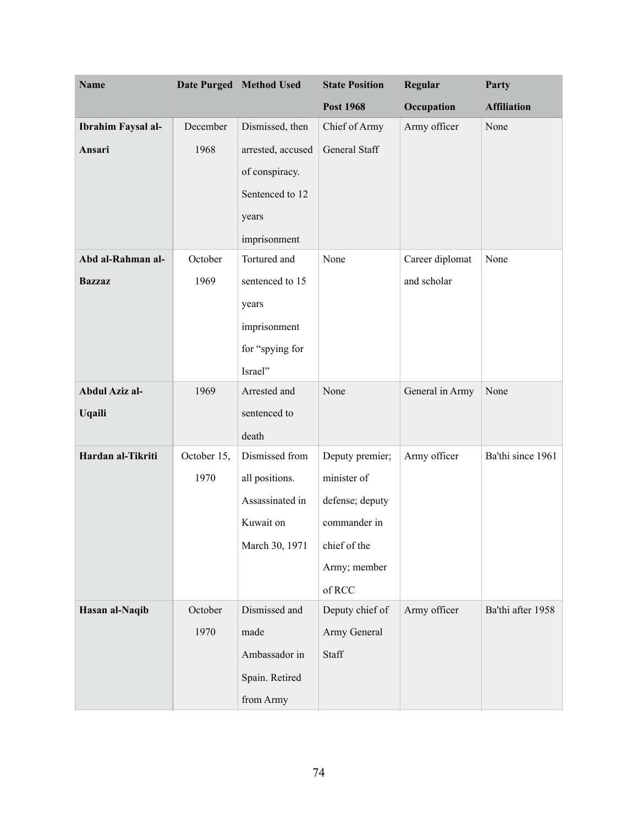| <b>Name</b>        |             | Date Purged Method Used | <b>State Position</b> | Regular         | Party              |
|--------------------|-------------|-------------------------|-----------------------|-----------------|--------------------|
|                    |             |                         | <b>Post 1968</b>      | Occupation      | <b>Affiliation</b> |
| Ibrahim Faysal al- | December    | Dismissed, then         | Chief of Army         | Army officer    | None               |
| Ansari             | 1968        | arrested, accused       | General Staff         |                 |                    |
|                    |             | of conspiracy.          |                       |                 |                    |
|                    |             | Sentenced to 12         |                       |                 |                    |
|                    |             | years                   |                       |                 |                    |
|                    |             | imprisonment            |                       |                 |                    |
| Abd al-Rahman al-  | October     | Tortured and            | None                  | Career diplomat | None               |
| <b>Bazzaz</b>      | 1969        | sentenced to 15         |                       | and scholar     |                    |
|                    |             | years                   |                       |                 |                    |
|                    |             | imprisonment            |                       |                 |                    |
|                    |             | for "spying for         |                       |                 |                    |
|                    |             | Israel"                 |                       |                 |                    |
| Abdul Aziz al-     | 1969        | Arrested and            | None                  | General in Army | None               |
| <b>Uqaili</b>      |             | sentenced to            |                       |                 |                    |
|                    |             | death                   |                       |                 |                    |
| Hardan al-Tikriti  | October 15, | Dismissed from          | Deputy premier;       | Army officer    | Ba'thi since 1961  |
|                    | 1970        | all positions.          | minister of           |                 |                    |
|                    |             | Assassinated in         | defense; deputy       |                 |                    |
|                    |             | Kuwait on               | commander in          |                 |                    |
|                    |             | March 30, 1971          | chief of the          |                 |                    |
|                    |             |                         | Army; member          |                 |                    |
|                    |             |                         | of RCC                |                 |                    |
| Hasan al-Naqib     | October     | Dismissed and           | Deputy chief of       | Army officer    | Ba'thi after 1958  |
|                    | 1970        | made                    | Army General          |                 |                    |
|                    |             | Ambassador in           | Staff                 |                 |                    |
|                    |             | Spain. Retired          |                       |                 |                    |
|                    |             | from Army               |                       |                 |                    |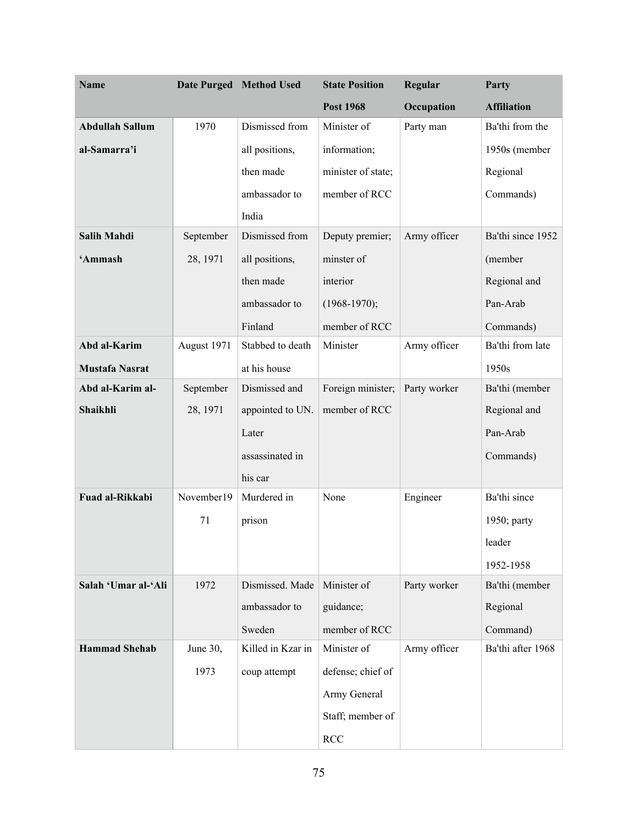| <b>Name</b>            |             | Date Purged Method Used | <b>State Position</b> | Regular      | Party              |
|------------------------|-------------|-------------------------|-----------------------|--------------|--------------------|
|                        |             |                         | <b>Post 1968</b>      | Occupation   | <b>Affiliation</b> |
| <b>Abdullah Sallum</b> | 1970        | Dismissed from          | Minister of           | Party man    | Ba'thi from the    |
| al-Samarra'i           |             | all positions,          | information;          |              | 1950s (member      |
|                        |             | then made               | minister of state;    |              | Regional           |
|                        |             | ambassador to           | member of RCC         |              | Commands)          |
|                        |             | India                   |                       |              |                    |
| Salih Mahdi            | September   | Dismissed from          | Deputy premier;       | Army officer | Ba'thi since 1952  |
| 'Ammash                | 28, 1971    | all positions,          | minster of            |              | (member            |
|                        |             | then made               | interior              |              | Regional and       |
|                        |             | ambassador to           | $(1968-1970);$        |              | Pan-Arab           |
|                        |             | Finland                 | member of RCC         |              | Commands)          |
| Abd al-Karim           | August 1971 | Stabbed to death        | Minister              | Army officer | Ba'thi from late   |
| <b>Mustafa Nasrat</b>  |             | at his house            |                       |              | 1950s              |
| Abd al-Karim al-       | September   | Dismissed and           | Foreign minister;     | Party worker | Ba'thi (member     |
| Shaikhli               | 28, 1971    | appointed to UN.        | member of RCC         |              | Regional and       |
|                        |             | Later                   |                       |              | Pan-Arab           |
|                        |             | assassinated in         |                       |              | Commands)          |
|                        |             | his car                 |                       |              |                    |
| <b>Fuad al-Rikkabi</b> | November19  | Murdered in             | None                  | Engineer     | Ba'thi since       |
|                        | 71          | prison                  |                       |              | 1950; party        |
|                        |             |                         |                       |              | leader             |
|                        |             |                         |                       |              | 1952-1958          |
| Salah 'Umar al-'Ali    | 1972        | Dismissed. Made         | Minister of           | Party worker | Ba'thi (member     |
|                        |             | ambassador to           | guidance;             |              | Regional           |
|                        |             | Sweden                  | member of RCC         |              | Command)           |
| <b>Hammad Shehab</b>   | June 30,    | Killed in Kzar in       | Minister of           | Army officer | Ba'thi after 1968  |
|                        | 1973        | coup attempt            | defense; chief of     |              |                    |
|                        |             |                         | Army General          |              |                    |
|                        |             |                         | Staff; member of      |              |                    |
|                        |             |                         | <b>RCC</b>            |              |                    |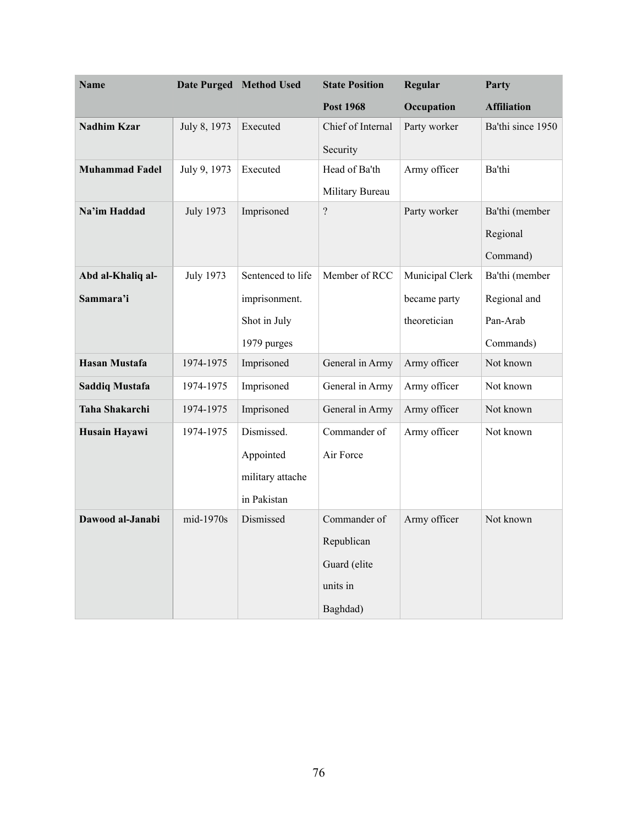| <b>Name</b>           |                  | Date Purged Method Used | <b>State Position</b>    | Regular         | Party              |
|-----------------------|------------------|-------------------------|--------------------------|-----------------|--------------------|
|                       |                  |                         | <b>Post 1968</b>         | Occupation      | <b>Affiliation</b> |
| <b>Nadhim Kzar</b>    | July 8, 1973     | Executed                | Chief of Internal        | Party worker    | Ba'thi since 1950  |
|                       |                  |                         | Security                 |                 |                    |
| <b>Muhammad Fadel</b> | July 9, 1973     | Executed                | Head of Ba'th            | Army officer    | Ba'thi             |
|                       |                  |                         | Military Bureau          |                 |                    |
| Na'im Haddad          | <b>July 1973</b> | Imprisoned              | $\overline{\mathcal{L}}$ | Party worker    | Ba'thi (member     |
|                       |                  |                         |                          |                 | Regional           |
|                       |                  |                         |                          |                 | Command)           |
| Abd al-Khaliq al-     | <b>July 1973</b> | Sentenced to life       | Member of RCC            | Municipal Clerk | Ba'thi (member     |
| Sammara'i             |                  | imprisonment.           |                          | became party    | Regional and       |
|                       |                  | Shot in July            |                          | theoretician    | Pan-Arab           |
|                       |                  | 1979 purges             |                          |                 | Commands)          |
| <b>Hasan Mustafa</b>  | 1974-1975        | Imprisoned              | General in Army          | Army officer    | Not known          |
| <b>Saddiq Mustafa</b> | 1974-1975        | Imprisoned              | General in Army          | Army officer    | Not known          |
| Taha Shakarchi        | 1974-1975        | Imprisoned              | General in Army          | Army officer    | Not known          |
| Husain Hayawi         | 1974-1975        | Dismissed.              | Commander of             | Army officer    | Not known          |
|                       |                  | Appointed               | Air Force                |                 |                    |
|                       |                  | military attache        |                          |                 |                    |
|                       |                  | in Pakistan             |                          |                 |                    |
| Dawood al-Janabi      | mid-1970s        | Dismissed               | Commander of             | Army officer    | Not known          |
|                       |                  |                         | Republican               |                 |                    |
|                       |                  |                         | Guard (elite             |                 |                    |
|                       |                  |                         | units in                 |                 |                    |
|                       |                  |                         | Baghdad)                 |                 |                    |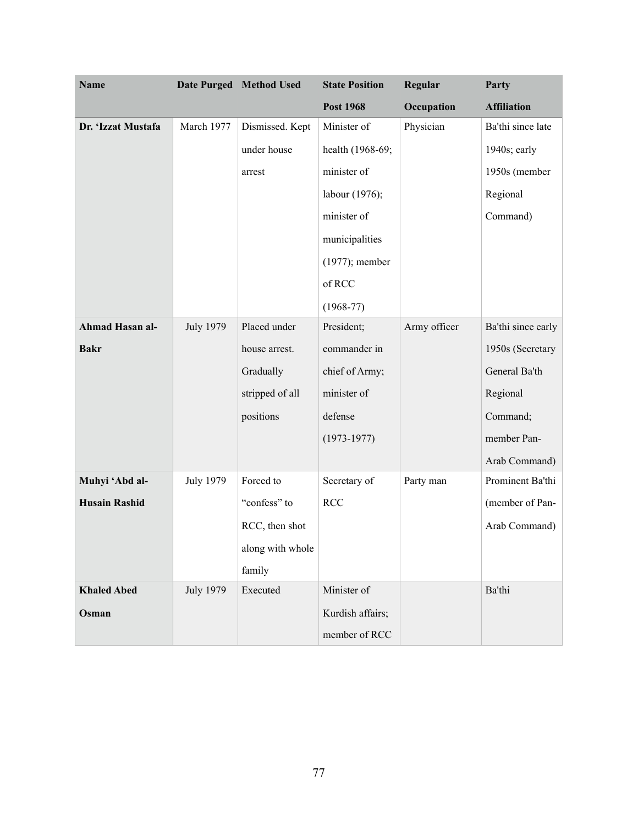| <b>Name</b>          |                  | Date Purged Method Used | <b>State Position</b> | <b>Regular</b> | Party              |
|----------------------|------------------|-------------------------|-----------------------|----------------|--------------------|
|                      |                  |                         | <b>Post 1968</b>      | Occupation     | <b>Affiliation</b> |
| Dr. 'Izzat Mustafa   | March 1977       | Dismissed. Kept         | Minister of           | Physician      | Ba'thi since late  |
|                      |                  | under house             | health (1968-69;      |                | 1940s; early       |
|                      |                  | arrest                  | minister of           |                | 1950s (member      |
|                      |                  |                         | labour (1976);        |                | Regional           |
|                      |                  |                         | minister of           |                | Command)           |
|                      |                  |                         | municipalities        |                |                    |
|                      |                  |                         | $(1977)$ ; member     |                |                    |
|                      |                  |                         | of RCC                |                |                    |
|                      |                  |                         | $(1968-77)$           |                |                    |
| Ahmad Hasan al-      | <b>July 1979</b> | Placed under            | President;            | Army officer   | Ba'thi since early |
| <b>Bakr</b>          |                  | house arrest.           | commander in          |                | 1950s (Secretary   |
|                      |                  | Gradually               | chief of Army;        |                | General Ba'th      |
|                      |                  | stripped of all         | minister of           |                | Regional           |
|                      |                  | positions               | defense               |                | Command;           |
|                      |                  |                         | $(1973-1977)$         |                | member Pan-        |
|                      |                  |                         |                       |                | Arab Command)      |
| Muhyi 'Abd al-       | <b>July 1979</b> | Forced to               | Secretary of          | Party man      | Prominent Ba'thi   |
| <b>Husain Rashid</b> |                  | "confess" to            | <b>RCC</b>            |                | (member of Pan-    |
|                      |                  | RCC, then shot          |                       |                | Arab Command)      |
|                      |                  | along with whole        |                       |                |                    |
|                      |                  | family                  |                       |                |                    |
| <b>Khaled Abed</b>   | <b>July 1979</b> | Executed                | Minister of           |                | Ba'thi             |
| Osman                |                  |                         | Kurdish affairs;      |                |                    |
|                      |                  |                         | member of RCC         |                |                    |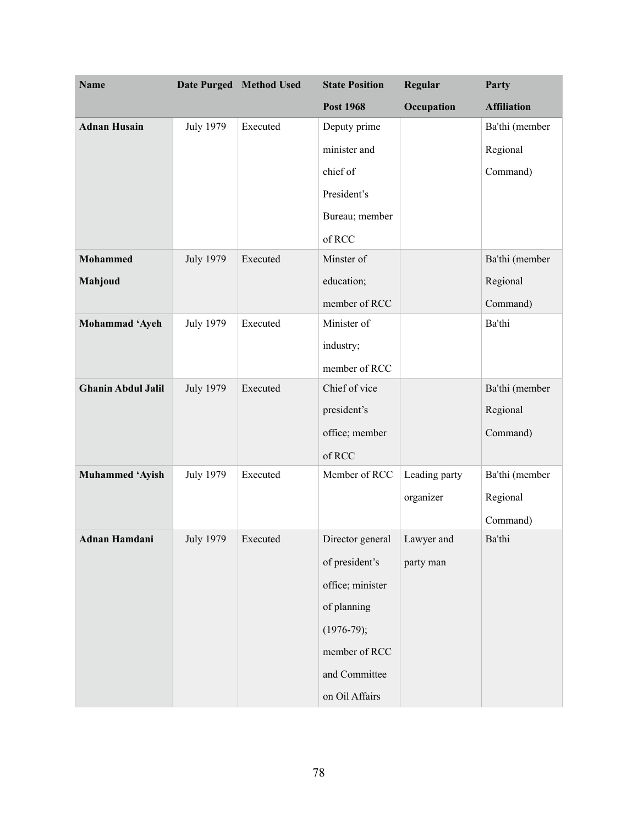| <b>Name</b>               |                  | Date Purged Method Used | <b>State Position</b> | <b>Regular</b> | Party              |
|---------------------------|------------------|-------------------------|-----------------------|----------------|--------------------|
|                           |                  |                         | <b>Post 1968</b>      | Occupation     | <b>Affiliation</b> |
| <b>Adnan Husain</b>       | <b>July 1979</b> | Executed                | Deputy prime          |                | Ba'thi (member     |
|                           |                  |                         | minister and          |                | Regional           |
|                           |                  |                         | chief of              |                | Command)           |
|                           |                  |                         | President's           |                |                    |
|                           |                  |                         | Bureau; member        |                |                    |
|                           |                  |                         | of RCC                |                |                    |
| <b>Mohammed</b>           | <b>July 1979</b> | Executed                | Minster of            |                | Ba'thi (member     |
| Mahjoud                   |                  |                         | education;            |                | Regional           |
|                           |                  |                         | member of RCC         |                | Command)           |
| Mohammad 'Ayeh            | <b>July 1979</b> | Executed                | Minister of           |                | Ba'thi             |
|                           |                  |                         | industry;             |                |                    |
|                           |                  |                         | member of RCC         |                |                    |
| <b>Ghanin Abdul Jalil</b> | <b>July 1979</b> | Executed                | Chief of vice         |                | Ba'thi (member     |
|                           |                  |                         | president's           |                | Regional           |
|                           |                  |                         | office; member        |                | Command)           |
|                           |                  |                         | of RCC                |                |                    |
| Muhammed 'Ayish           | <b>July 1979</b> | Executed                | Member of RCC         | Leading party  | Ba'thi (member     |
|                           |                  |                         |                       | organizer      | Regional           |
|                           |                  |                         |                       |                | Command)           |
| Adnan Hamdani             | <b>July 1979</b> | Executed                | Director general      | Lawyer and     | Ba'thi             |
|                           |                  |                         | of president's        | party man      |                    |
|                           |                  |                         | office; minister      |                |                    |
|                           |                  |                         | of planning           |                |                    |
|                           |                  |                         | $(1976-79);$          |                |                    |
|                           |                  |                         | member of RCC         |                |                    |
|                           |                  |                         | and Committee         |                |                    |
|                           |                  |                         | on Oil Affairs        |                |                    |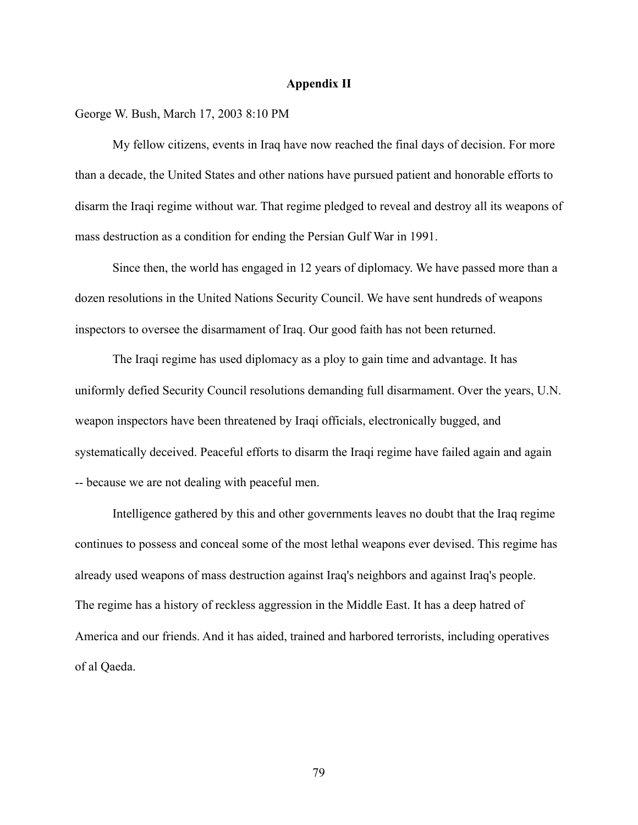#### **Appendix II**

George W. Bush, March 17, 2003 8:10 PM

 My fellow citizens, events in Iraq have now reached the final days of decision. For more than a decade, the United States and other nations have pursued patient and honorable efforts to disarm the Iraqi regime without war. That regime pledged to reveal and destroy all its weapons of mass destruction as a condition for ending the Persian Gulf War in 1991.

 Since then, the world has engaged in 12 years of diplomacy. We have passed more than a dozen resolutions in the United Nations Security Council. We have sent hundreds of weapons inspectors to oversee the disarmament of Iraq. Our good faith has not been returned.

 The Iraqi regime has used diplomacy as a ploy to gain time and advantage. It has uniformly defied Security Council resolutions demanding full disarmament. Over the years, U.N. weapon inspectors have been threatened by Iraqi officials, electronically bugged, and systematically deceived. Peaceful efforts to disarm the Iraqi regime have failed again and again -- because we are not dealing with peaceful men.

 Intelligence gathered by this and other governments leaves no doubt that the Iraq regime continues to possess and conceal some of the most lethal weapons ever devised. This regime has already used weapons of mass destruction against Iraq's neighbors and against Iraq's people. The regime has a history of reckless aggression in the Middle East. It has a deep hatred of America and our friends. And it has aided, trained and harbored terrorists, including operatives of al Qaeda.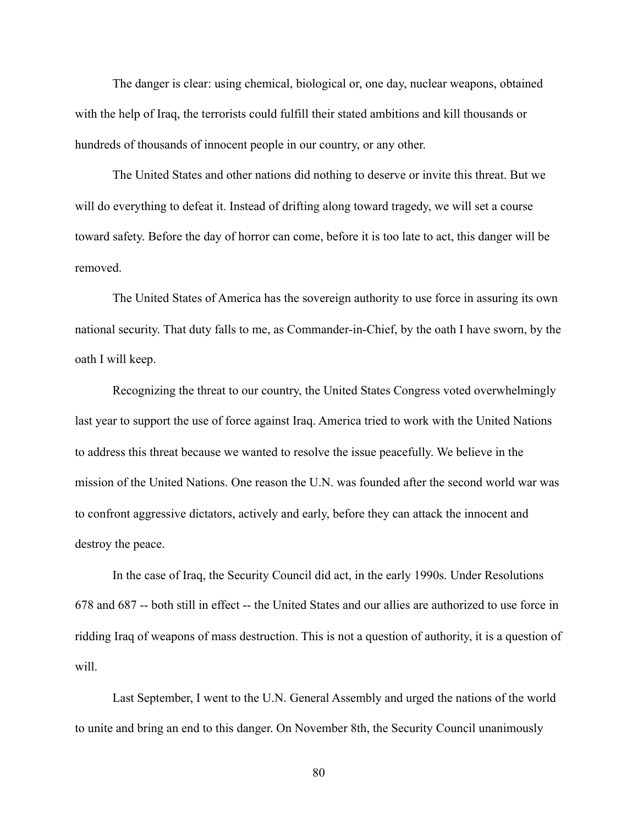The danger is clear: using chemical, biological or, one day, nuclear weapons, obtained with the help of Iraq, the terrorists could fulfill their stated ambitions and kill thousands or hundreds of thousands of innocent people in our country, or any other.

 The United States and other nations did nothing to deserve or invite this threat. But we will do everything to defeat it. Instead of drifting along toward tragedy, we will set a course toward safety. Before the day of horror can come, before it is too late to act, this danger will be removed.

 The United States of America has the sovereign authority to use force in assuring its own national security. That duty falls to me, as Commander-in-Chief, by the oath I have sworn, by the oath I will keep.

 Recognizing the threat to our country, the United States Congress voted overwhelmingly last year to support the use of force against Iraq. America tried to work with the United Nations to address this threat because we wanted to resolve the issue peacefully. We believe in the mission of the United Nations. One reason the U.N. was founded after the second world war was to confront aggressive dictators, actively and early, before they can attack the innocent and destroy the peace.

 In the case of Iraq, the Security Council did act, in the early 1990s. Under Resolutions 678 and 687 -- both still in effect -- the United States and our allies are authorized to use force in ridding Iraq of weapons of mass destruction. This is not a question of authority, it is a question of will.

 Last September, I went to the U.N. General Assembly and urged the nations of the world to unite and bring an end to this danger. On November 8th, the Security Council unanimously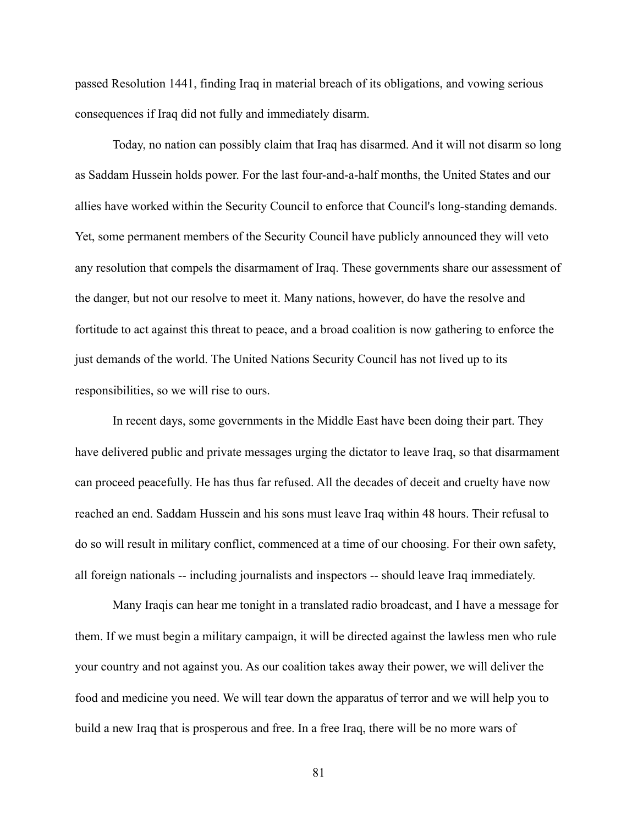passed Resolution 1441, finding Iraq in material breach of its obligations, and vowing serious consequences if Iraq did not fully and immediately disarm.

 Today, no nation can possibly claim that Iraq has disarmed. And it will not disarm so long as Saddam Hussein holds power. For the last four-and-a-half months, the United States and our allies have worked within the Security Council to enforce that Council's long-standing demands. Yet, some permanent members of the Security Council have publicly announced they will veto any resolution that compels the disarmament of Iraq. These governments share our assessment of the danger, but not our resolve to meet it. Many nations, however, do have the resolve and fortitude to act against this threat to peace, and a broad coalition is now gathering to enforce the just demands of the world. The United Nations Security Council has not lived up to its responsibilities, so we will rise to ours.

 In recent days, some governments in the Middle East have been doing their part. They have delivered public and private messages urging the dictator to leave Iraq, so that disarmament can proceed peacefully. He has thus far refused. All the decades of deceit and cruelty have now reached an end. Saddam Hussein and his sons must leave Iraq within 48 hours. Their refusal to do so will result in military conflict, commenced at a time of our choosing. For their own safety, all foreign nationals -- including journalists and inspectors -- should leave Iraq immediately.

 Many Iraqis can hear me tonight in a translated radio broadcast, and I have a message for them. If we must begin a military campaign, it will be directed against the lawless men who rule your country and not against you. As our coalition takes away their power, we will deliver the food and medicine you need. We will tear down the apparatus of terror and we will help you to build a new Iraq that is prosperous and free. In a free Iraq, there will be no more wars of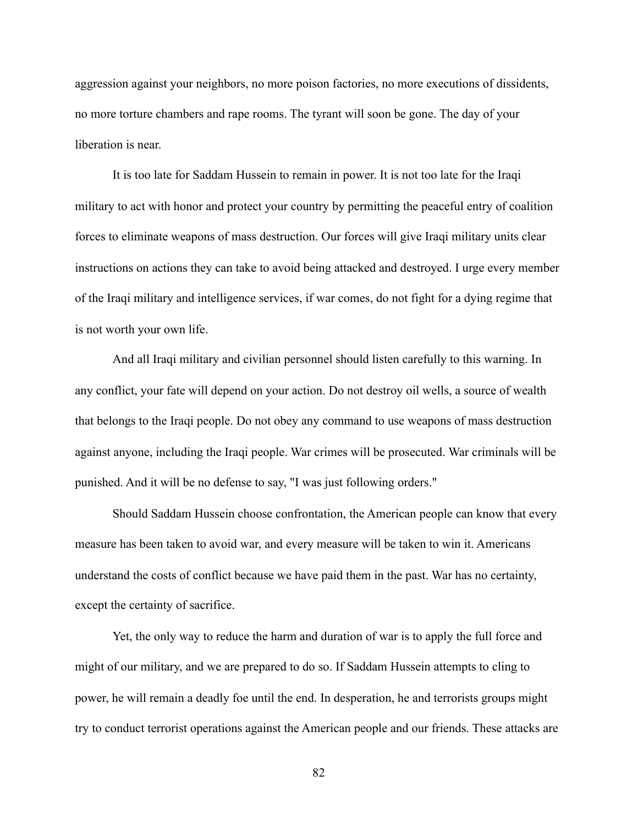aggression against your neighbors, no more poison factories, no more executions of dissidents, no more torture chambers and rape rooms. The tyrant will soon be gone. The day of your liberation is near.

 It is too late for Saddam Hussein to remain in power. It is not too late for the Iraqi military to act with honor and protect your country by permitting the peaceful entry of coalition forces to eliminate weapons of mass destruction. Our forces will give Iraqi military units clear instructions on actions they can take to avoid being attacked and destroyed. I urge every member of the Iraqi military and intelligence services, if war comes, do not fight for a dying regime that is not worth your own life.

 And all Iraqi military and civilian personnel should listen carefully to this warning. In any conflict, your fate will depend on your action. Do not destroy oil wells, a source of wealth that belongs to the Iraqi people. Do not obey any command to use weapons of mass destruction against anyone, including the Iraqi people. War crimes will be prosecuted. War criminals will be punished. And it will be no defense to say, "I was just following orders."

 Should Saddam Hussein choose confrontation, the American people can know that every measure has been taken to avoid war, and every measure will be taken to win it. Americans understand the costs of conflict because we have paid them in the past. War has no certainty, except the certainty of sacrifice.

 Yet, the only way to reduce the harm and duration of war is to apply the full force and might of our military, and we are prepared to do so. If Saddam Hussein attempts to cling to power, he will remain a deadly foe until the end. In desperation, he and terrorists groups might try to conduct terrorist operations against the American people and our friends. These attacks are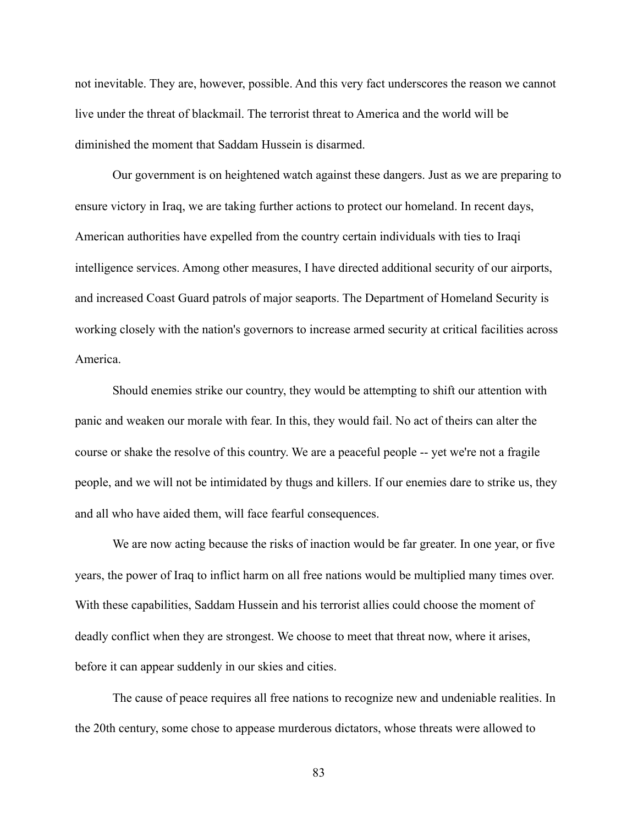not inevitable. They are, however, possible. And this very fact underscores the reason we cannot live under the threat of blackmail. The terrorist threat to America and the world will be diminished the moment that Saddam Hussein is disarmed.

 Our government is on heightened watch against these dangers. Just as we are preparing to ensure victory in Iraq, we are taking further actions to protect our homeland. In recent days, American authorities have expelled from the country certain individuals with ties to Iraqi intelligence services. Among other measures, I have directed additional security of our airports, and increased Coast Guard patrols of major seaports. The Department of Homeland Security is working closely with the nation's governors to increase armed security at critical facilities across America.

 Should enemies strike our country, they would be attempting to shift our attention with panic and weaken our morale with fear. In this, they would fail. No act of theirs can alter the course or shake the resolve of this country. We are a peaceful people -- yet we're not a fragile people, and we will not be intimidated by thugs and killers. If our enemies dare to strike us, they and all who have aided them, will face fearful consequences.

 We are now acting because the risks of inaction would be far greater. In one year, or five years, the power of Iraq to inflict harm on all free nations would be multiplied many times over. With these capabilities, Saddam Hussein and his terrorist allies could choose the moment of deadly conflict when they are strongest. We choose to meet that threat now, where it arises, before it can appear suddenly in our skies and cities.

 The cause of peace requires all free nations to recognize new and undeniable realities. In the 20th century, some chose to appease murderous dictators, whose threats were allowed to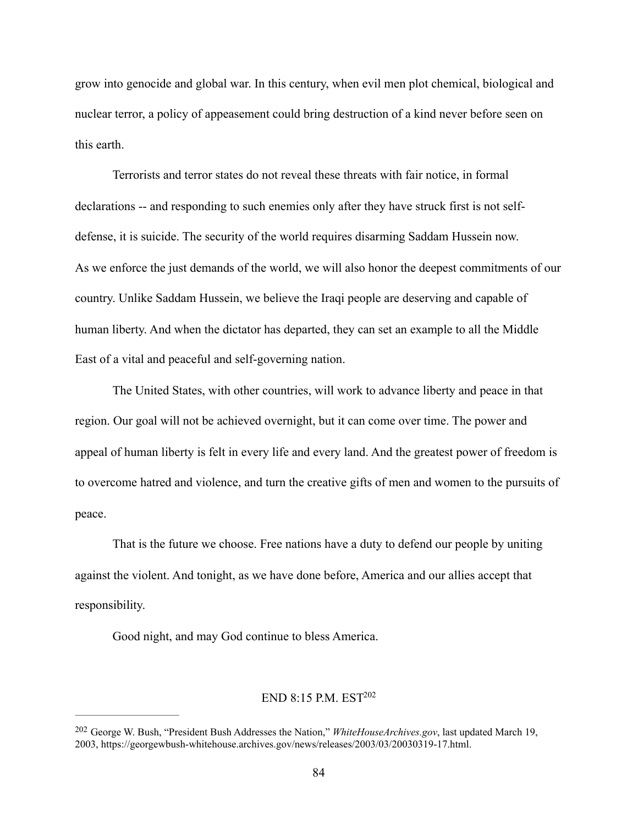grow into genocide and global war. In this century, when evil men plot chemical, biological and nuclear terror, a policy of appeasement could bring destruction of a kind never before seen on this earth.

 Terrorists and terror states do not reveal these threats with fair notice, in formal declarations -- and responding to such enemies only after they have struck first is not selfdefense, it is suicide. The security of the world requires disarming Saddam Hussein now. As we enforce the just demands of the world, we will also honor the deepest commitments of our country. Unlike Saddam Hussein, we believe the Iraqi people are deserving and capable of human liberty. And when the dictator has departed, they can set an example to all the Middle East of a vital and peaceful and self-governing nation.

 The United States, with other countries, will work to advance liberty and peace in that region. Our goal will not be achieved overnight, but it can come over time. The power and appeal of human liberty is felt in every life and every land. And the greatest power of freedom is to overcome hatred and violence, and turn the creative gifts of men and women to the pursuits of peace.

 That is the future we choose. Free nations have a duty to defend our people by uniting against the violent. And tonight, as we have done before, America and our allies accept that responsibility.

Good night, and may God continue to bless America.

#### <span id="page-83-1"></span>END 8:15 P.M. ES[T202](#page-83-0)

<span id="page-83-0"></span>George W. Bush, "President Bush Addresses the Nation," *WhiteHouseArchives.gov*, last updated March 19, [202](#page-83-1) 2003, https://georgewbush-whitehouse.archives.gov/news/releases/2003/03/20030319-17.html.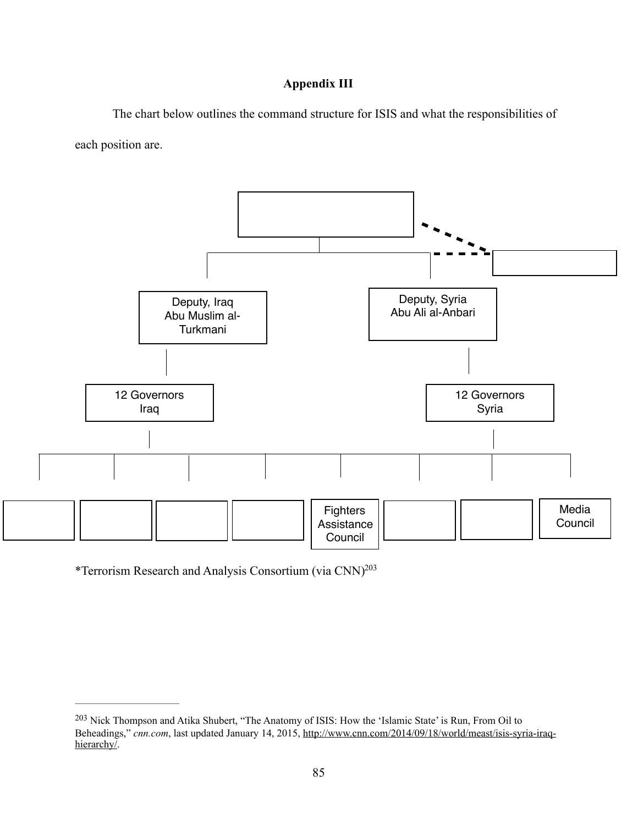#### **Appendix III**

 The chart below outlines the command structure for ISIS and what the responsibilities of each position are.



<span id="page-84-1"></span>\*Terrorism Research and Analysis Consortium (via CNN[\)203](#page-84-0)

<span id="page-84-0"></span><sup>&</sup>lt;sup>[203](#page-84-1)</sup> Nick Thompson and Atika Shubert, "The Anatomy of ISIS: How the 'Islamic State' is Run, From Oil to Beheadings," *cnn.com*[, last updated January 14, 2015, http://www.cnn.com/2014/09/18/world/meast/isis-syria-iraq](http://www.cnn.com/2014/09/18/world/meast/isis-syria-iraq-hierarchy/)hierarchy.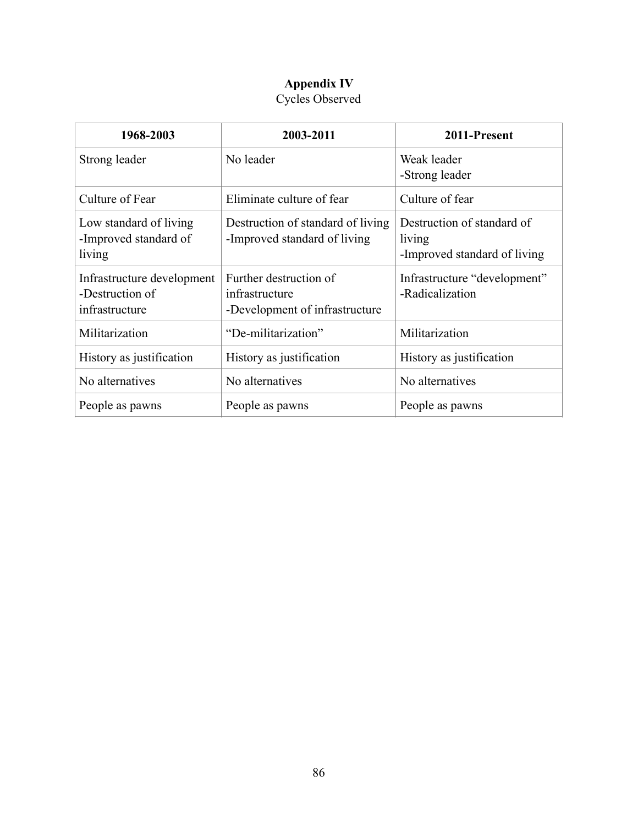## **Appendix IV**  Cycles Observed

| 1968-2003                                                       | 2003-2011                                                                  | 2011-Present                                                         |
|-----------------------------------------------------------------|----------------------------------------------------------------------------|----------------------------------------------------------------------|
| Strong leader                                                   | No leader                                                                  | Weak leader<br>-Strong leader                                        |
| Culture of Fear                                                 | Eliminate culture of fear                                                  | Culture of fear                                                      |
| Low standard of living<br>-Improved standard of<br>living       | Destruction of standard of living<br>-Improved standard of living          | Destruction of standard of<br>living<br>-Improved standard of living |
| Infrastructure development<br>-Destruction of<br>infrastructure | Further destruction of<br>infrastructure<br>-Development of infrastructure | Infrastructure "development"<br>-Radicalization                      |
| Militarization                                                  | "De-militarization"                                                        | Militarization                                                       |
| History as justification                                        | History as justification                                                   | History as justification                                             |
| No alternatives                                                 | No alternatives                                                            | No alternatives                                                      |
| People as pawns                                                 | People as pawns                                                            | People as pawns                                                      |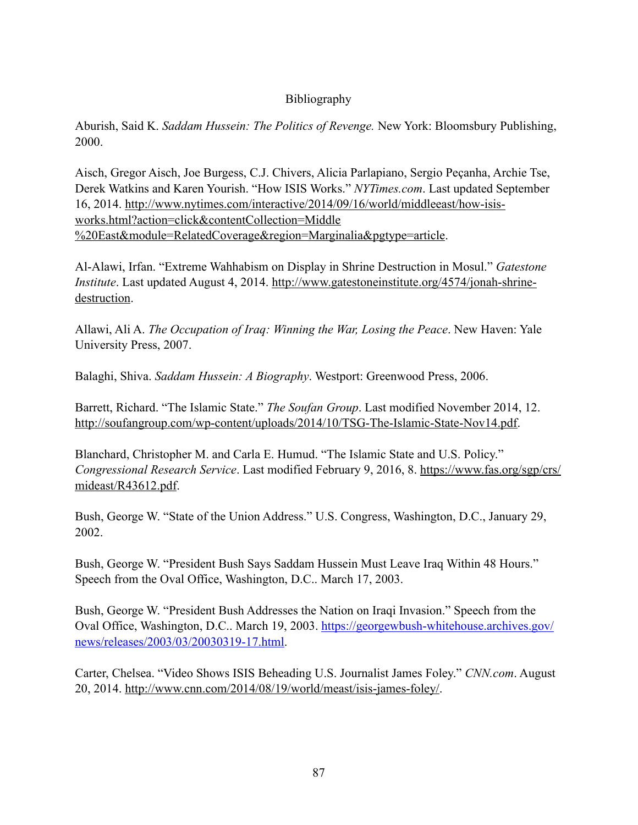### Bibliography

Aburish, Said K. *Saddam Hussein: The Politics of Revenge.* New York: Bloomsbury Publishing, 2000.

Aisch, Gregor Aisch, Joe Burgess, C.J. Chivers, Alicia Parlapiano, Sergio Peçanha, Archie Tse, Derek Watkins and Karen Yourish. "How ISIS Works." *[NYTimes.com](http://NYTimes.com)*. Last updated September [16, 2014. http://www.nytimes.com/interactive/2014/09/16/world/middleeast/how-isis](http://www.nytimes.com/interactive/2014/09/16/world/middleeast/how-isis-works.html?action=click&contentCollection=Middle%2520East&module=RelatedCoverage®ion=Marginalia&pgtype=article)works.html?action=click&contentCollection=Middle %20East&module=RelatedCoverage&region=Marginalia&pgtype=article.

Al-Alawi, Irfan. "Extreme Wahhabism on Display in Shrine Destruction in Mosul." *Gatestone Institute*[. Last updated August 4, 2014. http://www.gatestoneinstitute.org/4574/jonah-shrine](http://www.gatestoneinstitute.org/4574/jonah-shrine-destruction)destruction.

Allawi, Ali A. *The Occupation of Iraq: Winning the War, Losing the Peace*. New Haven: Yale University Press, 2007.

Balaghi, Shiva. *Saddam Hussein: A Biography*. Westport: Greenwood Press, 2006.

Barrett, Richard. "The Islamic State." *The Soufan Group*. Last modified November 2014, 12. [http://soufangroup.com/wp-content/uploads/2014/10/TSG-The-Islamic-State-Nov14.pdf.](http://soufangroup.com/wp-content/uploads/2014/10/TSG-The-Islamic-State-Nov14.pdf)

Blanchard, Christopher M. and Carla E. Humud. "The Islamic State and U.S. Policy." *Congressional Research Service*[. Last modified February 9, 2016, 8. https://www.fas.org/sgp/crs/](https://www.fas.org/sgp/crs/mideast/R43612.pdf) mideast/R43612.pdf.

Bush, George W. "State of the Union Address." U.S. Congress, Washington, D.C., January 29, 2002.

Bush, George W. "President Bush Says Saddam Hussein Must Leave Iraq Within 48 Hours." Speech from the Oval Office, Washington, D.C.. March 17, 2003.

Bush, George W. "President Bush Addresses the Nation on Iraqi Invasion." Speech from the [Oval Office, Washington, D.C.. March 19, 2003. https://georgewbush-whitehouse.archives.gov/](https://georgewbush-whitehouse.archives.gov/news/releases/2003/03/20030319-17.html) news/releases/2003/03/20030319-17.html.

Carter, Chelsea. "Video Shows ISIS Beheading U.S. Journalist James Foley." *CNN.com*. August 20, 2014. [http://www.cnn.com/2014/08/19/world/meast/isis-james-foley/.](http://www.cnn.com/2014/08/19/world/meast/isis-james-foley/)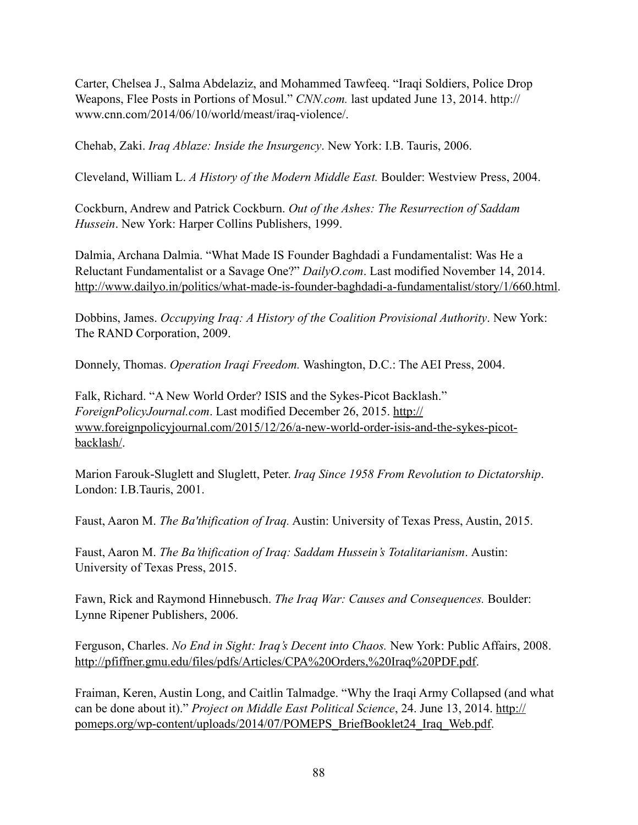Carter, Chelsea J., Salma Abdelaziz, and Mohammed Tawfeeq. "Iraqi Soldiers, Police Drop Weapons, Flee Posts in Portions of Mosul." *CNN.com.* last updated June 13, 2014. http:// www.cnn.com/2014/06/10/world/meast/iraq-violence/.

Chehab, Zaki. *Iraq Ablaze: Inside the Insurgency*. New York: I.B. Tauris, 2006.

Cleveland, William L. *A History of the Modern Middle East.* Boulder: Westview Press, 2004.

Cockburn, Andrew and Patrick Cockburn. *Out of the Ashes: The Resurrection of Saddam Hussein*. New York: Harper Collins Publishers, 1999.

Dalmia, Archana Dalmia. "What Made IS Founder Baghdadi a Fundamentalist: Was He a Reluctant Fundamentalist or a Savage One?" *DailyO.com*. Last modified November 14, 2014. <http://www.dailyo.in/politics/what-made-is-founder-baghdadi-a-fundamentalist/story/1/660.html>.

Dobbins, James. *Occupying Iraq: A History of the Coalition Provisional Authority*. New York: The RAND Corporation, 2009.

Donnely, Thomas. *Operation Iraqi Freedom.* Washington, D.C.: The AEI Press, 2004.

Falk, Richard. "A New World Order? ISIS and the Sykes-Picot Backlash." *ForeignPolicyJournal.com*. Last modified December 26, 2015. http:// [www.foreignpolicyjournal.com/2015/12/26/a-new-world-order-isis-and-the-sykes-picot](http://www.foreignpolicyjournal.com/2015/12/26/a-new-world-order-isis-and-the-sykes-picot-backlash/)backlash/.

Marion Farouk-Sluglett and Sluglett, Peter. *Iraq Since 1958 From Revolution to Dictatorship*. London: I.B.Tauris, 2001.

Faust, Aaron M. *The Ba'thification of Iraq.* Austin: University of Texas Press, Austin, 2015.

Faust, Aaron M. *The Ba'thification of Iraq: Saddam Hussein's Totalitarianism*. Austin: University of Texas Press, 2015.

Fawn, Rick and Raymond Hinnebusch. *The Iraq War: Causes and Consequences.* Boulder: Lynne Ripener Publishers, 2006.

Ferguson, Charles. *No End in Sight: Iraq's Decent into Chaos.* New York: Public Affairs, 2008. [http://pfiffner.gmu.edu/files/pdfs/Articles/CPA%20Orders,%20Iraq%20PDF.pdf.](http://pfiffner.gmu.edu/files/pdfs/Articles/CPA%2520Orders,%2520Iraq%2520PDF.pdf)

Fraiman, Keren, Austin Long, and Caitlin Talmadge. "Why the Iraqi Army Collapsed (and what can be done about it)." *Project on Middle East Political Science*, 24. June 13, 2014. http:// [pomeps.org/wp-content/uploads/2014/07/POMEPS\\_BriefBooklet24\\_Iraq\\_Web.pdf.](http://pomeps.org/wp-content/uploads/2014/07/POMEPS_BriefBooklet24_Iraq_Web.pdf)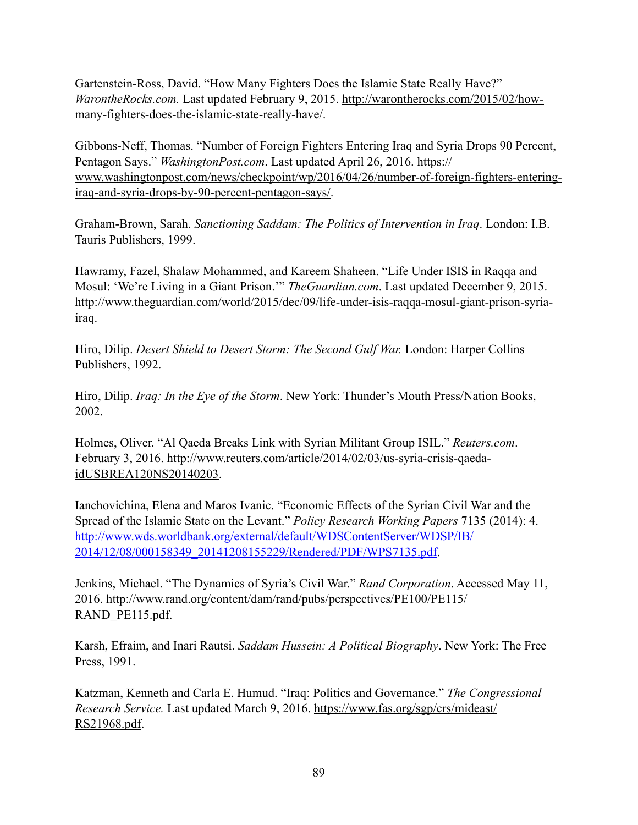Gartenstein-Ross, David. "How Many Fighters Does the Islamic State Really Have?" *WarontheRocks.com.* Last updated February 9, 2015. http://warontherocks.com/2015/02/howmany-fighters-does-the-islamic-state-really-have/.

Gibbons-Neff, Thomas. "Number of Foreign Fighters Entering Iraq and Syria Drops 90 Percent, Pentagon Says." *WashingtonPost.com*. Last updated April 26, 2016. https:// www.washingtonpost.com/news/checkpoint/wp/2016/04/26/number-of-foreign-fighters-enteringiraq-and-syria-drops-by-90-percent-pentagon-says/.

Graham-Brown, Sarah. *Sanctioning Saddam: The Politics of Intervention in Iraq*. London: I.B. Tauris Publishers, 1999.

Hawramy, Fazel, Shalaw Mohammed, and Kareem Shaheen. "Life Under ISIS in Raqqa and Mosul: 'We're Living in a Giant Prison.'" *TheGuardian.com*. Last updated December 9, 2015. http://www.theguardian.com/world/2015/dec/09/life-under-isis-raqqa-mosul-giant-prison-syriairaq.

Hiro, Dilip. *Desert Shield to Desert Storm: The Second Gulf War.* London: Harper Collins Publishers, 1992.

Hiro, Dilip. *Iraq: In the Eye of the Storm*. New York: Thunder's Mouth Press/Nation Books, 2002.

Holmes, Oliver. "Al Qaeda Breaks Link with Syrian Militant Group ISIL." *Reuters.com*. [February 3, 2016. http://www.reuters.com/article/2014/02/03/us-syria-crisis-qaeda](http://www.reuters.com/article/2014/02/03/us-syria-crisis-qaeda-idUSBREA120NS20140203)idUSBREA120NS20140203.

Ianchovichina, Elena and Maros Ivanic. "Economic Effects of the Syrian Civil War and the Spread of the Islamic State on the Levant." *Policy Research Working Papers* 7135 (2014): 4. [http://www.wds.worldbank.org/external/default/WDSContentServer/WDSP/IB/](http://www-wds.worldbank.org/external/default/WDSContentServer/WDSP/IB/2014/12/08/000158349_20141208155229/Rendered/PDF/WPS7135.pdf) 2014/12/08/000158349\_20141208155229/Rendered/PDF/WPS7135.pdf.

Jenkins, Michael. "The Dynamics of Syria's Civil War." *Rand Corporation*. Accessed May 11, [2016. http://www.rand.org/content/dam/rand/pubs/perspectives/PE100/PE115/](http://www.rand.org/content/dam/rand/pubs/perspectives/PE100/PE115/RAND_PE115.pdf) RAND\_PE115.pdf.

Karsh, Efraim, and Inari Rautsi. *Saddam Hussein: A Political Biography*. New York: The Free Press, 1991.

Katzman, Kenneth and Carla E. Humud. "Iraq: Politics and Governance." *The Congressional Research Service.* [Last updated March 9, 2016. https://www.fas.org/sgp/crs/mideast/](https://www.fas.org/sgp/crs/mideast/RS21968.pdf) RS21968.pdf.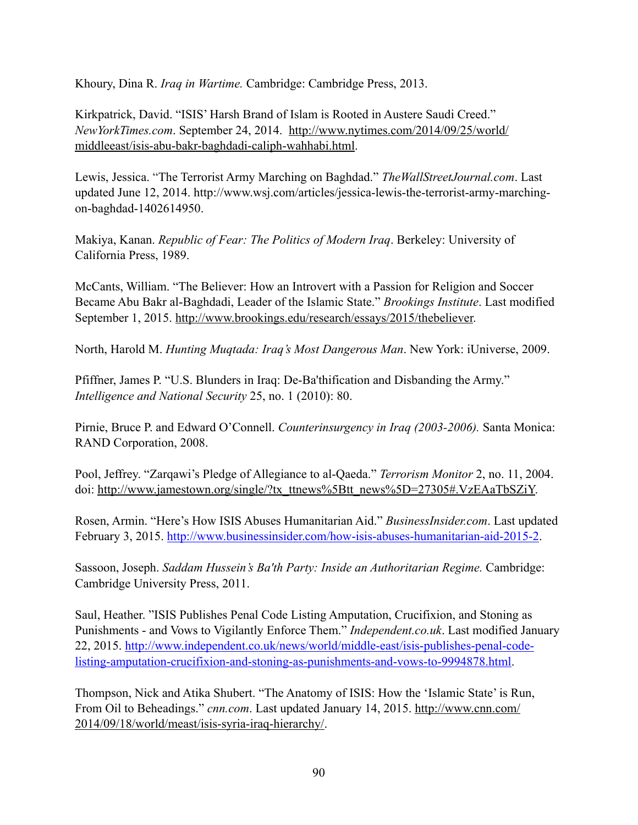Khoury, Dina R. *Iraq in Wartime.* Cambridge: Cambridge Press, 2013.

Kirkpatrick, David. "ISIS' Harsh Brand of Islam is Rooted in Austere Saudi Creed." *[NewYorkTimes.com](http://NewYorkTimes.com)*. September 24, 2014. http://www.nytimes.com/2014/09/25/world/ [middleeast/isis-abu-bakr-baghdadi-caliph-wahhabi.html.](http://www.nytimes.com/2014/09/25/world/middleeast/isis-abu-bakr-baghdadi-caliph-wahhabi.html) 

Lewis, Jessica. "The Terrorist Army Marching on Baghdad." *TheWallStreetJournal.com*. Last updated June 12, 2014. [http://www.wsj.com/articles/jessica-lewis-the-terrorist-army-marching](http://www.wsj.com/articles/jessica-lewis-the-terrorist-army-marching-on-baghdad-1402614950)on-baghdad-1402614950.

Makiya, Kanan. *Republic of Fear: The Politics of Modern Iraq*. Berkeley: University of California Press, 1989.

McCants, William. "The Believer: How an Introvert with a Passion for Religion and Soccer Became Abu Bakr al-Baghdadi, Leader of the Islamic State." *Brookings Institute*. Last modified September 1, 2015.<http://www.brookings.edu/research/essays/2015/thebeliever>.

North, Harold M. *Hunting Muqtada: Iraq's Most Dangerous Man*. New York: iUniverse, 2009.

Pfiffner, James P. "U.S. Blunders in Iraq: De-Ba'thification and Disbanding the Army." *Intelligence and National Security* 25, no. 1 (2010): 80.

Pirnie, Bruce P. and Edward O'Connell. *Counterinsurgency in Iraq (2003-2006).* Santa Monica: RAND Corporation, 2008.

Pool, Jeffrey. "Zarqawi's Pledge of Allegiance to al-Qaeda." *Terrorism Monitor* 2, no. 11, 2004. doi: [http://www.jamestown.org/single/?tx\\_ttnews%5Btt\\_news%5D=27305#.VzEAaTbSZiY.](http://www.jamestown.org/single/?tx_ttnews%255Btt_news%255D=27305#.VzEAaTbSZiY)

Rosen, Armin. "Here's How ISIS Abuses Humanitarian Aid." *BusinessInsider.com*. Last updated February 3, 2015.<http://www.businessinsider.com/how-isis-abuses-humanitarian-aid-2015-2>.

Sassoon, Joseph. *Saddam Hussein's Ba'th Party: Inside an Authoritarian Regime.* Cambridge: Cambridge University Press, 2011.

Saul, Heather. "ISIS Publishes Penal Code Listing Amputation, Crucifixion, and Stoning as Punishments - and Vows to Vigilantly Enforce Them." *Independent.co.uk*. Last modified January [22, 2015. http://www.independent.co.uk/news/world/middle-east/isis-publishes-penal-code](http://www.independent.co.uk/news/world/middle-east/isis-publishes-penal-code-listing-amputation-crucifixion-and-stoning-as-punishments-and-vows-to-9994878.html)listing-amputation-crucifixion-and-stoning-as-punishments-and-vows-to-9994878.html.

Thompson, Nick and Atika Shubert. "The Anatomy of ISIS: How the 'Islamic State' is Run, From Oil to Beheadings." *cnn.com*[. Last updated January 14, 2015. http://www.cnn.com/](http://www.cnn.com/2014/09/18/world/meast/isis-syria-iraq-hierarchy/) 2014/09/18/world/meast/isis-syria-iraq-hierarchy/.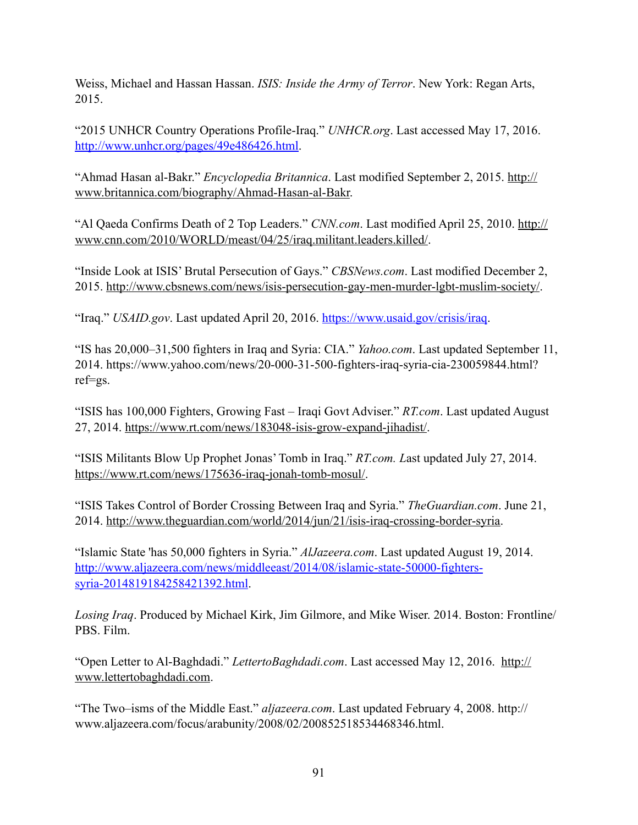Weiss, Michael and Hassan Hassan. *ISIS: Inside the Army of Terror*. New York: Regan Arts, 2015.

"2015 UNHCR Country Operations Profile-Iraq." *UNHCR.org*. Last accessed May 17, 2016. [http://www.unhcr.org/pages/49e486426.html.](http://www.unhcr.org/pages/49e486426.html)

"Ahmad Hasan al-Bakr." *Encyclopedia Britannica*. Last modified September 2, 2015. http:// [www.britannica.com/biography/Ahmad-Hasan-al-Bakr.](http://www.britannica.com/biography/Ahmad-Hasan-al-Bakr) 

"Al Qaeda Confirms Death of 2 Top Leaders." *[CNN.com](http://CNN.com)*. Last modified April 25, 2010. http:// [www.cnn.com/2010/WORLD/meast/04/25/iraq.militant.leaders.killed/.](http://www.cnn.com/2010/WORLD/meast/04/25/iraq.militant.leaders.killed/) 

"Inside Look at ISIS' Brutal Persecution of Gays." *CBSNews.com*. Last modified December 2, 2015. <http://www.cbsnews.com/news/isis-persecution-gay-men-murder-lgbt-muslim-society/>.

"Iraq." *USAID.gov*. Last updated April 20, 2016. [https://www.usaid.gov/crisis/iraq.](https://www.usaid.gov/crisis/iraq)

"IS has 20,000–31,500 fighters in Iraq and Syria: CIA." *Yahoo.com*. Last updated September 11, 2014. https://www.yahoo.com/news/20-000-31-500-fighters-iraq-syria-cia-230059844.html? ref=gs.

"ISIS has 100,000 Fighters, Growing Fast – Iraqi Govt Adviser." *RT.com*. Last updated August 27, 2014. https://www.rt.com/news/183048-isis-grow-expand-jihadist/.

"ISIS Militants Blow Up Prophet Jonas' Tomb in Iraq." *RT.com. L*ast updated July 27, 2014. [https://www.rt.com/news/175636-iraq-jonah-tomb-mosul/.](https://www.rt.com/news/175636-iraq-jonah-tomb-mosul/)

"ISIS Takes Control of Border Crossing Between Iraq and Syria." *TheGuardian.com*. June 21, 2014. <http://www.theguardian.com/world/2014/jun/21/isis-iraq-crossing-border-syria>.

"Islamic State 'has 50,000 fighters in Syria." *AlJazeera.com*. Last updated August 19, 2014. [http://www.aljazeera.com/news/middleeast/2014/08/islamic-state-50000-fighters](http://www.aljazeera.com/news/middleeast/2014/08/islamic-state-50000-fighters-syria-2014819184258421392.html)syria-2014819184258421392.html.

*Losing Iraq*. Produced by Michael Kirk, Jim Gilmore, and Mike Wiser. 2014. Boston: Frontline/ PBS. Film.

"Open Letter to Al-Baghdadi." *LettertoBaghdadi.com*[. Last accessed May 12, 2016. http://](http://www.lettertobaghdadi.com) www.lettertobaghdadi.com.

"The Two–isms of the Middle East." *aljazeera.com*. Last updated February 4, 2008. http:// www.aljazeera.com/focus/arabunity/2008/02/200852518534468346.html.